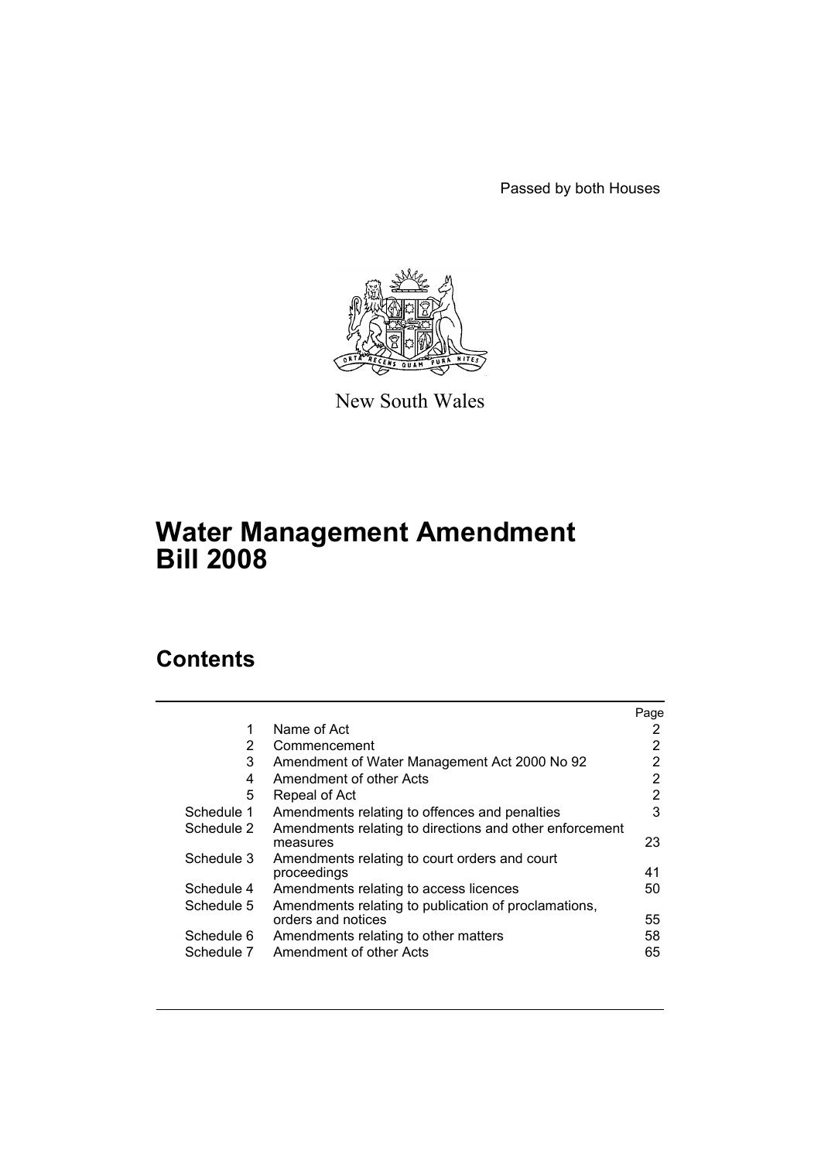Passed by both Houses



New South Wales

# **Water Management Amendment Bill 2008**

# **Contents**

|            |                                                                     | Page |
|------------|---------------------------------------------------------------------|------|
| 1          | Name of Act                                                         | 2    |
| 2          | Commencement                                                        | 2    |
| 3          | Amendment of Water Management Act 2000 No 92                        | 2    |
| 4          | Amendment of other Acts                                             | 2    |
| 5          | Repeal of Act                                                       | 2    |
| Schedule 1 | Amendments relating to offences and penalties                       | 3    |
| Schedule 2 | Amendments relating to directions and other enforcement<br>measures | 23   |
| Schedule 3 | Amendments relating to court orders and court<br>proceedings        | 41   |
| Schedule 4 | Amendments relating to access licences                              | 50   |
| Schedule 5 | Amendments relating to publication of proclamations,                |      |
|            | orders and notices                                                  | 55   |
| Schedule 6 | Amendments relating to other matters                                | 58   |
| Schedule 7 | Amendment of other Acts                                             | 65   |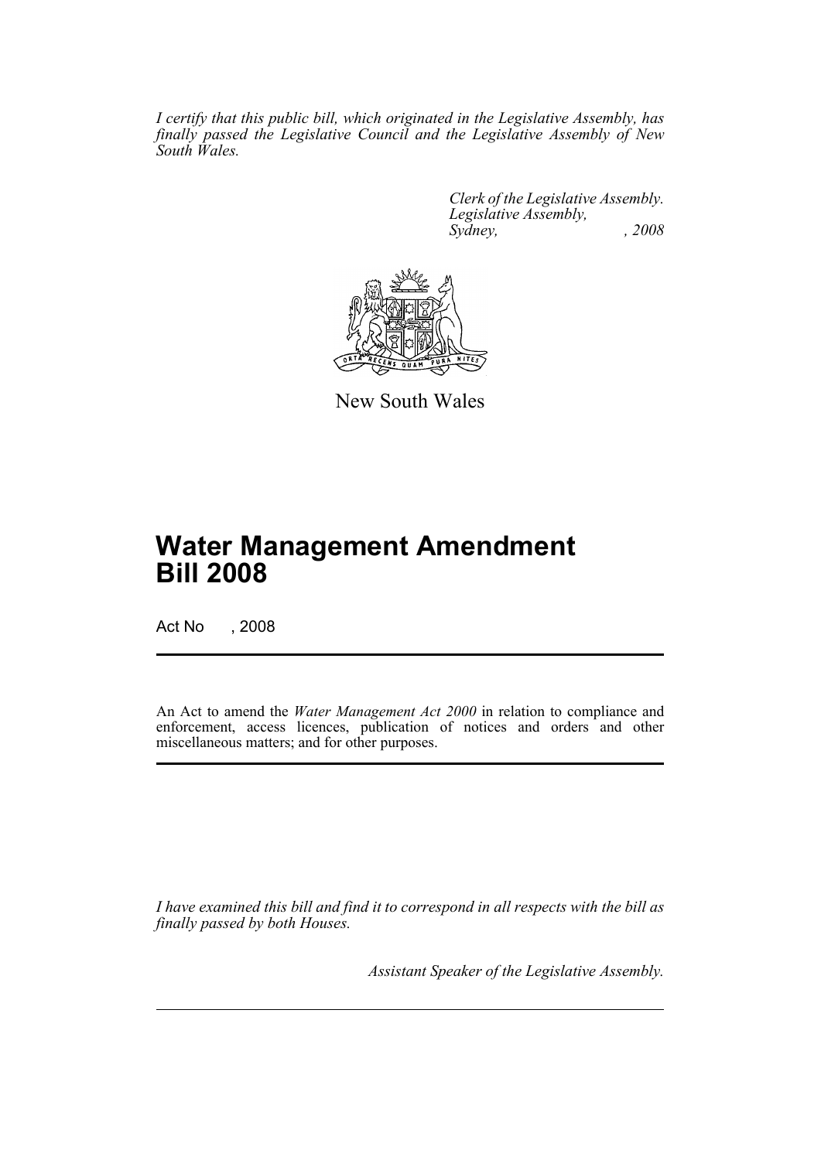*I certify that this public bill, which originated in the Legislative Assembly, has finally passed the Legislative Council and the Legislative Assembly of New South Wales.*

> *Clerk of the Legislative Assembly. Legislative Assembly, Sydney, , 2008*



New South Wales

# **Water Management Amendment Bill 2008**

Act No , 2008

An Act to amend the *Water Management Act 2000* in relation to compliance and enforcement, access licences, publication of notices and orders and other miscellaneous matters; and for other purposes.

*I have examined this bill and find it to correspond in all respects with the bill as finally passed by both Houses.*

*Assistant Speaker of the Legislative Assembly.*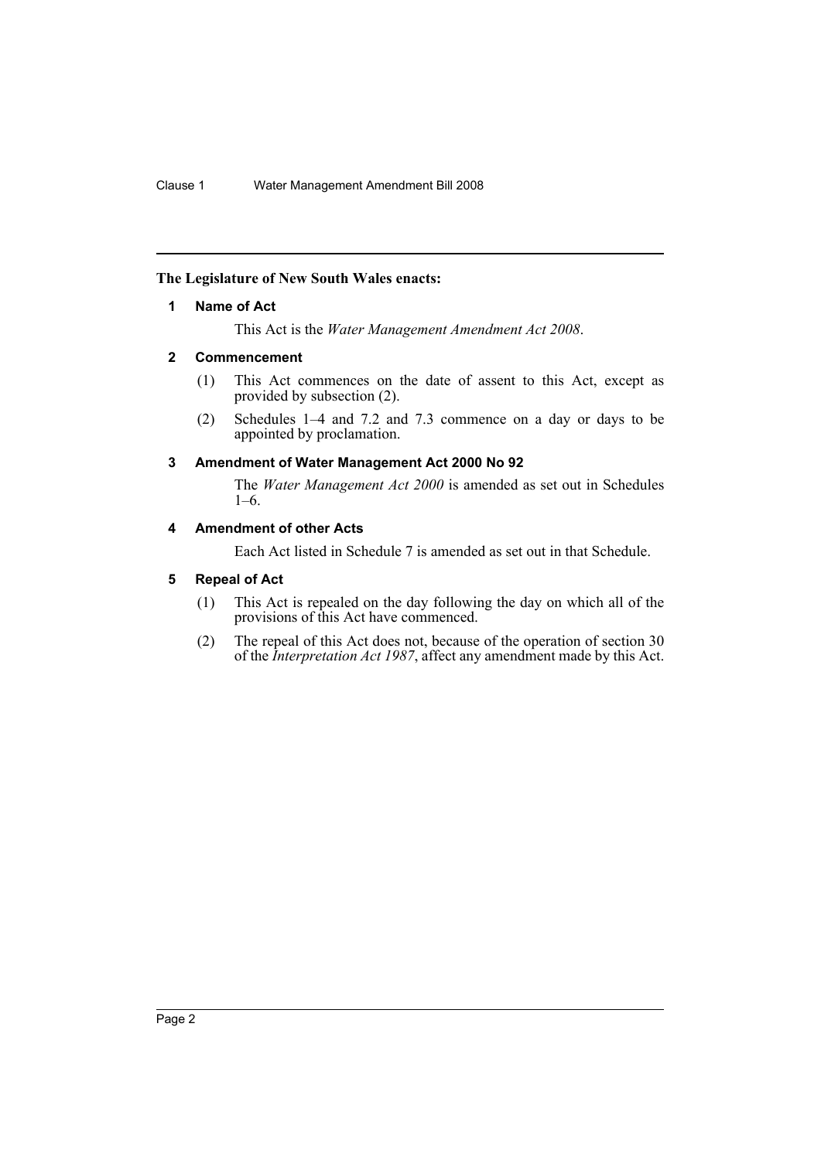### <span id="page-2-0"></span>**The Legislature of New South Wales enacts:**

### **1 Name of Act**

This Act is the *Water Management Amendment Act 2008*.

### <span id="page-2-1"></span>**2 Commencement**

- (1) This Act commences on the date of assent to this Act, except as provided by subsection (2).
- (2) Schedules 1–4 and 7.2 and 7.3 commence on a day or days to be appointed by proclamation.

### <span id="page-2-2"></span>**3 Amendment of Water Management Act 2000 No 92**

The *Water Management Act 2000* is amended as set out in Schedules 1–6.

### <span id="page-2-3"></span>**4 Amendment of other Acts**

Each Act listed in Schedule 7 is amended as set out in that Schedule.

### <span id="page-2-4"></span>**5 Repeal of Act**

- (1) This Act is repealed on the day following the day on which all of the provisions of this Act have commenced.
- (2) The repeal of this Act does not, because of the operation of section 30 of the *Interpretation Act 1987*, affect any amendment made by this Act.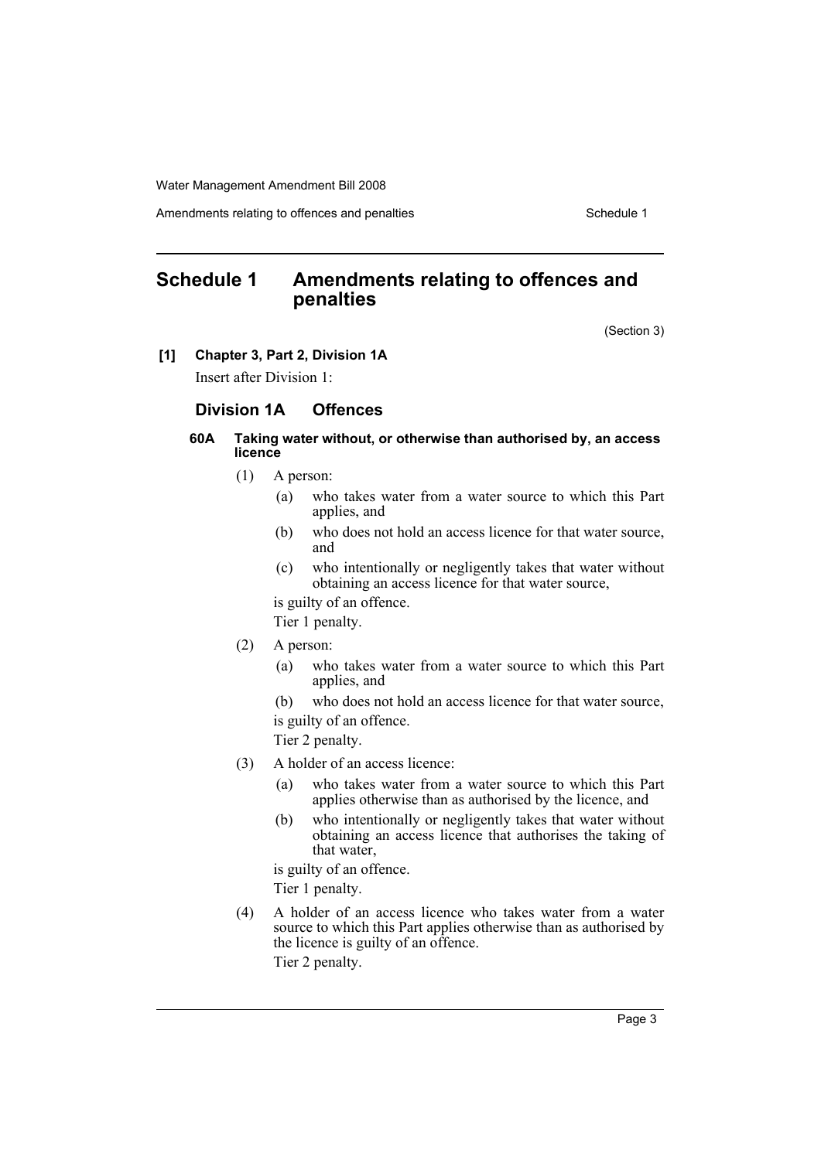Amendments relating to offences and penalties Schedule 1

# <span id="page-3-0"></span>**Schedule 1 Amendments relating to offences and penalties**

(Section 3)

#### **[1] Chapter 3, Part 2, Division 1A**

Insert after Division 1:

### **Division 1A Offences**

### **60A Taking water without, or otherwise than authorised by, an access licence**

- (1) A person:
	- (a) who takes water from a water source to which this Part applies, and
	- (b) who does not hold an access licence for that water source, and
	- (c) who intentionally or negligently takes that water without obtaining an access licence for that water source,

is guilty of an offence.

Tier 1 penalty.

- (2) A person:
	- (a) who takes water from a water source to which this Part applies, and
	- (b) who does not hold an access licence for that water source, is guilty of an offence.

Tier 2 penalty.

- (3) A holder of an access licence:
	- (a) who takes water from a water source to which this Part applies otherwise than as authorised by the licence, and
	- (b) who intentionally or negligently takes that water without obtaining an access licence that authorises the taking of that water,

is guilty of an offence.

Tier 1 penalty.

(4) A holder of an access licence who takes water from a water source to which this Part applies otherwise than as authorised by the licence is guilty of an offence.

Tier 2 penalty.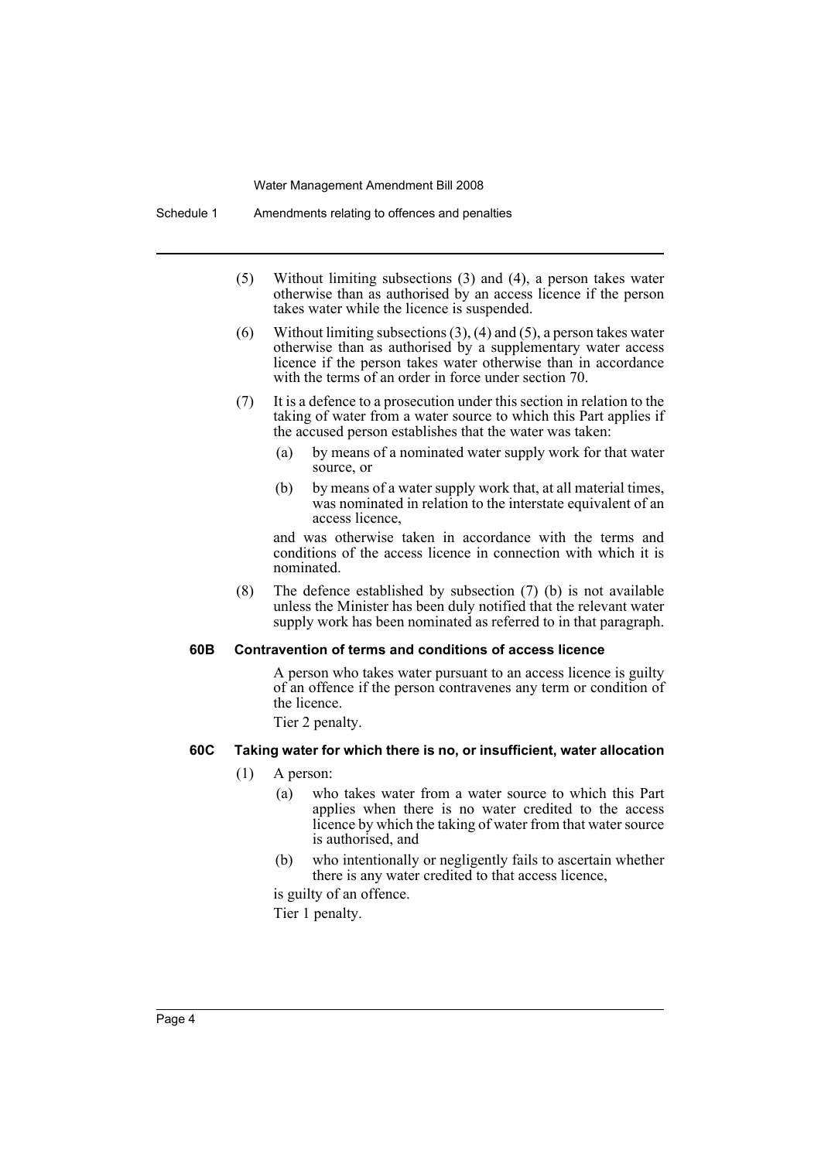- (5) Without limiting subsections (3) and (4), a person takes water otherwise than as authorised by an access licence if the person takes water while the licence is suspended.
- (6) Without limiting subsections (3), (4) and (5), a person takes water otherwise than as authorised by a supplementary water access licence if the person takes water otherwise than in accordance with the terms of an order in force under section 70.
- (7) It is a defence to a prosecution under this section in relation to the taking of water from a water source to which this Part applies if the accused person establishes that the water was taken:
	- (a) by means of a nominated water supply work for that water source, or
	- (b) by means of a water supply work that, at all material times, was nominated in relation to the interstate equivalent of an access licence,

and was otherwise taken in accordance with the terms and conditions of the access licence in connection with which it is nominated.

(8) The defence established by subsection (7) (b) is not available unless the Minister has been duly notified that the relevant water supply work has been nominated as referred to in that paragraph.

#### **60B Contravention of terms and conditions of access licence**

A person who takes water pursuant to an access licence is guilty of an offence if the person contravenes any term or condition of the licence.

Tier 2 penalty.

### **60C Taking water for which there is no, or insufficient, water allocation**

- (1) A person:
	- (a) who takes water from a water source to which this Part applies when there is no water credited to the access licence by which the taking of water from that water source is authorised, and
	- (b) who intentionally or negligently fails to ascertain whether there is any water credited to that access licence,
	- is guilty of an offence.

Tier 1 penalty.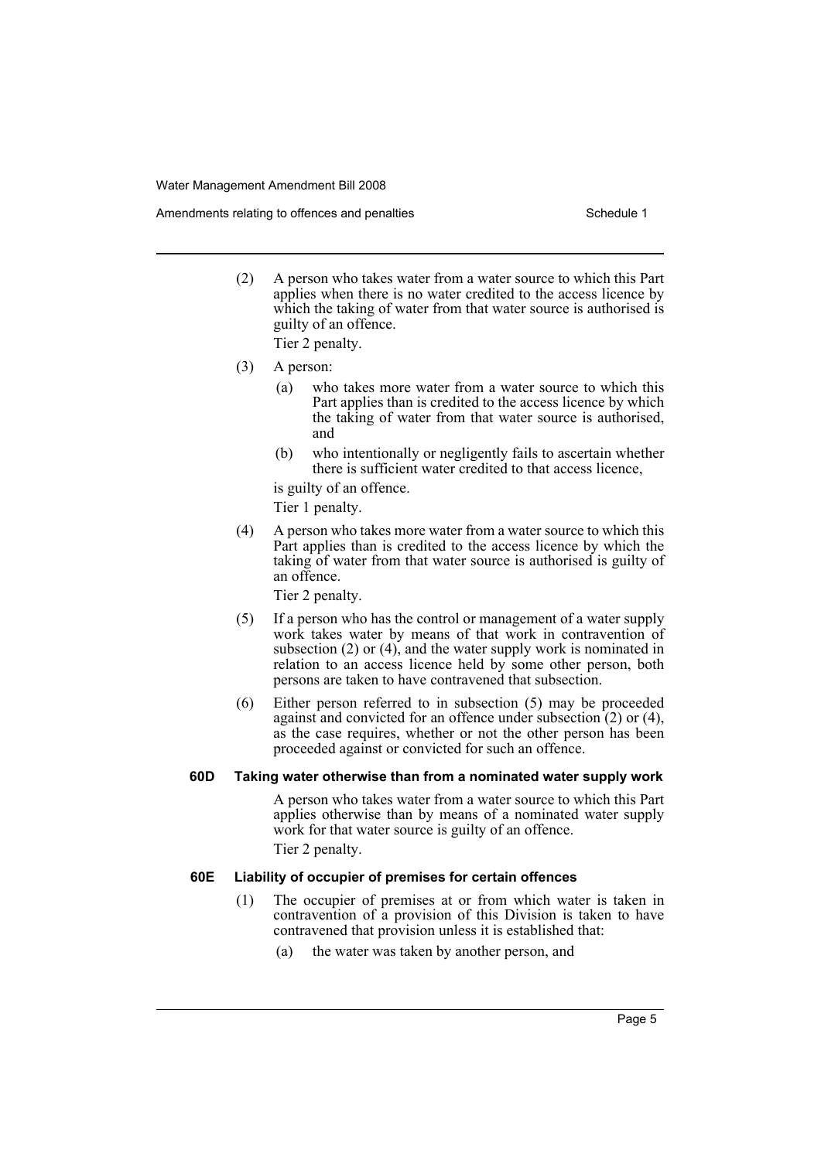Amendments relating to offences and penalties Schedule 1 Schedule 1

(2) A person who takes water from a water source to which this Part applies when there is no water credited to the access licence by which the taking of water from that water source is authorised is guilty of an offence.

Tier 2 penalty.

- (3) A person:
	- (a) who takes more water from a water source to which this Part applies than is credited to the access licence by which the taking of water from that water source is authorised, and
	- (b) who intentionally or negligently fails to ascertain whether there is sufficient water credited to that access licence,

is guilty of an offence.

Tier 1 penalty.

(4) A person who takes more water from a water source to which this Part applies than is credited to the access licence by which the taking of water from that water source is authorised is guilty of an offence.

Tier 2 penalty.

- (5) If a person who has the control or management of a water supply work takes water by means of that work in contravention of subsection (2) or (4), and the water supply work is nominated in relation to an access licence held by some other person, both persons are taken to have contravened that subsection.
- (6) Either person referred to in subsection (5) may be proceeded against and convicted for an offence under subsection (2) or (4), as the case requires, whether or not the other person has been proceeded against or convicted for such an offence.

### **60D Taking water otherwise than from a nominated water supply work**

A person who takes water from a water source to which this Part applies otherwise than by means of a nominated water supply work for that water source is guilty of an offence.

Tier 2 penalty.

#### **60E Liability of occupier of premises for certain offences**

- (1) The occupier of premises at or from which water is taken in contravention of a provision of this Division is taken to have contravened that provision unless it is established that:
	- (a) the water was taken by another person, and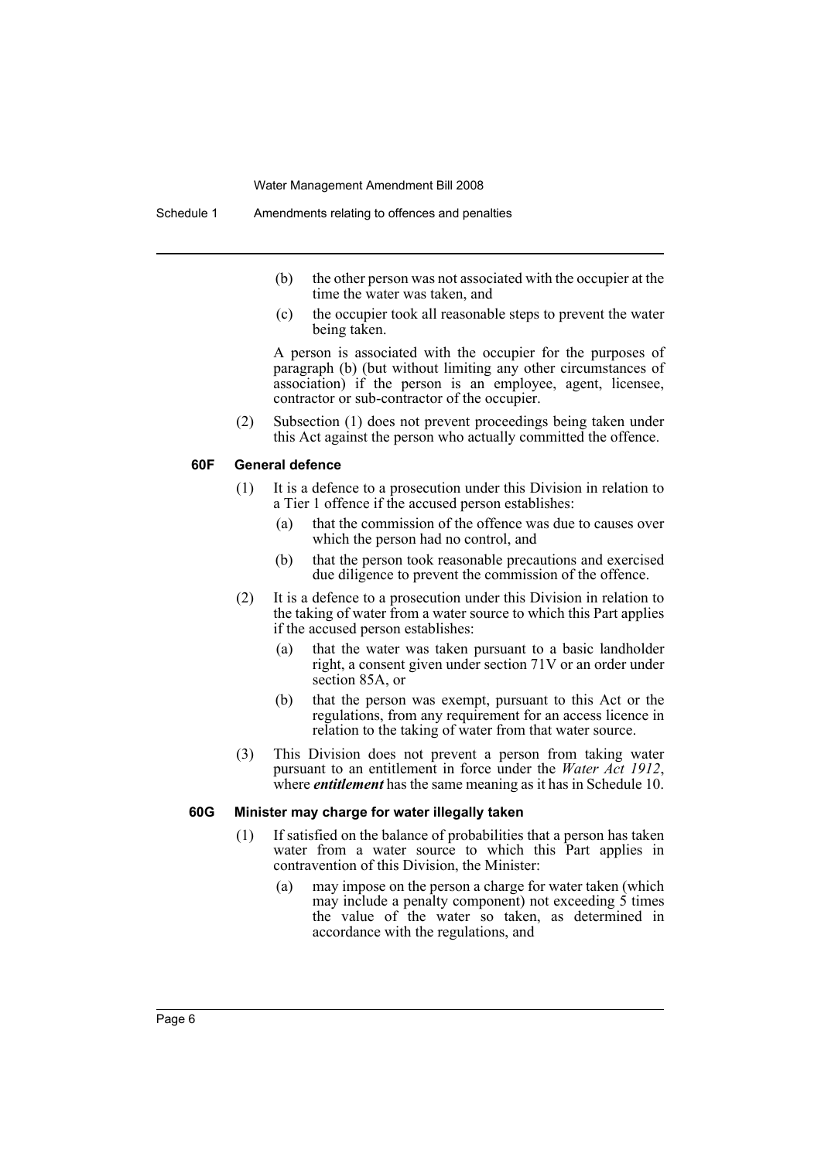- (b) the other person was not associated with the occupier at the time the water was taken, and
- (c) the occupier took all reasonable steps to prevent the water being taken.

A person is associated with the occupier for the purposes of paragraph (b) (but without limiting any other circumstances of association) if the person is an employee, agent, licensee, contractor or sub-contractor of the occupier.

(2) Subsection (1) does not prevent proceedings being taken under this Act against the person who actually committed the offence.

### **60F General defence**

- (1) It is a defence to a prosecution under this Division in relation to a Tier 1 offence if the accused person establishes:
	- (a) that the commission of the offence was due to causes over which the person had no control, and
	- (b) that the person took reasonable precautions and exercised due diligence to prevent the commission of the offence.
- (2) It is a defence to a prosecution under this Division in relation to the taking of water from a water source to which this Part applies if the accused person establishes:
	- (a) that the water was taken pursuant to a basic landholder right, a consent given under section 71V or an order under section 85A, or
	- (b) that the person was exempt, pursuant to this Act or the regulations, from any requirement for an access licence in relation to the taking of water from that water source.
- (3) This Division does not prevent a person from taking water pursuant to an entitlement in force under the *Water Act 1912*, where *entitlement* has the same meaning as it has in Schedule 10.

#### **60G Minister may charge for water illegally taken**

- (1) If satisfied on the balance of probabilities that a person has taken water from a water source to which this Part applies in contravention of this Division, the Minister:
	- (a) may impose on the person a charge for water taken (which may include a penalty component) not exceeding 5 times the value of the water so taken, as determined in accordance with the regulations, and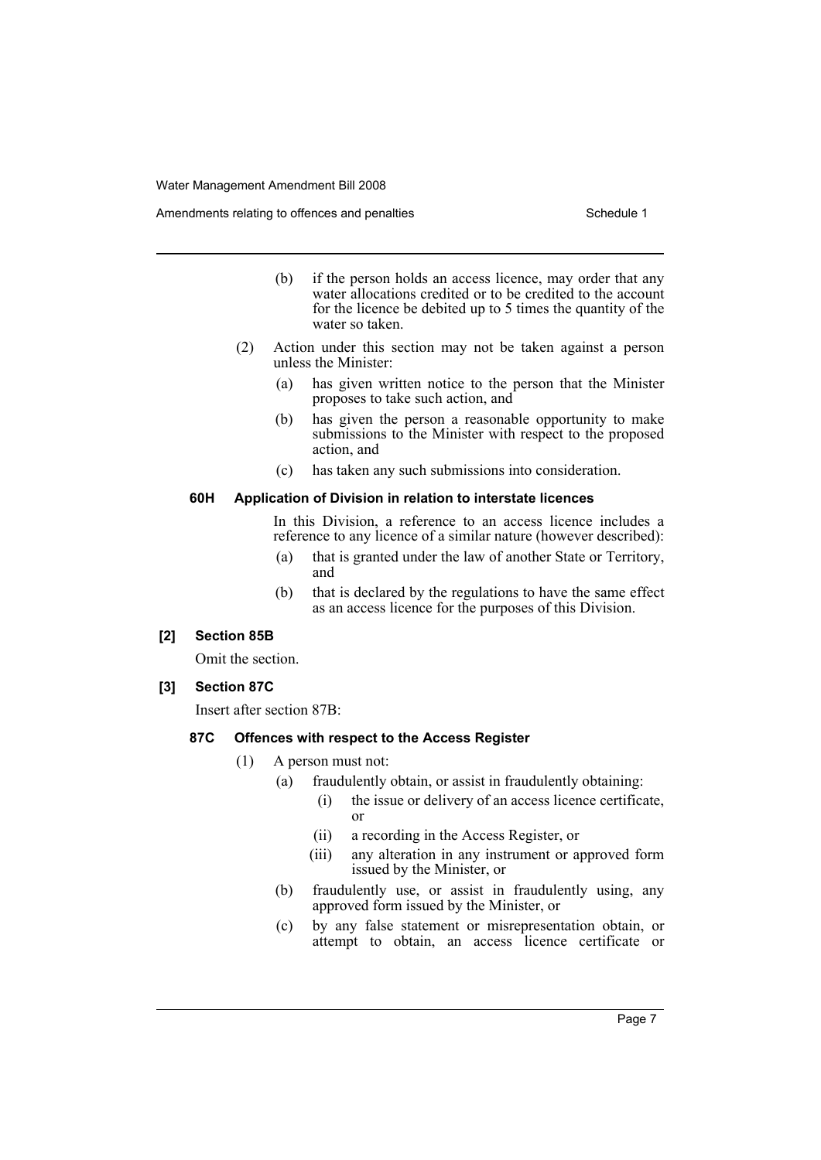Amendments relating to offences and penalties Schedule 1

- (b) if the person holds an access licence, may order that any water allocations credited or to be credited to the account for the licence be debited up to 5 times the quantity of the water so taken.
- (2) Action under this section may not be taken against a person unless the Minister:
	- (a) has given written notice to the person that the Minister proposes to take such action, and
	- (b) has given the person a reasonable opportunity to make submissions to the Minister with respect to the proposed action, and
	- (c) has taken any such submissions into consideration.

#### **60H Application of Division in relation to interstate licences**

In this Division, a reference to an access licence includes a reference to any licence of a similar nature (however described):

- (a) that is granted under the law of another State or Territory, and
- (b) that is declared by the regulations to have the same effect as an access licence for the purposes of this Division.

#### **[2] Section 85B**

Omit the section.

### **[3] Section 87C**

Insert after section 87B:

### **87C Offences with respect to the Access Register**

- (1) A person must not:
	- (a) fraudulently obtain, or assist in fraudulently obtaining:
		- (i) the issue or delivery of an access licence certificate, or
		- (ii) a recording in the Access Register, or
		- (iii) any alteration in any instrument or approved form issued by the Minister, or
	- (b) fraudulently use, or assist in fraudulently using, any approved form issued by the Minister, or
	- (c) by any false statement or misrepresentation obtain, or attempt to obtain, an access licence certificate or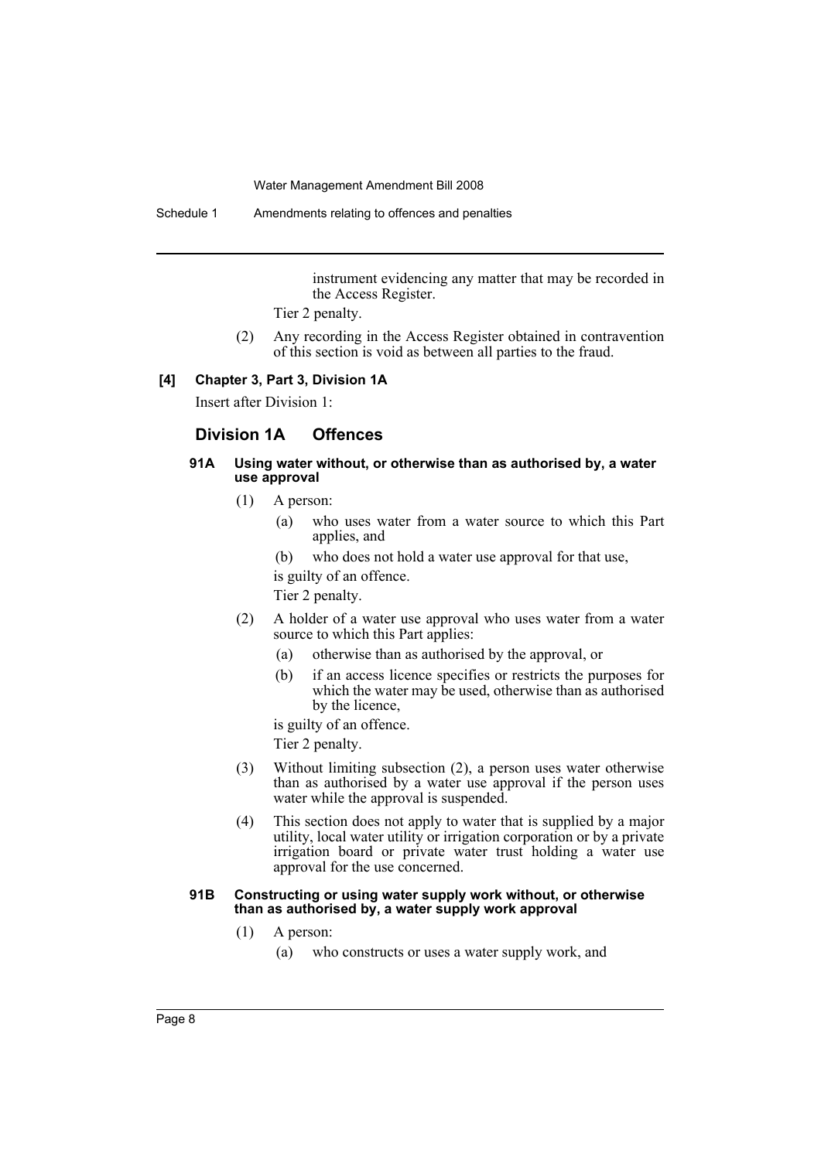Schedule 1 Amendments relating to offences and penalties

instrument evidencing any matter that may be recorded in the Access Register.

Tier 2 penalty.

(2) Any recording in the Access Register obtained in contravention of this section is void as between all parties to the fraud.

#### **[4] Chapter 3, Part 3, Division 1A**

Insert after Division 1:

### **Division 1A Offences**

#### **91A Using water without, or otherwise than as authorised by, a water use approval**

- (1) A person:
	- (a) who uses water from a water source to which this Part applies, and
	- (b) who does not hold a water use approval for that use,

is guilty of an offence.

Tier 2 penalty.

- (2) A holder of a water use approval who uses water from a water source to which this Part applies:
	- (a) otherwise than as authorised by the approval, or
	- (b) if an access licence specifies or restricts the purposes for which the water may be used, otherwise than as authorised by the licence,

is guilty of an offence.

Tier 2 penalty.

- (3) Without limiting subsection (2), a person uses water otherwise than as authorised by a water use approval if the person uses water while the approval is suspended.
- (4) This section does not apply to water that is supplied by a major utility, local water utility or irrigation corporation or by a private irrigation board or private water trust holding a water use approval for the use concerned.

#### **91B Constructing or using water supply work without, or otherwise than as authorised by, a water supply work approval**

- (1) A person:
	- (a) who constructs or uses a water supply work, and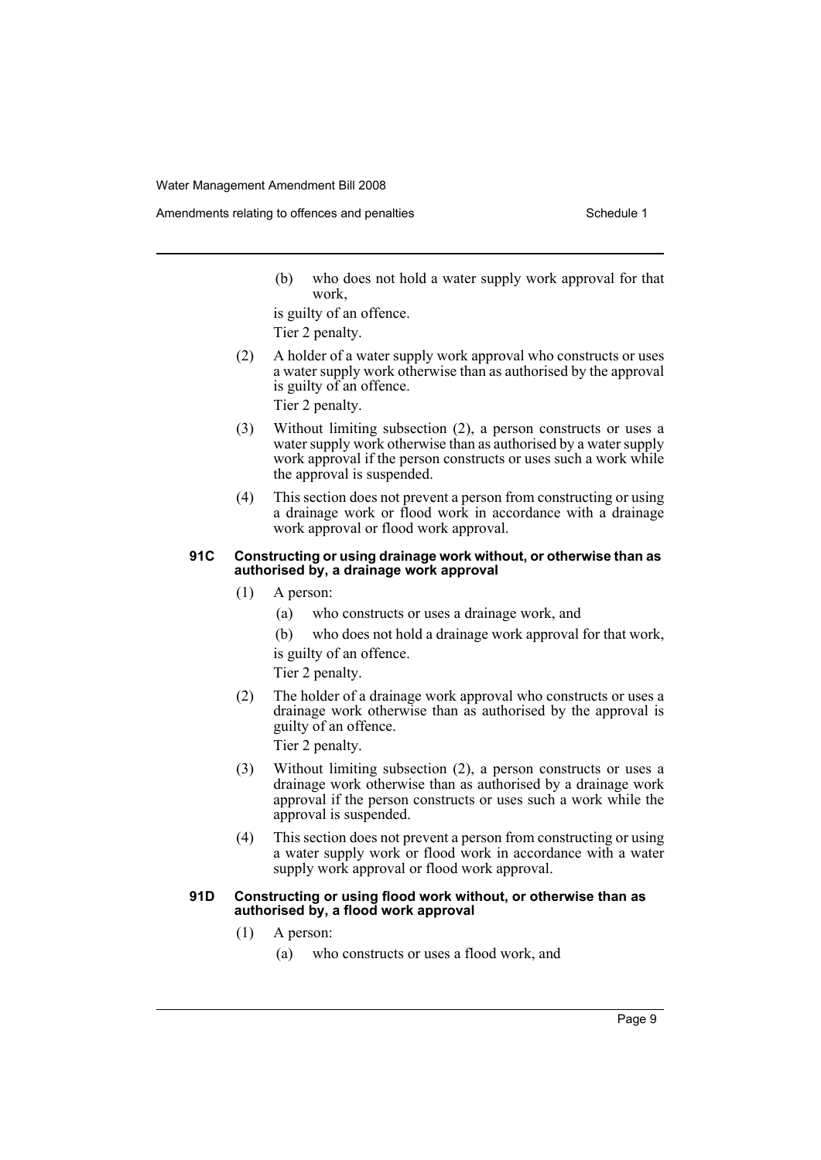(b) who does not hold a water supply work approval for that work,

is guilty of an offence. Tier 2 penalty.

(2) A holder of a water supply work approval who constructs or uses a water supply work otherwise than as authorised by the approval is guilty of an offence.

Tier 2 penalty.

- (3) Without limiting subsection (2), a person constructs or uses a water supply work otherwise than as authorised by a water supply work approval if the person constructs or uses such a work while the approval is suspended.
- (4) This section does not prevent a person from constructing or using a drainage work or flood work in accordance with a drainage work approval or flood work approval.

#### **91C Constructing or using drainage work without, or otherwise than as authorised by, a drainage work approval**

- (1) A person:
	- (a) who constructs or uses a drainage work, and
	- (b) who does not hold a drainage work approval for that work,

is guilty of an offence.

Tier 2 penalty.

(2) The holder of a drainage work approval who constructs or uses a drainage work otherwise than as authorised by the approval is guilty of an offence.

Tier 2 penalty.

- (3) Without limiting subsection (2), a person constructs or uses a drainage work otherwise than as authorised by a drainage work approval if the person constructs or uses such a work while the approval is suspended.
- (4) This section does not prevent a person from constructing or using a water supply work or flood work in accordance with a water supply work approval or flood work approval.

#### **91D Constructing or using flood work without, or otherwise than as authorised by, a flood work approval**

- (1) A person:
	- (a) who constructs or uses a flood work, and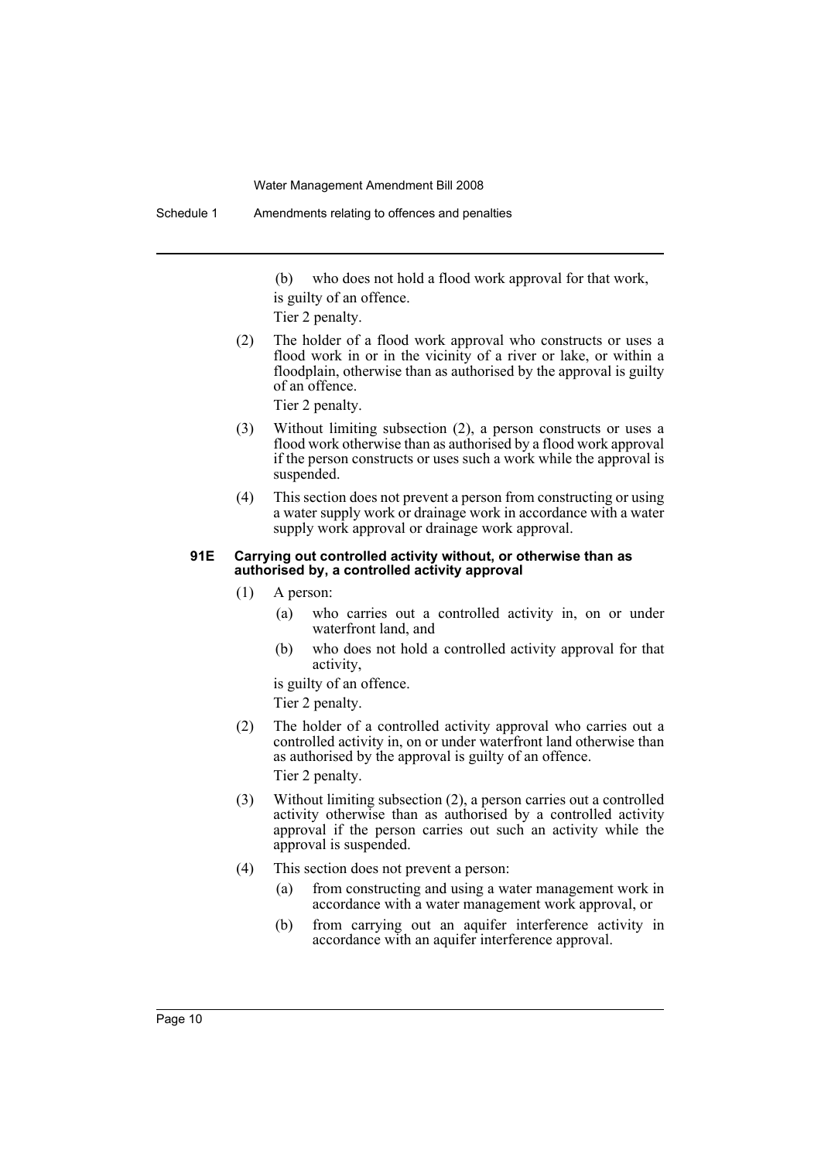(b) who does not hold a flood work approval for that work, is guilty of an offence.

Tier 2 penalty.

(2) The holder of a flood work approval who constructs or uses a flood work in or in the vicinity of a river or lake, or within a floodplain, otherwise than as authorised by the approval is guilty of an offence.

Tier 2 penalty.

- (3) Without limiting subsection (2), a person constructs or uses a flood work otherwise than as authorised by a flood work approval if the person constructs or uses such a work while the approval is suspended.
- (4) This section does not prevent a person from constructing or using a water supply work or drainage work in accordance with a water supply work approval or drainage work approval.

#### **91E Carrying out controlled activity without, or otherwise than as authorised by, a controlled activity approval**

- (1) A person:
	- (a) who carries out a controlled activity in, on or under waterfront land, and
	- (b) who does not hold a controlled activity approval for that activity,

is guilty of an offence.

Tier 2 penalty.

(2) The holder of a controlled activity approval who carries out a controlled activity in, on or under waterfront land otherwise than as authorised by the approval is guilty of an offence. Tier 2 penalty.

(3) Without limiting subsection (2), a person carries out a controlled activity otherwise than as authorised by a controlled activity approval if the person carries out such an activity while the approval is suspended.

- (4) This section does not prevent a person:
	- (a) from constructing and using a water management work in accordance with a water management work approval, or
	- (b) from carrying out an aquifer interference activity in accordance with an aquifer interference approval.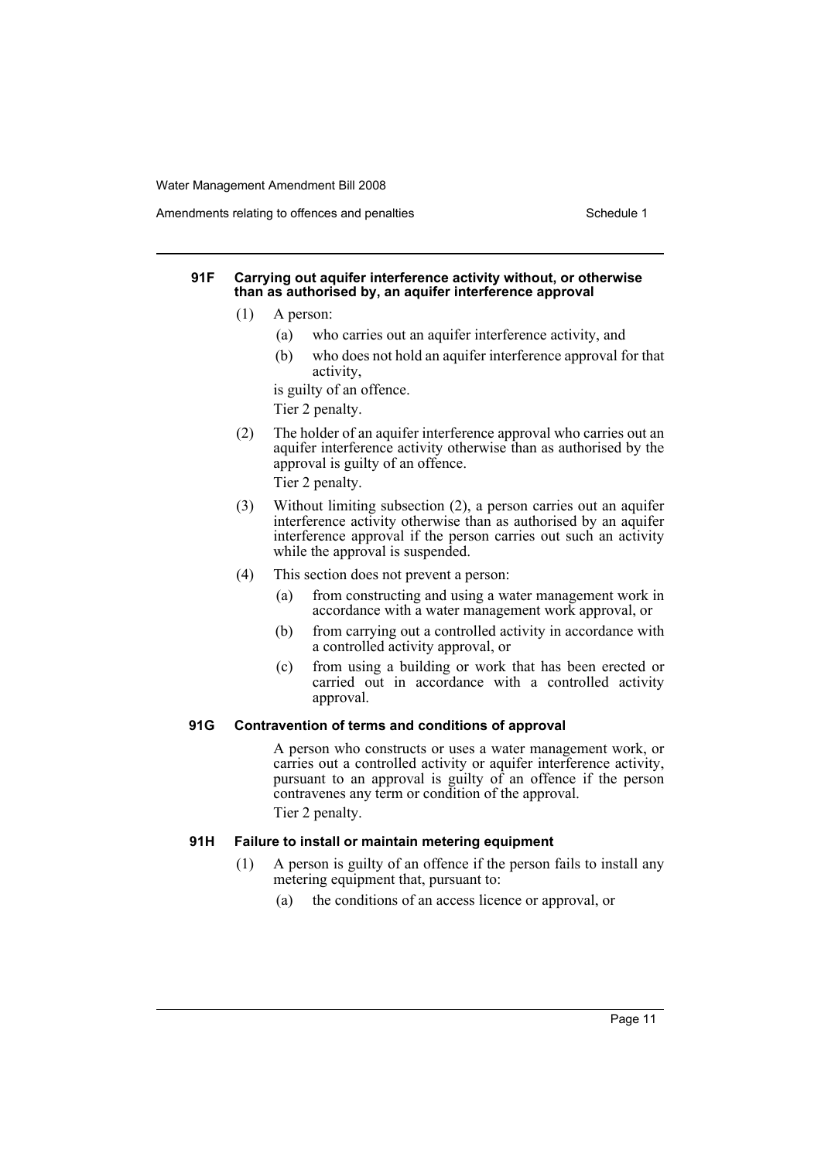Amendments relating to offences and penalties Schedule 1

### **91F Carrying out aquifer interference activity without, or otherwise than as authorised by, an aquifer interference approval**

- (1) A person:
	- (a) who carries out an aquifer interference activity, and
	- (b) who does not hold an aquifer interference approval for that activity,

is guilty of an offence.

Tier 2 penalty.

(2) The holder of an aquifer interference approval who carries out an aquifer interference activity otherwise than as authorised by the approval is guilty of an offence.

Tier 2 penalty.

- (3) Without limiting subsection (2), a person carries out an aquifer interference activity otherwise than as authorised by an aquifer interference approval if the person carries out such an activity while the approval is suspended.
- (4) This section does not prevent a person:
	- (a) from constructing and using a water management work in accordance with a water management work approval, or
	- (b) from carrying out a controlled activity in accordance with a controlled activity approval, or
	- (c) from using a building or work that has been erected or carried out in accordance with a controlled activity approval.

### **91G Contravention of terms and conditions of approval**

A person who constructs or uses a water management work, or carries out a controlled activity or aquifer interference activity, pursuant to an approval is guilty of an offence if the person contravenes any term or condition of the approval. Tier 2 penalty.

**91H Failure to install or maintain metering equipment**

- (1) A person is guilty of an offence if the person fails to install any metering equipment that, pursuant to:
	- (a) the conditions of an access licence or approval, or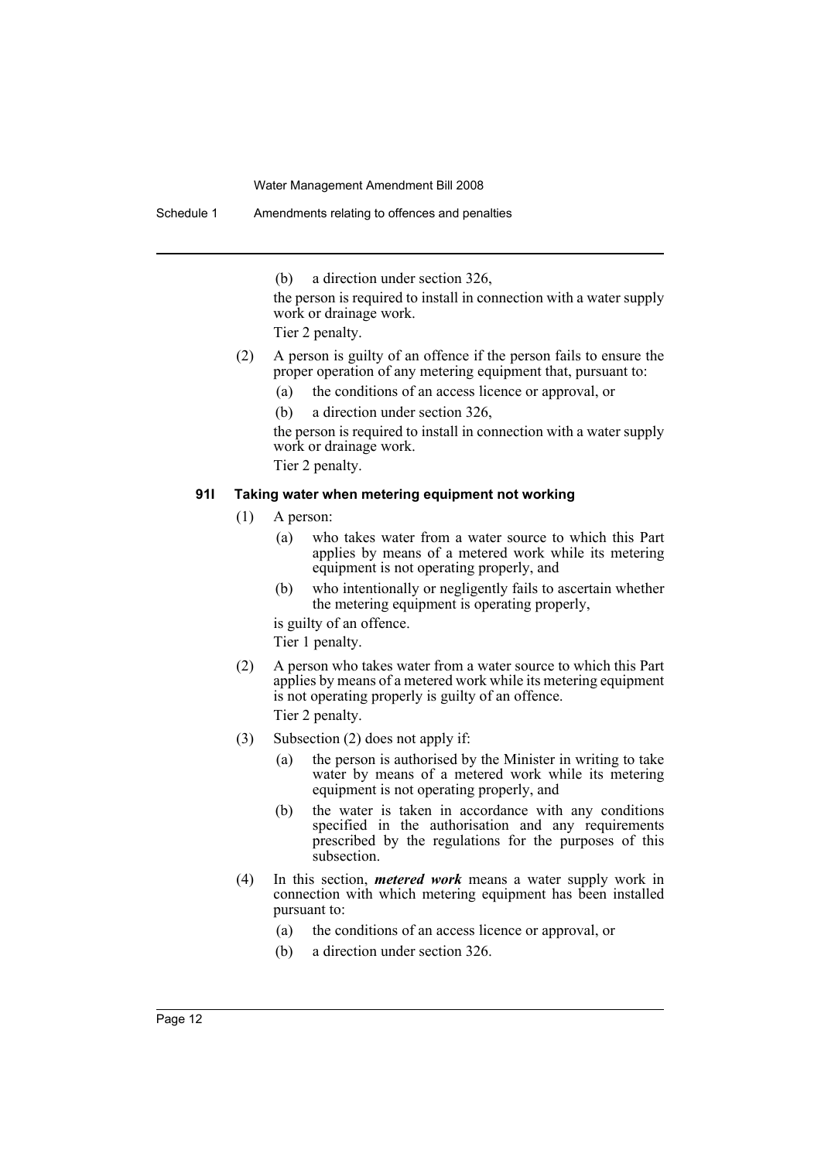(b) a direction under section 326,

the person is required to install in connection with a water supply work or drainage work.

Tier 2 penalty.

- (2) A person is guilty of an offence if the person fails to ensure the proper operation of any metering equipment that, pursuant to:
	- (a) the conditions of an access licence or approval, or
	- (b) a direction under section 326,

the person is required to install in connection with a water supply work or drainage work.

Tier 2 penalty.

#### **91I Taking water when metering equipment not working**

- (1) A person:
	- (a) who takes water from a water source to which this Part applies by means of a metered work while its metering equipment is not operating properly, and
	- (b) who intentionally or negligently fails to ascertain whether the metering equipment is operating properly,

is guilty of an offence. Tier 1 penalty.

- (2) A person who takes water from a water source to which this Part applies by means of a metered work while its metering equipment is not operating properly is guilty of an offence. Tier 2 penalty.
- (3) Subsection (2) does not apply if:
	- (a) the person is authorised by the Minister in writing to take water by means of a metered work while its metering equipment is not operating properly, and
	- (b) the water is taken in accordance with any conditions specified in the authorisation and any requirements prescribed by the regulations for the purposes of this subsection.
- (4) In this section, *metered work* means a water supply work in connection with which metering equipment has been installed pursuant to:
	- (a) the conditions of an access licence or approval, or
	- (b) a direction under section 326.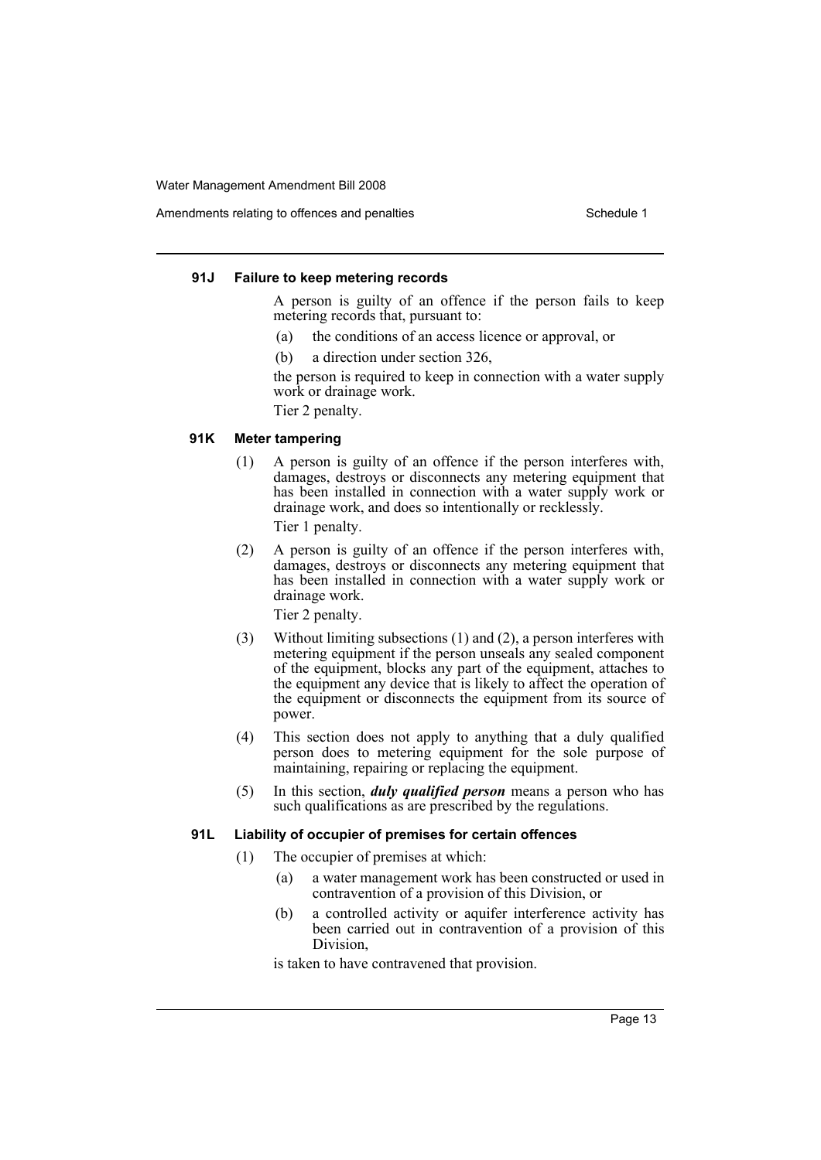Amendments relating to offences and penalties Schedule 1

#### **91J Failure to keep metering records**

A person is guilty of an offence if the person fails to keep metering records that, pursuant to:

- (a) the conditions of an access licence or approval, or
- (b) a direction under section 326,

the person is required to keep in connection with a water supply work or drainage work.

Tier 2 penalty.

#### **91K Meter tampering**

- (1) A person is guilty of an offence if the person interferes with, damages, destroys or disconnects any metering equipment that has been installed in connection with a water supply work or drainage work, and does so intentionally or recklessly. Tier 1 penalty.
	-
- (2) A person is guilty of an offence if the person interferes with, damages, destroys or disconnects any metering equipment that has been installed in connection with a water supply work or drainage work.

Tier 2 penalty.

- (3) Without limiting subsections (1) and (2), a person interferes with metering equipment if the person unseals any sealed component of the equipment, blocks any part of the equipment, attaches to the equipment any device that is likely to affect the operation of the equipment or disconnects the equipment from its source of power.
- (4) This section does not apply to anything that a duly qualified person does to metering equipment for the sole purpose of maintaining, repairing or replacing the equipment.
- (5) In this section, *duly qualified person* means a person who has such qualifications as are prescribed by the regulations.

#### **91L Liability of occupier of premises for certain offences**

- (1) The occupier of premises at which:
	- (a) a water management work has been constructed or used in contravention of a provision of this Division, or
	- (b) a controlled activity or aquifer interference activity has been carried out in contravention of a provision of this Division,

is taken to have contravened that provision.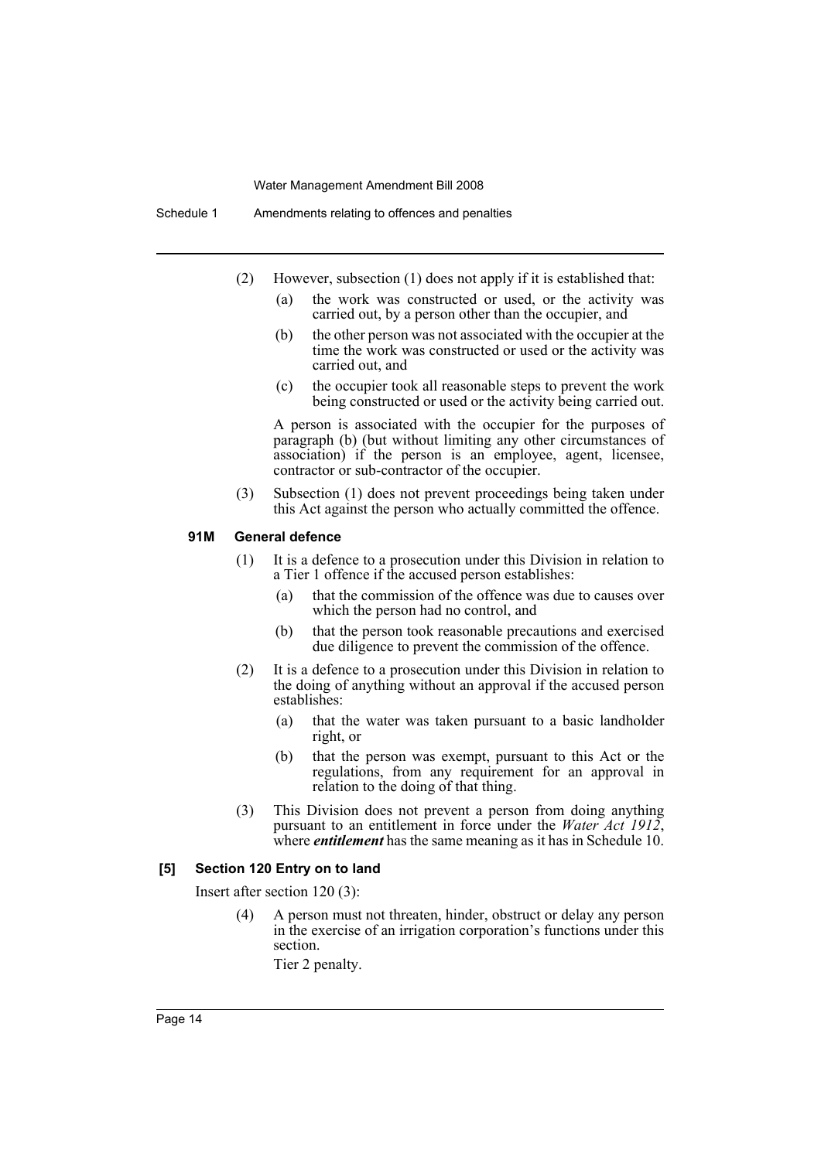- (2) However, subsection (1) does not apply if it is established that:
	- (a) the work was constructed or used, or the activity was carried out, by a person other than the occupier, and
	- (b) the other person was not associated with the occupier at the time the work was constructed or used or the activity was carried out, and
	- (c) the occupier took all reasonable steps to prevent the work being constructed or used or the activity being carried out.

A person is associated with the occupier for the purposes of paragraph (b) (but without limiting any other circumstances of association) if the person is an employee, agent, licensee, contractor or sub-contractor of the occupier.

(3) Subsection (1) does not prevent proceedings being taken under this Act against the person who actually committed the offence.

### **91M General defence**

- (1) It is a defence to a prosecution under this Division in relation to a Tier 1 offence if the accused person establishes:
	- (a) that the commission of the offence was due to causes over which the person had no control, and
	- (b) that the person took reasonable precautions and exercised due diligence to prevent the commission of the offence.
- (2) It is a defence to a prosecution under this Division in relation to the doing of anything without an approval if the accused person establishes:
	- (a) that the water was taken pursuant to a basic landholder right, or
	- (b) that the person was exempt, pursuant to this Act or the regulations, from any requirement for an approval in relation to the doing of that thing.
- (3) This Division does not prevent a person from doing anything pursuant to an entitlement in force under the *Water Act 1912*, where *entitlement* has the same meaning as it has in Schedule 10.

#### **[5] Section 120 Entry on to land**

Insert after section 120 (3):

(4) A person must not threaten, hinder, obstruct or delay any person in the exercise of an irrigation corporation's functions under this section.

Tier 2 penalty.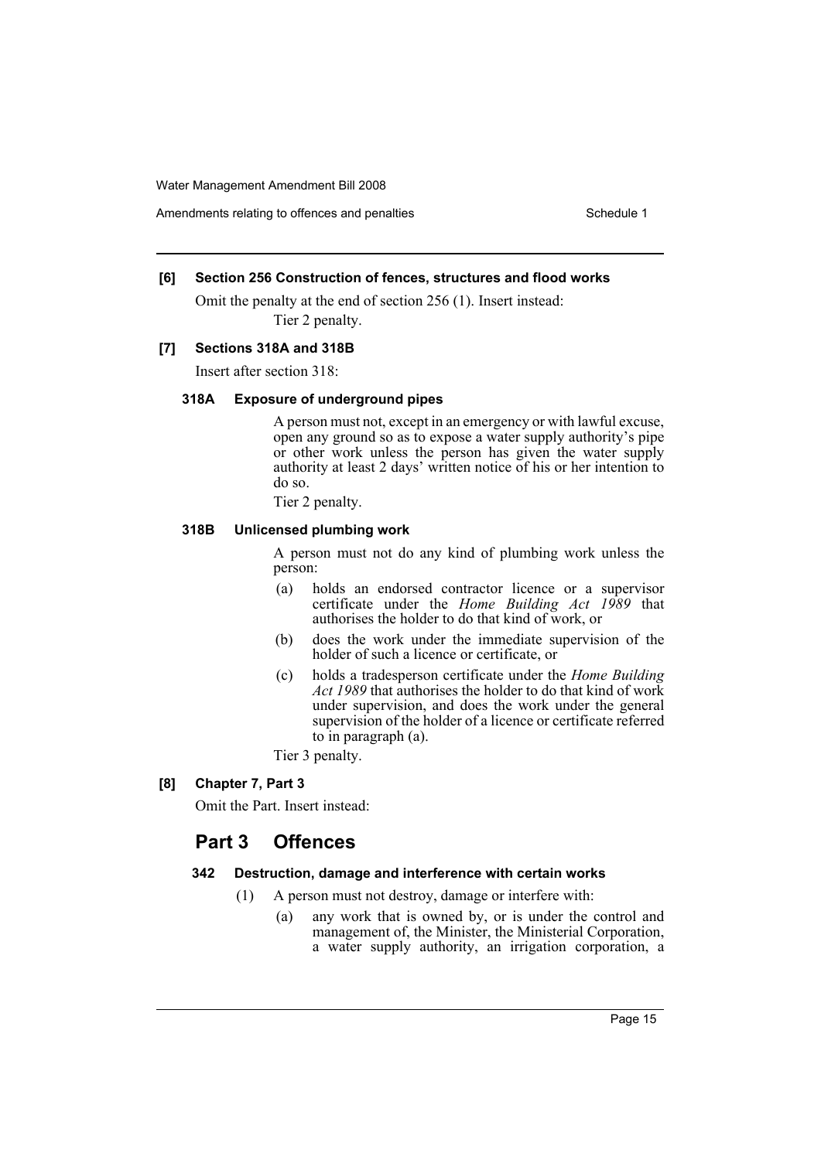Amendments relating to offences and penalties Schedule 1

### **[6] Section 256 Construction of fences, structures and flood works**

Omit the penalty at the end of section 256 (1). Insert instead: Tier 2 penalty.

#### **[7] Sections 318A and 318B**

Insert after section 318:

### **318A Exposure of underground pipes**

A person must not, except in an emergency or with lawful excuse, open any ground so as to expose a water supply authority's pipe or other work unless the person has given the water supply authority at least 2 days' written notice of his or her intention to do so.

Tier 2 penalty.

#### **318B Unlicensed plumbing work**

A person must not do any kind of plumbing work unless the person:

- (a) holds an endorsed contractor licence or a supervisor certificate under the *Home Building Act 1989* that authorises the holder to do that kind of work, or
- (b) does the work under the immediate supervision of the holder of such a licence or certificate, or
- (c) holds a tradesperson certificate under the *Home Building Act 1989* that authorises the holder to do that kind of work under supervision, and does the work under the general supervision of the holder of a licence or certificate referred to in paragraph (a).
- Tier 3 penalty.
- **[8] Chapter 7, Part 3**

Omit the Part. Insert instead:

# **Part 3 Offences**

#### **342 Destruction, damage and interference with certain works**

- (1) A person must not destroy, damage or interfere with:
	- (a) any work that is owned by, or is under the control and management of, the Minister, the Ministerial Corporation, a water supply authority, an irrigation corporation, a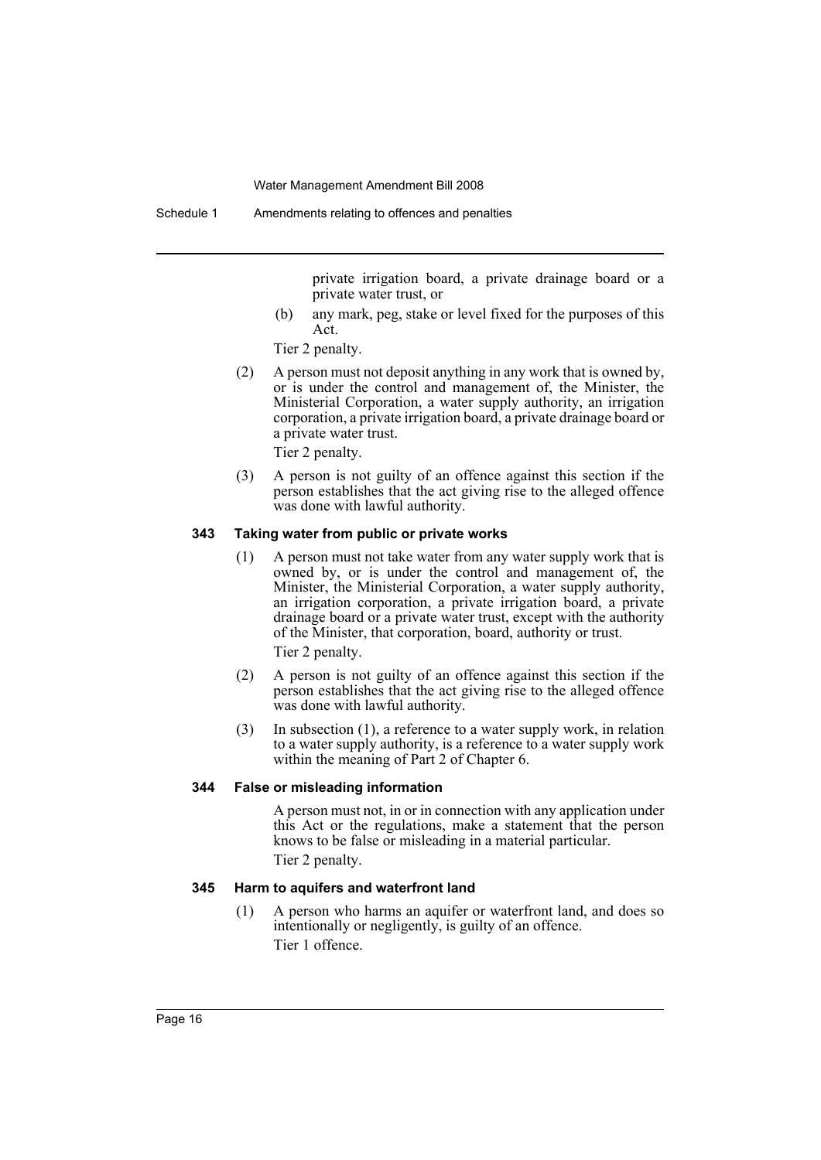private irrigation board, a private drainage board or a private water trust, or

(b) any mark, peg, stake or level fixed for the purposes of this Act.

Tier 2 penalty.

(2) A person must not deposit anything in any work that is owned by, or is under the control and management of, the Minister, the Ministerial Corporation, a water supply authority, an irrigation corporation, a private irrigation board, a private drainage board or a private water trust.

Tier 2 penalty.

(3) A person is not guilty of an offence against this section if the person establishes that the act giving rise to the alleged offence was done with lawful authority.

### **343 Taking water from public or private works**

(1) A person must not take water from any water supply work that is owned by, or is under the control and management of, the Minister, the Ministerial Corporation, a water supply authority, an irrigation corporation, a private irrigation board, a private drainage board or a private water trust, except with the authority of the Minister, that corporation, board, authority or trust.

Tier 2 penalty.

- (2) A person is not guilty of an offence against this section if the person establishes that the act giving rise to the alleged offence was done with lawful authority.
- (3) In subsection (1), a reference to a water supply work, in relation to a water supply authority, is a reference to a water supply work within the meaning of Part 2 of Chapter 6.

#### **344 False or misleading information**

A person must not, in or in connection with any application under this Act or the regulations, make a statement that the person knows to be false or misleading in a material particular. Tier 2 penalty.

### **345 Harm to aquifers and waterfront land**

(1) A person who harms an aquifer or waterfront land, and does so intentionally or negligently, is guilty of an offence. Tier 1 offence.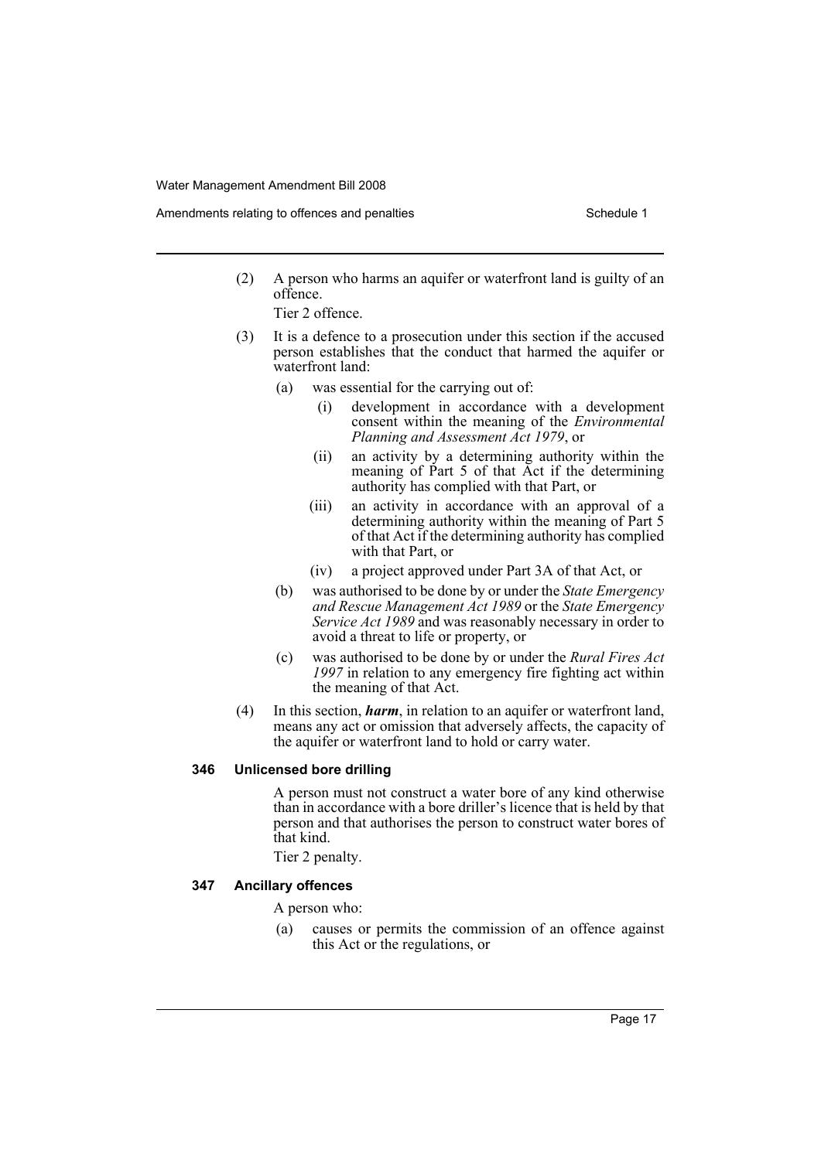- Amendments relating to offences and penalties Schedule 1 Schedule 1
	- (2) A person who harms an aquifer or waterfront land is guilty of an offence.
		- Tier 2 offence.
	- (3) It is a defence to a prosecution under this section if the accused person establishes that the conduct that harmed the aquifer or waterfront land:
		- (a) was essential for the carrying out of:
			- (i) development in accordance with a development consent within the meaning of the *Environmental Planning and Assessment Act 1979*, or
			- (ii) an activity by a determining authority within the meaning of Part 5 of that Act if the determining authority has complied with that Part, or
			- (iii) an activity in accordance with an approval of a determining authority within the meaning of Part 5 of that Act if the determining authority has complied with that Part, or
			- (iv) a project approved under Part 3A of that Act, or
		- (b) was authorised to be done by or under the *State Emergency and Rescue Management Act 1989* or the *State Emergency Service Act 1989* and was reasonably necessary in order to avoid a threat to life or property, or
		- (c) was authorised to be done by or under the *Rural Fires Act 1997* in relation to any emergency fire fighting act within the meaning of that Act.
	- (4) In this section, *harm*, in relation to an aquifer or waterfront land, means any act or omission that adversely affects, the capacity of the aquifer or waterfront land to hold or carry water.

#### **346 Unlicensed bore drilling**

A person must not construct a water bore of any kind otherwise than in accordance with a bore driller's licence that is held by that person and that authorises the person to construct water bores of that kind.

Tier 2 penalty.

#### **347 Ancillary offences**

A person who:

(a) causes or permits the commission of an offence against this Act or the regulations, or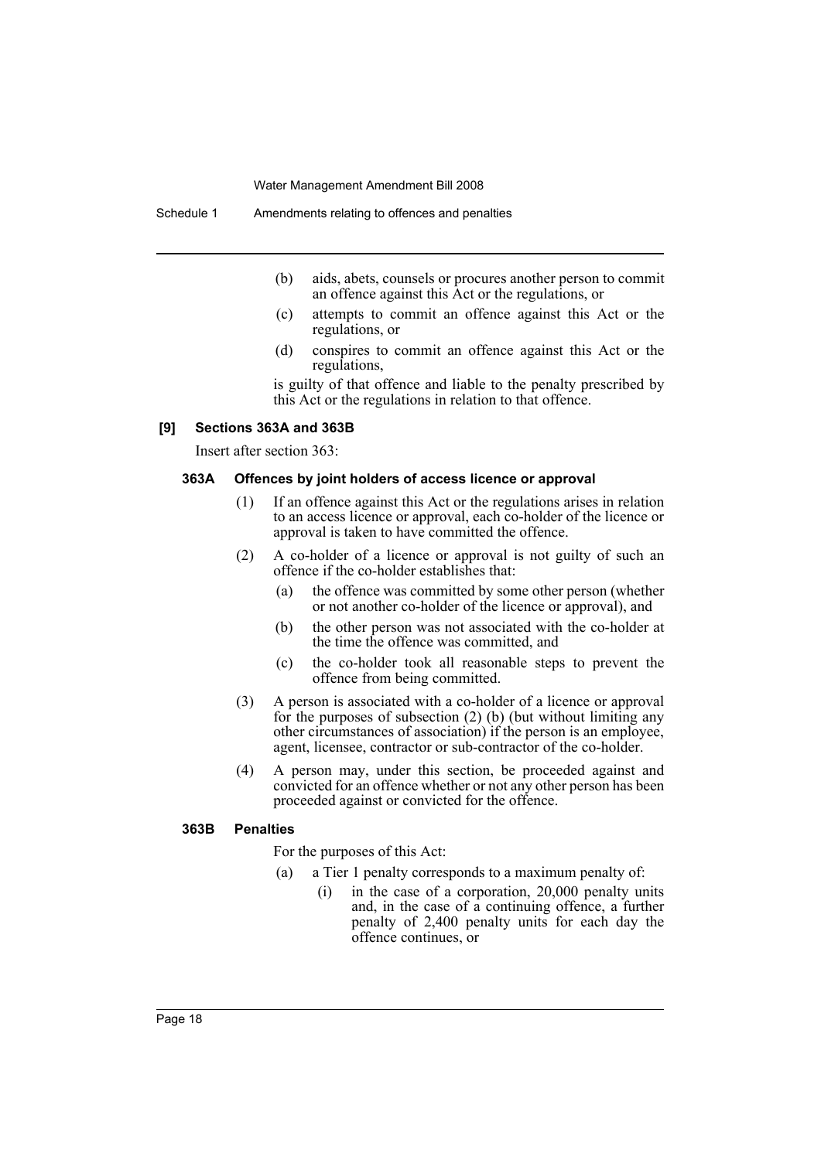- (b) aids, abets, counsels or procures another person to commit an offence against this Act or the regulations, or
- (c) attempts to commit an offence against this Act or the regulations, or
- (d) conspires to commit an offence against this Act or the regulations,

is guilty of that offence and liable to the penalty prescribed by this Act or the regulations in relation to that offence.

#### **[9] Sections 363A and 363B**

Insert after section 363:

#### **363A Offences by joint holders of access licence or approval**

- (1) If an offence against this Act or the regulations arises in relation to an access licence or approval, each co-holder of the licence or approval is taken to have committed the offence.
- (2) A co-holder of a licence or approval is not guilty of such an offence if the co-holder establishes that:
	- (a) the offence was committed by some other person (whether or not another co-holder of the licence or approval), and
	- (b) the other person was not associated with the co-holder at the time the offence was committed, and
	- (c) the co-holder took all reasonable steps to prevent the offence from being committed.
- (3) A person is associated with a co-holder of a licence or approval for the purposes of subsection (2) (b) (but without limiting any other circumstances of association) if the person is an employee, agent, licensee, contractor or sub-contractor of the co-holder.
- (4) A person may, under this section, be proceeded against and convicted for an offence whether or not any other person has been proceeded against or convicted for the offence.

#### **363B Penalties**

For the purposes of this Act:

- (a) a Tier 1 penalty corresponds to a maximum penalty of:
	- (i) in the case of a corporation, 20,000 penalty units and, in the case of a continuing offence, a further penalty of 2,400 penalty units for each day the offence continues, or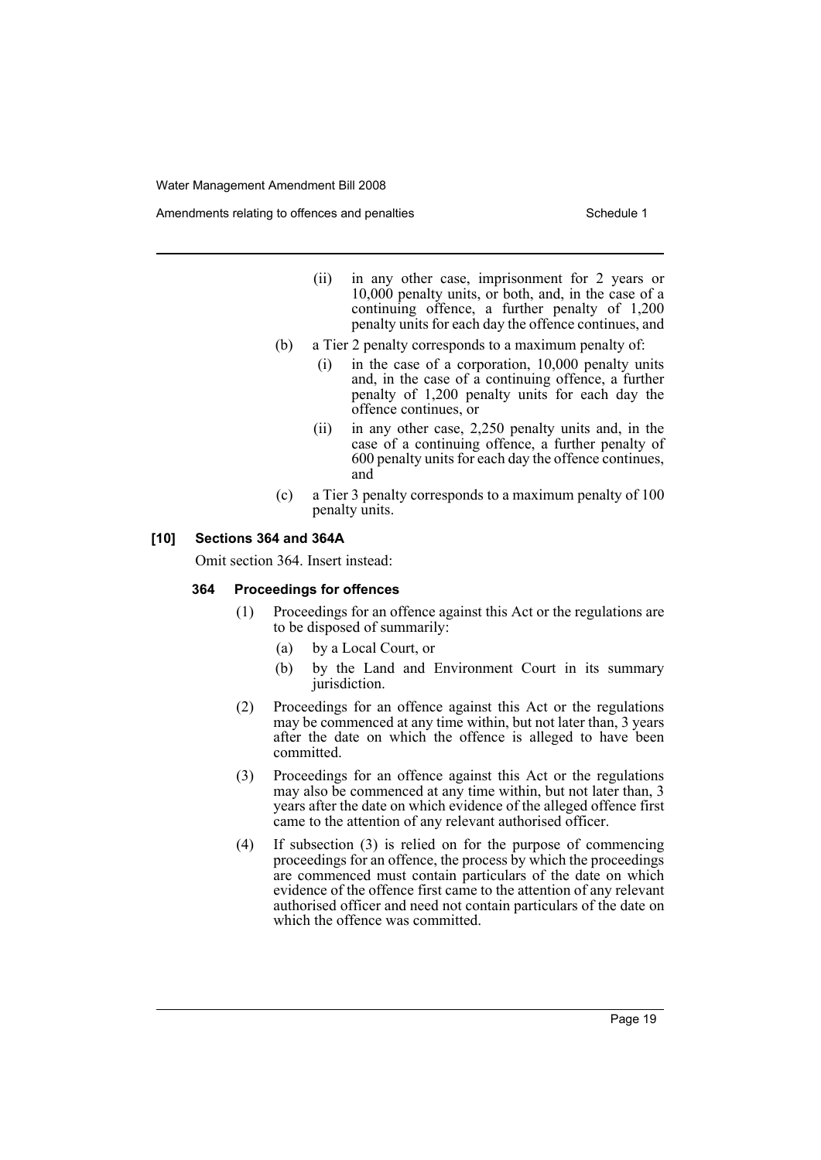Amendments relating to offences and penalties Schedule 1 Schedule 1

- (ii) in any other case, imprisonment for 2 years or 10,000 penalty units, or both, and, in the case of a continuing offence, a further penalty of 1,200 penalty units for each day the offence continues, and
- (b) a Tier 2 penalty corresponds to a maximum penalty of:
	- (i) in the case of a corporation, 10,000 penalty units and, in the case of a continuing offence, a further penalty of 1,200 penalty units for each day the offence continues, or
	- (ii) in any other case, 2,250 penalty units and, in the case of a continuing offence, a further penalty of 600 penalty units for each day the offence continues, and
- (c) a Tier 3 penalty corresponds to a maximum penalty of 100 penalty units.

### **[10] Sections 364 and 364A**

Omit section 364. Insert instead:

#### **364 Proceedings for offences**

- (1) Proceedings for an offence against this Act or the regulations are to be disposed of summarily:
	- (a) by a Local Court, or
	- (b) by the Land and Environment Court in its summary jurisdiction.
- (2) Proceedings for an offence against this Act or the regulations may be commenced at any time within, but not later than, 3 years after the date on which the offence is alleged to have been committed.
- (3) Proceedings for an offence against this Act or the regulations may also be commenced at any time within, but not later than, 3 years after the date on which evidence of the alleged offence first came to the attention of any relevant authorised officer.
- (4) If subsection (3) is relied on for the purpose of commencing proceedings for an offence, the process by which the proceedings are commenced must contain particulars of the date on which evidence of the offence first came to the attention of any relevant authorised officer and need not contain particulars of the date on which the offence was committed.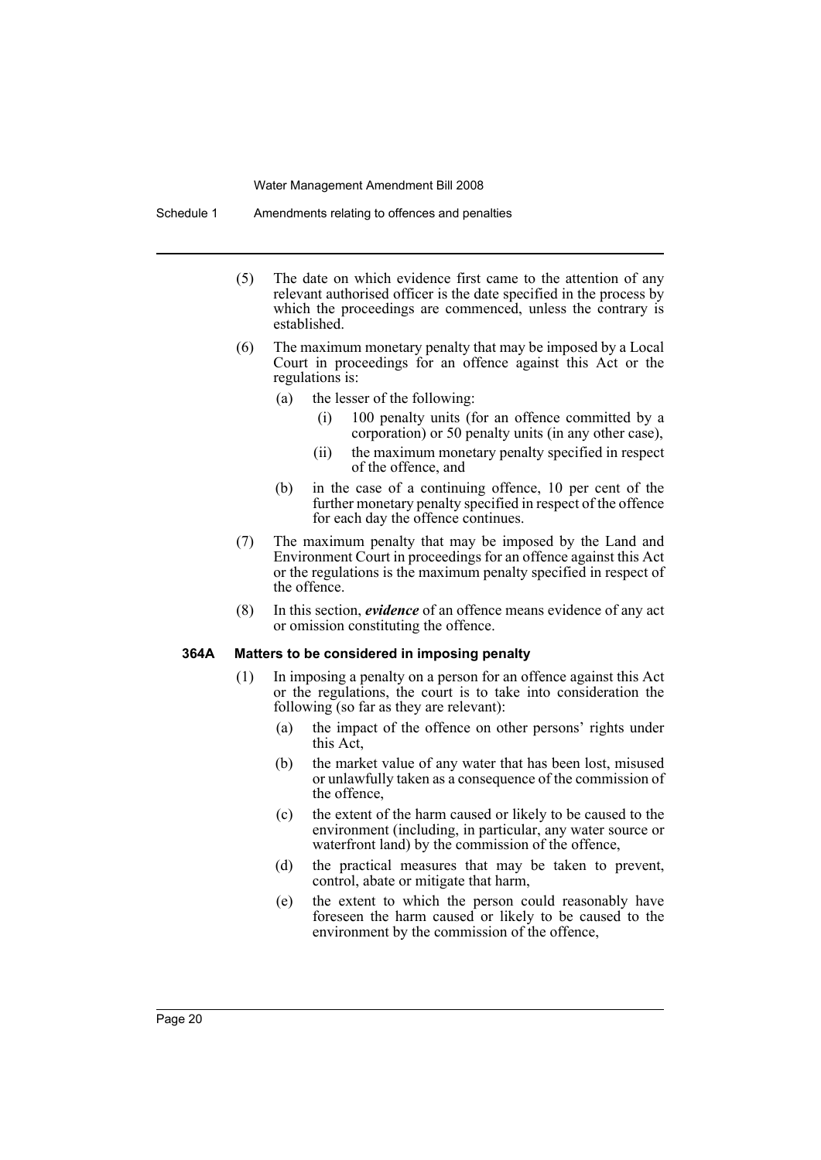Schedule 1 Amendments relating to offences and penalties

- (5) The date on which evidence first came to the attention of any relevant authorised officer is the date specified in the process by which the proceedings are commenced, unless the contrary is established.
- (6) The maximum monetary penalty that may be imposed by a Local Court in proceedings for an offence against this Act or the regulations is:
	- (a) the lesser of the following:
		- (i) 100 penalty units (for an offence committed by a corporation) or 50 penalty units (in any other case),
		- (ii) the maximum monetary penalty specified in respect of the offence, and
	- (b) in the case of a continuing offence, 10 per cent of the further monetary penalty specified in respect of the offence for each day the offence continues.
- (7) The maximum penalty that may be imposed by the Land and Environment Court in proceedings for an offence against this Act or the regulations is the maximum penalty specified in respect of the offence.
- (8) In this section, *evidence* of an offence means evidence of any act or omission constituting the offence.

### **364A Matters to be considered in imposing penalty**

- (1) In imposing a penalty on a person for an offence against this Act or the regulations, the court is to take into consideration the following (so far as they are relevant):
	- (a) the impact of the offence on other persons' rights under this Act,
	- (b) the market value of any water that has been lost, misused or unlawfully taken as a consequence of the commission of the offence,
	- (c) the extent of the harm caused or likely to be caused to the environment (including, in particular, any water source or waterfront land) by the commission of the offence,
	- (d) the practical measures that may be taken to prevent, control, abate or mitigate that harm,
	- (e) the extent to which the person could reasonably have foreseen the harm caused or likely to be caused to the environment by the commission of the offence,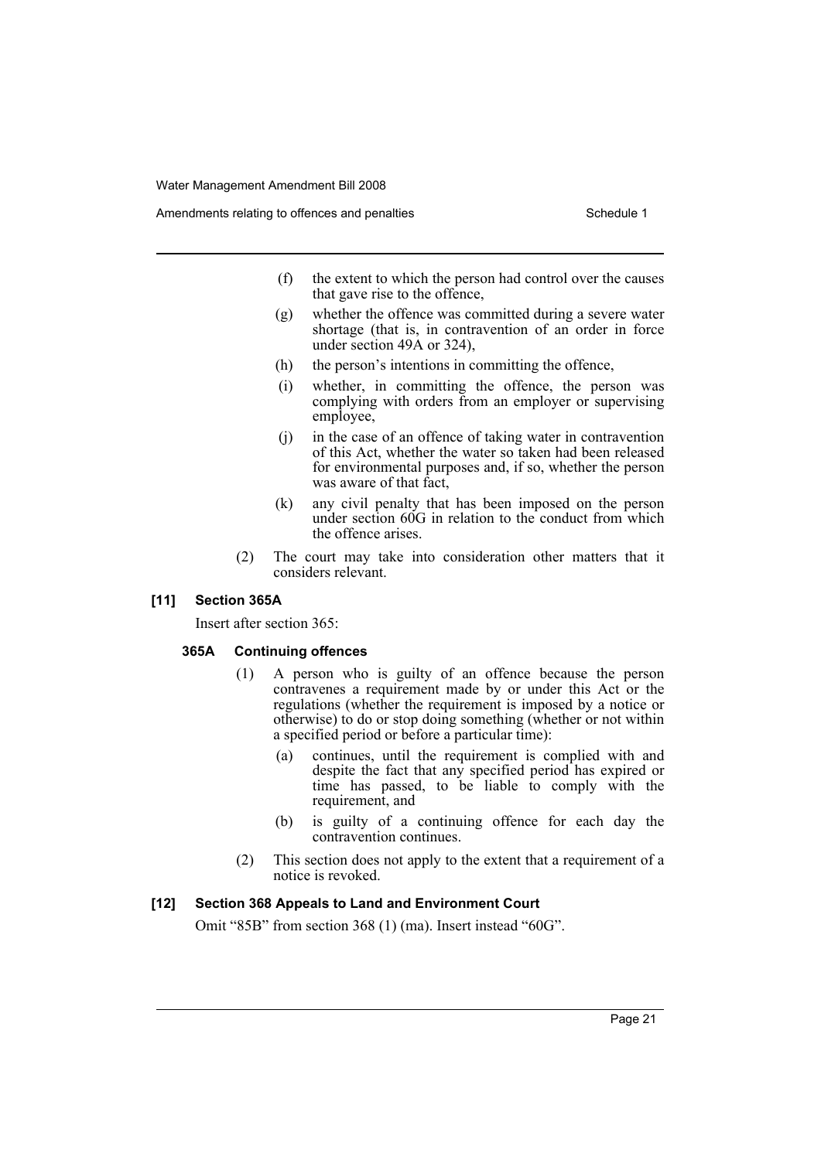- (f) the extent to which the person had control over the causes that gave rise to the offence,
- (g) whether the offence was committed during a severe water shortage (that is, in contravention of an order in force under section 49A or 324),
- (h) the person's intentions in committing the offence,
- (i) whether, in committing the offence, the person was complying with orders from an employer or supervising employee,
- (j) in the case of an offence of taking water in contravention of this Act, whether the water so taken had been released for environmental purposes and, if so, whether the person was aware of that fact,
- (k) any civil penalty that has been imposed on the person under section 60G in relation to the conduct from which the offence arises.
- (2) The court may take into consideration other matters that it considers relevant.

#### **[11] Section 365A**

Insert after section 365:

#### **365A Continuing offences**

- (1) A person who is guilty of an offence because the person contravenes a requirement made by or under this Act or the regulations (whether the requirement is imposed by a notice or otherwise) to do or stop doing something (whether or not within a specified period or before a particular time):
	- (a) continues, until the requirement is complied with and despite the fact that any specified period has expired or time has passed, to be liable to comply with the requirement, and
	- (b) is guilty of a continuing offence for each day the contravention continues.
- (2) This section does not apply to the extent that a requirement of a notice is revoked.

#### **[12] Section 368 Appeals to Land and Environment Court**

Omit "85B" from section 368 (1) (ma). Insert instead "60G".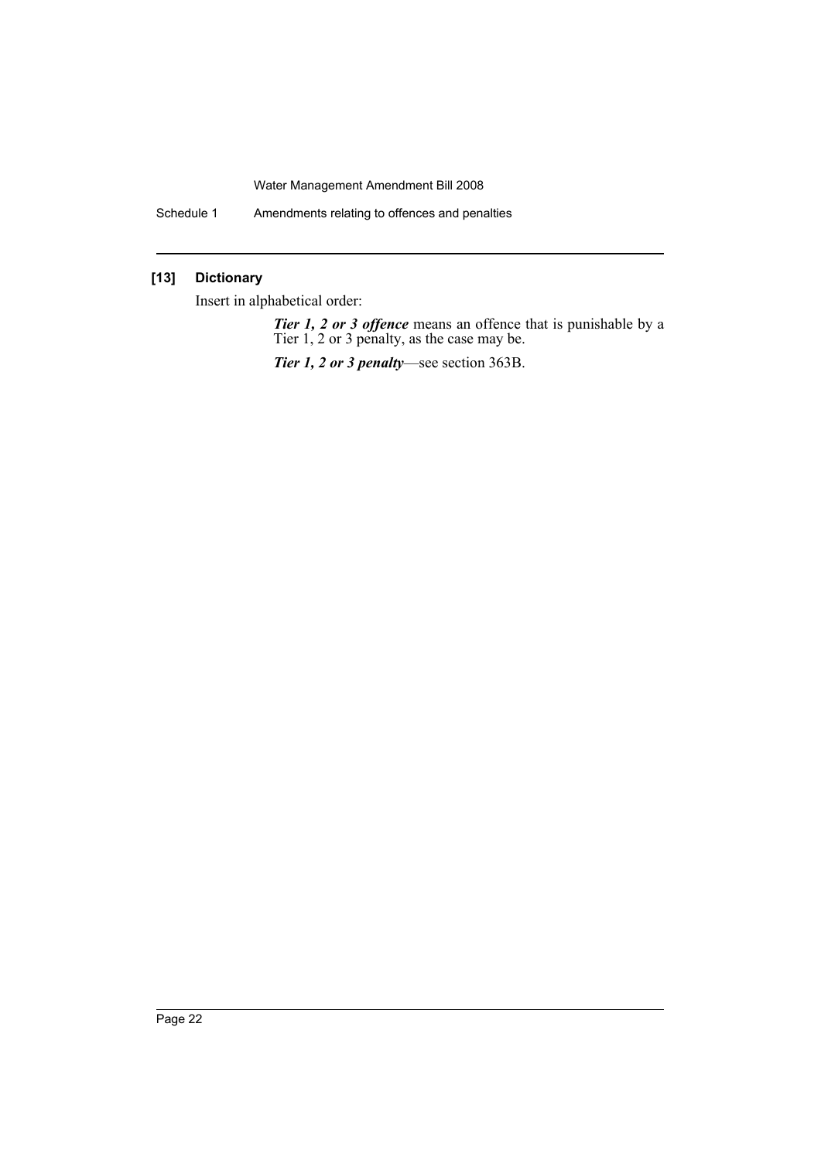Schedule 1 Amendments relating to offences and penalties

### **[13] Dictionary**

Insert in alphabetical order:

*Tier 1, 2 or 3 offence* means an offence that is punishable by a Tier 1, 2 or 3 penalty, as the case may be.

*Tier 1, 2 or 3 penalty*—see section 363B.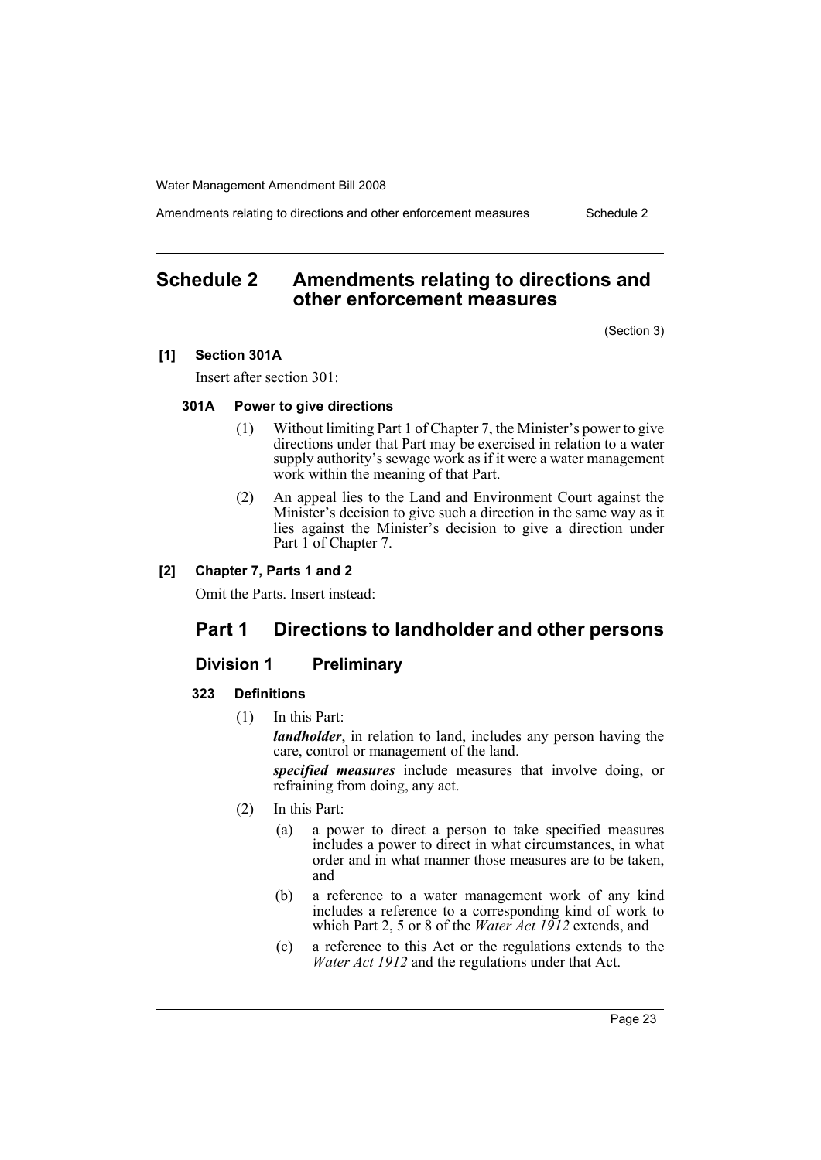Amendments relating to directions and other enforcement measures Schedule 2

# <span id="page-23-0"></span>**Schedule 2 Amendments relating to directions and other enforcement measures**

(Section 3)

### **[1] Section 301A**

Insert after section 301:

#### **301A Power to give directions**

- (1) Without limiting Part 1 of Chapter 7, the Minister's power to give directions under that Part may be exercised in relation to a water supply authority's sewage work as if it were a water management work within the meaning of that Part.
- (2) An appeal lies to the Land and Environment Court against the Minister's decision to give such a direction in the same way as it lies against the Minister's decision to give a direction under Part 1 of Chapter 7.

### **[2] Chapter 7, Parts 1 and 2**

Omit the Parts. Insert instead:

# **Part 1 Directions to landholder and other persons**

### **Division 1 Preliminary**

#### **323 Definitions**

(1) In this Part:

*landholder*, in relation to land, includes any person having the care, control or management of the land.

*specified measures* include measures that involve doing, or refraining from doing, any act.

- (2) In this Part:
	- (a) a power to direct a person to take specified measures includes a power to direct in what circumstances, in what order and in what manner those measures are to be taken, and
	- (b) a reference to a water management work of any kind includes a reference to a corresponding kind of work to which Part 2, 5 or 8 of the *Water Act 1912* extends, and
	- (c) a reference to this Act or the regulations extends to the *Water Act 1912* and the regulations under that Act.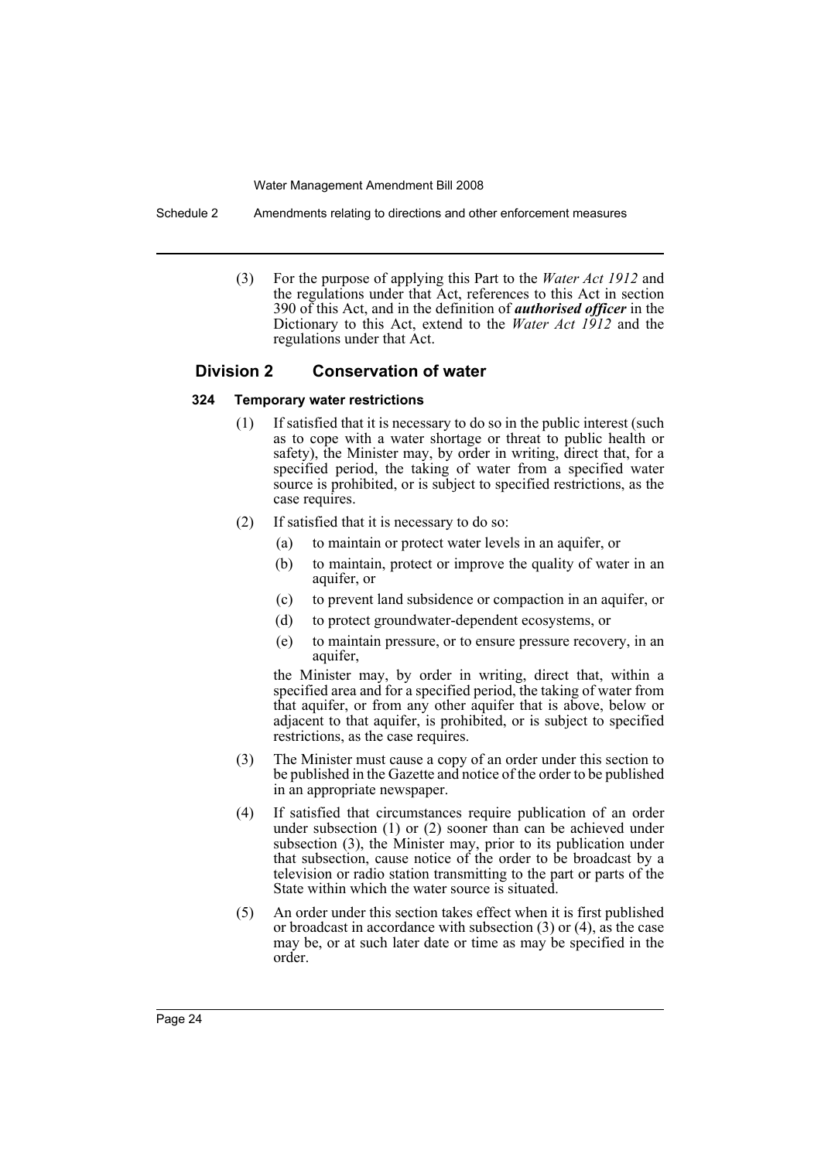Schedule 2 Amendments relating to directions and other enforcement measures

(3) For the purpose of applying this Part to the *Water Act 1912* and the regulations under that Act, references to this Act in section 390 of this Act, and in the definition of *authorised officer* in the Dictionary to this Act, extend to the *Water Act 1912* and the regulations under that Act.

### **Division 2 Conservation of water**

### **324 Temporary water restrictions**

- (1) If satisfied that it is necessary to do so in the public interest (such as to cope with a water shortage or threat to public health or safety), the Minister may, by order in writing, direct that, for a specified period, the taking of water from a specified water source is prohibited, or is subject to specified restrictions, as the case requires.
- (2) If satisfied that it is necessary to do so:
	- (a) to maintain or protect water levels in an aquifer, or
	- (b) to maintain, protect or improve the quality of water in an aquifer, or
	- (c) to prevent land subsidence or compaction in an aquifer, or
	- (d) to protect groundwater-dependent ecosystems, or
	- (e) to maintain pressure, or to ensure pressure recovery, in an aquifer,

the Minister may, by order in writing, direct that, within a specified area and for a specified period, the taking of water from that aquifer, or from any other aquifer that is above, below or adjacent to that aquifer, is prohibited, or is subject to specified restrictions, as the case requires.

- (3) The Minister must cause a copy of an order under this section to be published in the Gazette and notice of the order to be published in an appropriate newspaper.
- (4) If satisfied that circumstances require publication of an order under subsection (1) or (2) sooner than can be achieved under subsection (3), the Minister may, prior to its publication under that subsection, cause notice of the order to be broadcast by a television or radio station transmitting to the part or parts of the State within which the water source is situated.
- (5) An order under this section takes effect when it is first published or broadcast in accordance with subsection (3) or (4), as the case may be, or at such later date or time as may be specified in the order.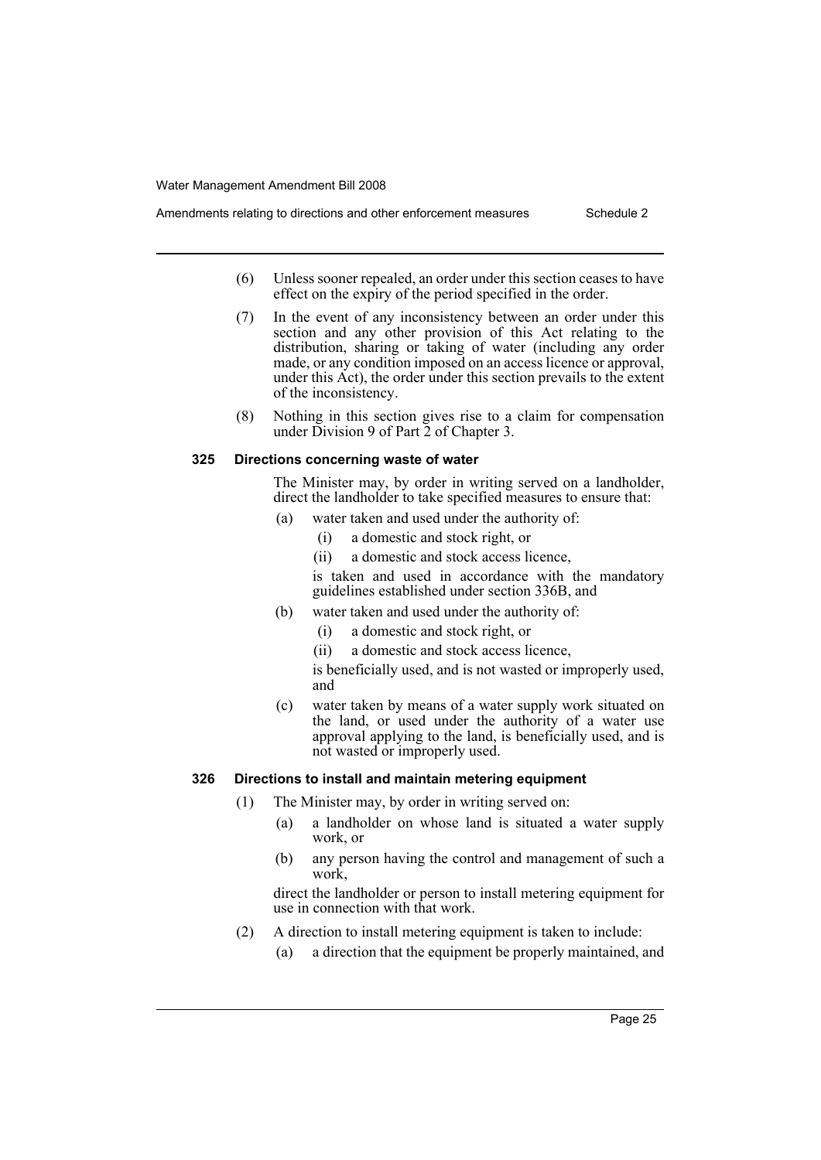- (6) Unless sooner repealed, an order under this section ceases to have effect on the expiry of the period specified in the order.
	- (7) In the event of any inconsistency between an order under this section and any other provision of this Act relating to the distribution, sharing or taking of water (including any order made, or any condition imposed on an access licence or approval, under this Act), the order under this section prevails to the extent of the inconsistency.
	- (8) Nothing in this section gives rise to a claim for compensation under Division 9 of Part 2 of Chapter 3.

### **325 Directions concerning waste of water**

The Minister may, by order in writing served on a landholder, direct the landholder to take specified measures to ensure that:

- (a) water taken and used under the authority of:
	- (i) a domestic and stock right, or
	- (ii) a domestic and stock access licence,

is taken and used in accordance with the mandatory guidelines established under section 336B, and

- (b) water taken and used under the authority of:
	- (i) a domestic and stock right, or
	- (ii) a domestic and stock access licence,
	- is beneficially used, and is not wasted or improperly used, and
- (c) water taken by means of a water supply work situated on the land, or used under the authority of a water use approval applying to the land, is beneficially used, and is not wasted or improperly used.

### **326 Directions to install and maintain metering equipment**

- (1) The Minister may, by order in writing served on:
	- (a) a landholder on whose land is situated a water supply work, or
	- (b) any person having the control and management of such a work,

direct the landholder or person to install metering equipment for use in connection with that work.

- (2) A direction to install metering equipment is taken to include:
	- (a) a direction that the equipment be properly maintained, and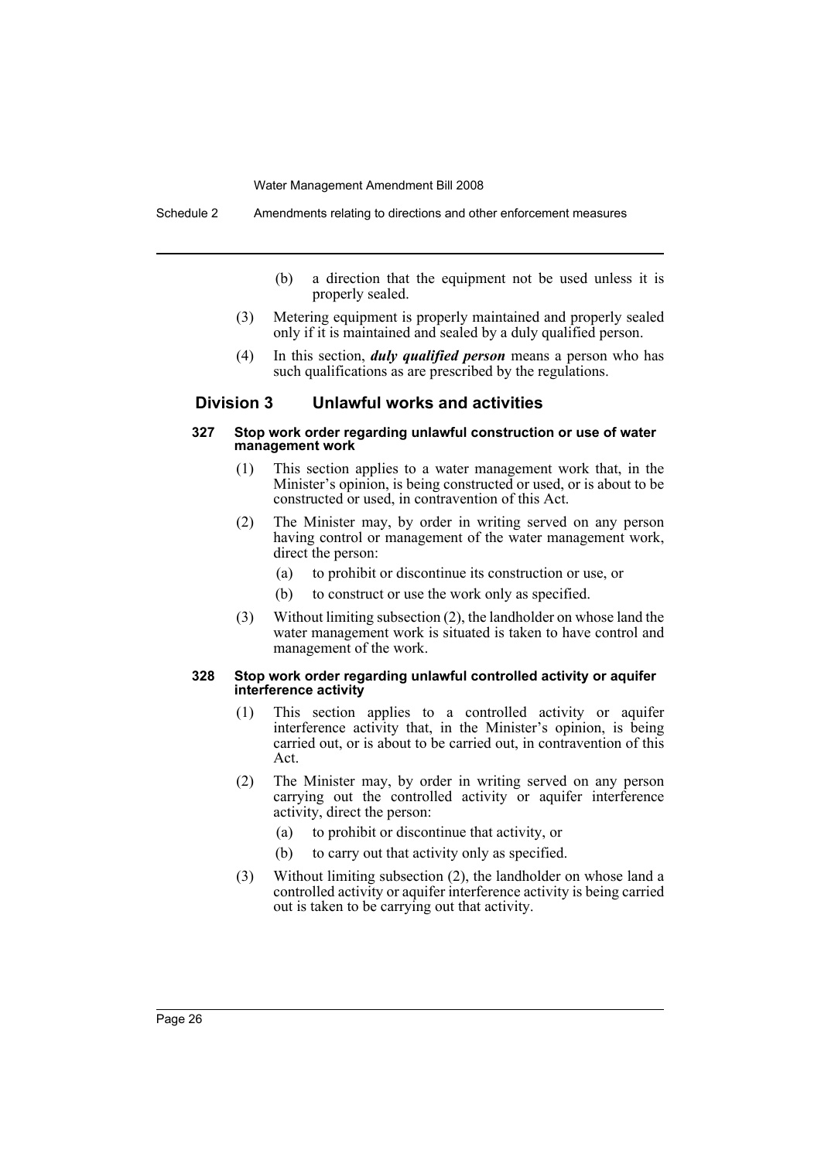Schedule 2 Amendments relating to directions and other enforcement measures

- (b) a direction that the equipment not be used unless it is properly sealed.
- (3) Metering equipment is properly maintained and properly sealed only if it is maintained and sealed by a duly qualified person.
- (4) In this section, *duly qualified person* means a person who has such qualifications as are prescribed by the regulations.

### **Division 3 Unlawful works and activities**

#### **327 Stop work order regarding unlawful construction or use of water management work**

- (1) This section applies to a water management work that, in the Minister's opinion, is being constructed or used, or is about to be constructed or used, in contravention of this Act.
- (2) The Minister may, by order in writing served on any person having control or management of the water management work, direct the person:
	- (a) to prohibit or discontinue its construction or use, or
	- (b) to construct or use the work only as specified.
- (3) Without limiting subsection (2), the landholder on whose land the water management work is situated is taken to have control and management of the work.

#### **328 Stop work order regarding unlawful controlled activity or aquifer interference activity**

- (1) This section applies to a controlled activity or aquifer interference activity that, in the Minister's opinion, is being carried out, or is about to be carried out, in contravention of this Act.
- (2) The Minister may, by order in writing served on any person carrying out the controlled activity or aquifer interference activity, direct the person:
	- (a) to prohibit or discontinue that activity, or
	- (b) to carry out that activity only as specified.
- (3) Without limiting subsection (2), the landholder on whose land a controlled activity or aquifer interference activity is being carried out is taken to be carrying out that activity.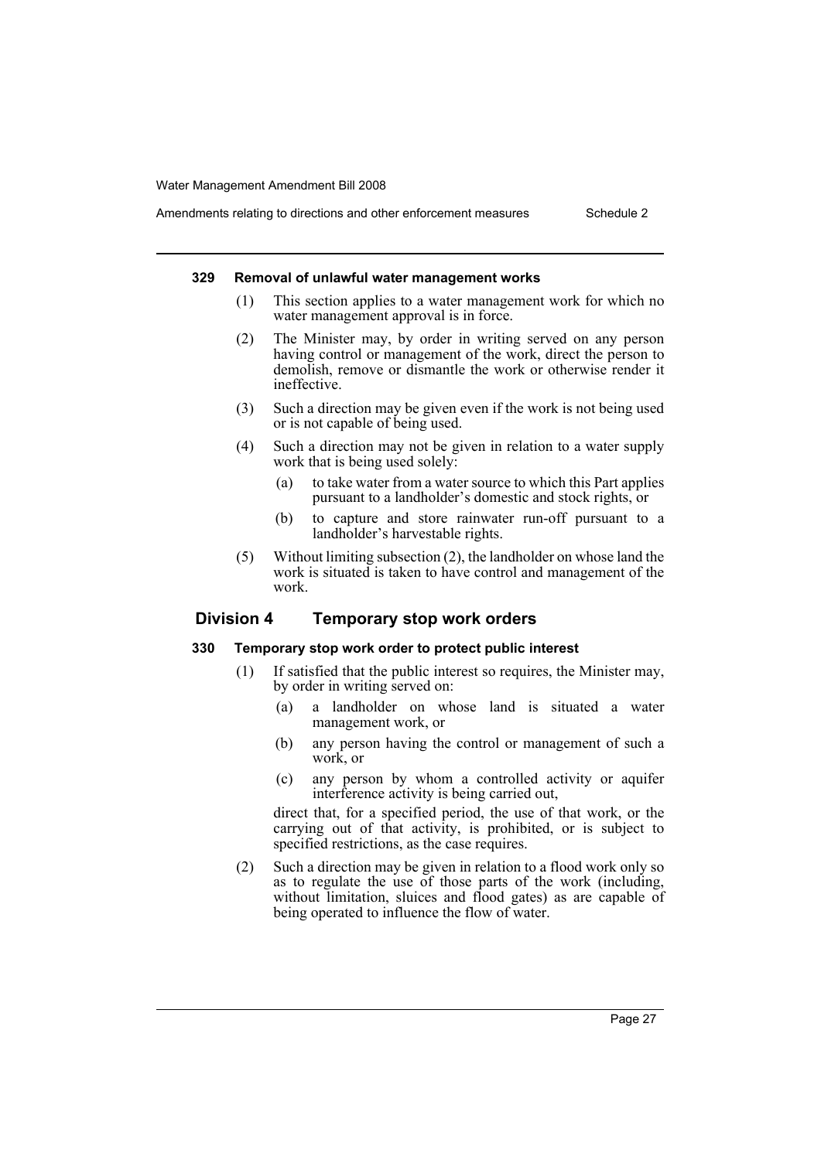# Amendments relating to directions and other enforcement measures Schedule 2

#### **329 Removal of unlawful water management works**

- (1) This section applies to a water management work for which no water management approval is in force.
- (2) The Minister may, by order in writing served on any person having control or management of the work, direct the person to demolish, remove or dismantle the work or otherwise render it ineffective.
- (3) Such a direction may be given even if the work is not being used or is not capable of being used.
- (4) Such a direction may not be given in relation to a water supply work that is being used solely:
	- (a) to take water from a water source to which this Part applies pursuant to a landholder's domestic and stock rights, or
	- (b) to capture and store rainwater run-off pursuant to a landholder's harvestable rights.
- (5) Without limiting subsection (2), the landholder on whose land the work is situated is taken to have control and management of the work.

### **Division 4 Temporary stop work orders**

#### **330 Temporary stop work order to protect public interest**

- (1) If satisfied that the public interest so requires, the Minister may, by order in writing served on:
	- (a) a landholder on whose land is situated a water management work, or
	- (b) any person having the control or management of such a work, or
	- (c) any person by whom a controlled activity or aquifer interference activity is being carried out,

direct that, for a specified period, the use of that work, or the carrying out of that activity, is prohibited, or is subject to specified restrictions, as the case requires.

(2) Such a direction may be given in relation to a flood work only so as to regulate the use of those parts of the work (including, without limitation, sluices and flood gates) as are capable of being operated to influence the flow of water.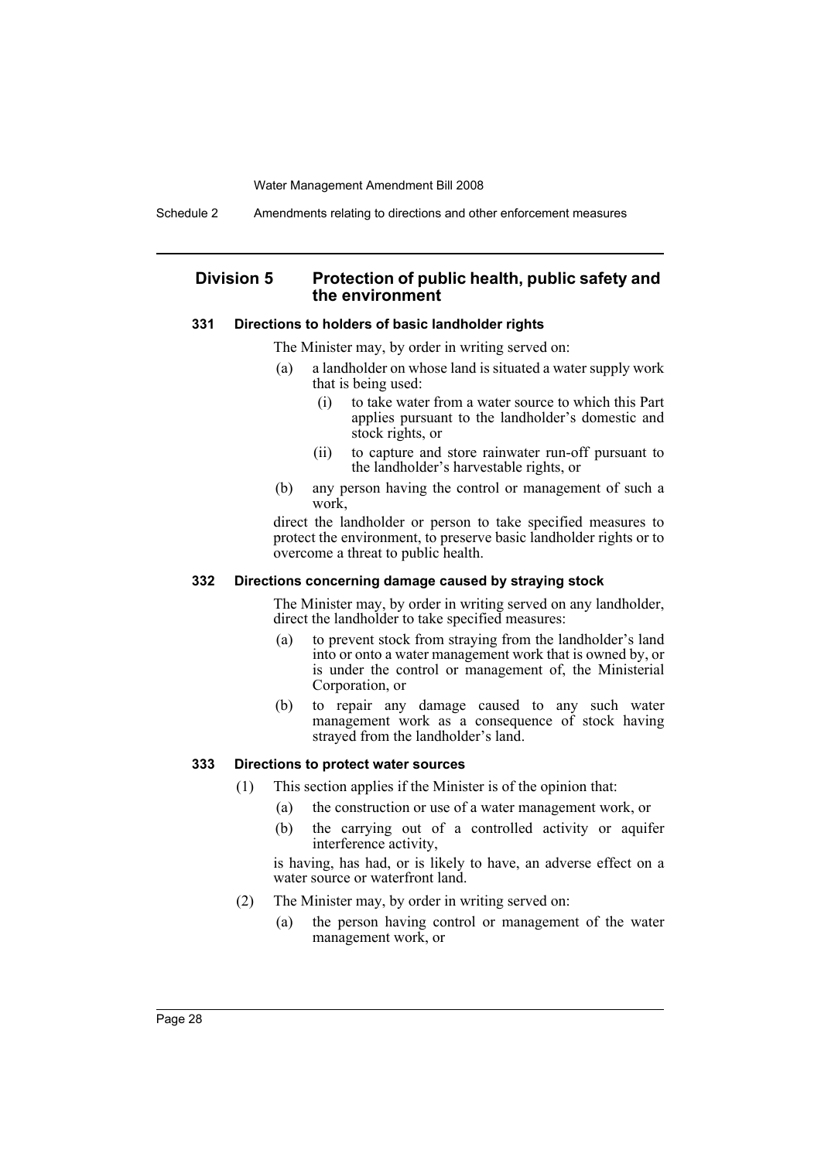Schedule 2 Amendments relating to directions and other enforcement measures

### **Division 5 Protection of public health, public safety and the environment**

#### **331 Directions to holders of basic landholder rights**

The Minister may, by order in writing served on:

- (a) a landholder on whose land is situated a water supply work that is being used:
	- (i) to take water from a water source to which this Part applies pursuant to the landholder's domestic and stock rights, or
	- (ii) to capture and store rainwater run-off pursuant to the landholder's harvestable rights, or
- (b) any person having the control or management of such a work,

direct the landholder or person to take specified measures to protect the environment, to preserve basic landholder rights or to overcome a threat to public health.

#### **332 Directions concerning damage caused by straying stock**

The Minister may, by order in writing served on any landholder, direct the landholder to take specified measures:

- (a) to prevent stock from straying from the landholder's land into or onto a water management work that is owned by, or is under the control or management of, the Ministerial Corporation, or
- (b) to repair any damage caused to any such water management work as a consequence of stock having strayed from the landholder's land.

### **333 Directions to protect water sources**

- (1) This section applies if the Minister is of the opinion that:
	- (a) the construction or use of a water management work, or
		- (b) the carrying out of a controlled activity or aquifer interference activity,

is having, has had, or is likely to have, an adverse effect on a water source or waterfront land.

- (2) The Minister may, by order in writing served on:
	- (a) the person having control or management of the water management work, or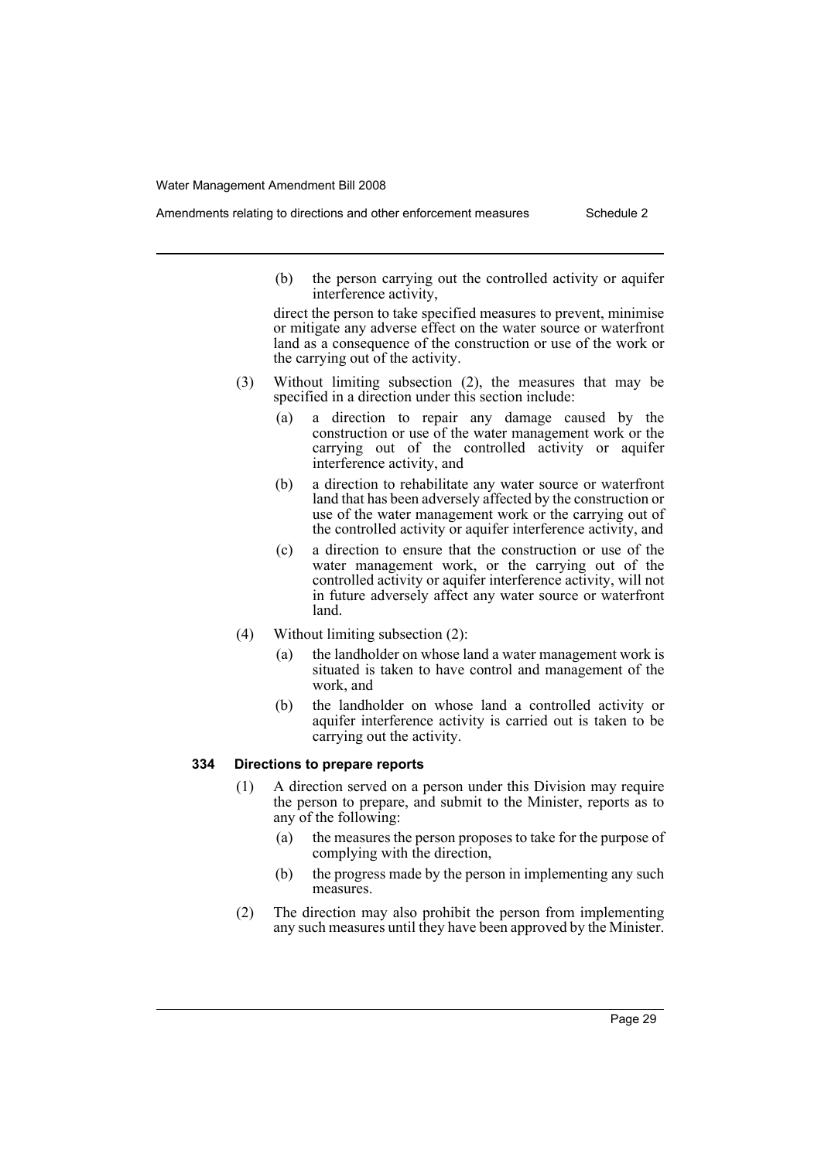- - (b) the person carrying out the controlled activity or aquifer interference activity,

direct the person to take specified measures to prevent, minimise or mitigate any adverse effect on the water source or waterfront land as a consequence of the construction or use of the work or the carrying out of the activity.

- (3) Without limiting subsection (2), the measures that may be specified in a direction under this section include:
	- (a) a direction to repair any damage caused by the construction or use of the water management work or the carrying out of the controlled activity or aquifer interference activity, and
	- (b) a direction to rehabilitate any water source or waterfront land that has been adversely affected by the construction or use of the water management work or the carrying out of the controlled activity or aquifer interference activity, and
	- (c) a direction to ensure that the construction or use of the water management work, or the carrying out of the controlled activity or aquifer interference activity, will not in future adversely affect any water source or waterfront land.
- (4) Without limiting subsection (2):
	- (a) the landholder on whose land a water management work is situated is taken to have control and management of the work, and
	- (b) the landholder on whose land a controlled activity or aquifer interference activity is carried out is taken to be carrying out the activity.

### **334 Directions to prepare reports**

- (1) A direction served on a person under this Division may require the person to prepare, and submit to the Minister, reports as to any of the following:
	- (a) the measures the person proposes to take for the purpose of complying with the direction,
	- (b) the progress made by the person in implementing any such measures.
- (2) The direction may also prohibit the person from implementing any such measures until they have been approved by the Minister.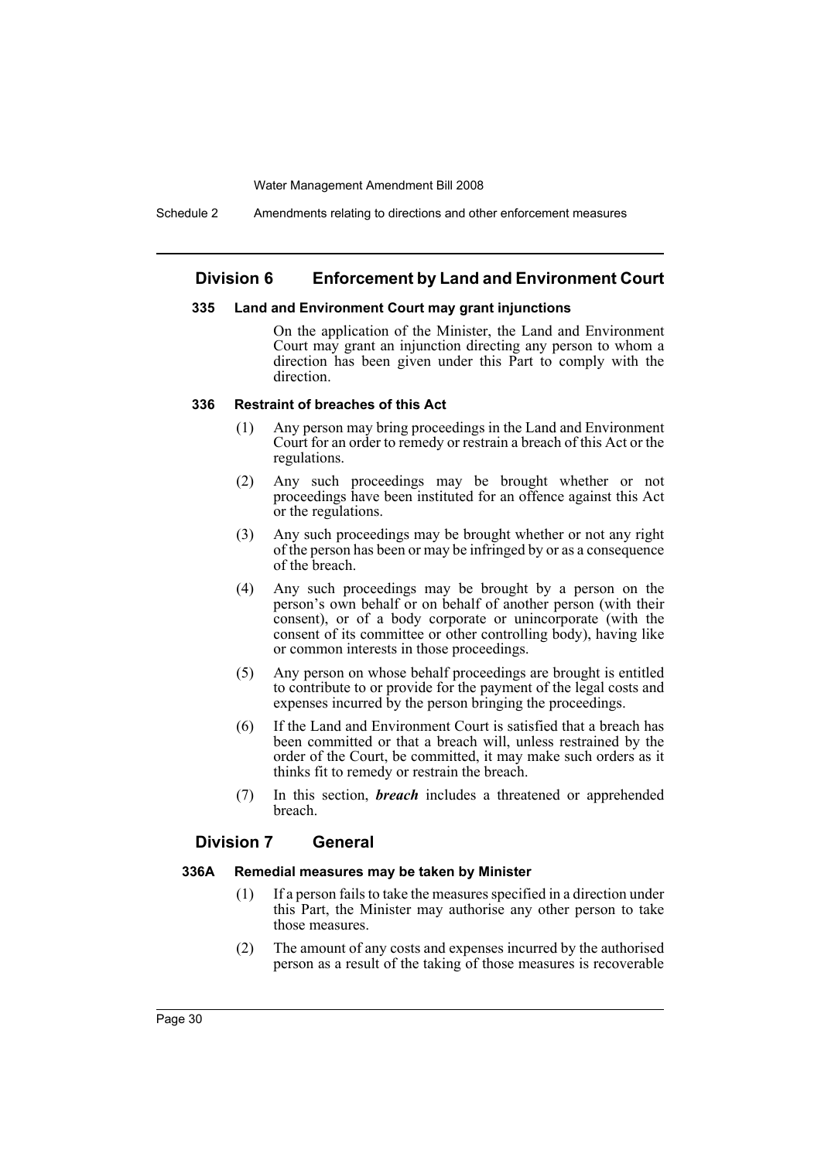Schedule 2 Amendments relating to directions and other enforcement measures

### **Division 6 Enforcement by Land and Environment Court**

#### **335 Land and Environment Court may grant injunctions**

On the application of the Minister, the Land and Environment Court may grant an injunction directing any person to whom a direction has been given under this Part to comply with the direction.

### **336 Restraint of breaches of this Act**

- (1) Any person may bring proceedings in the Land and Environment Court for an order to remedy or restrain a breach of this Act or the regulations.
- (2) Any such proceedings may be brought whether or not proceedings have been instituted for an offence against this Act or the regulations.
- (3) Any such proceedings may be brought whether or not any right of the person has been or may be infringed by or as a consequence of the breach.
- (4) Any such proceedings may be brought by a person on the person's own behalf or on behalf of another person (with their consent), or of a body corporate or unincorporate (with the consent of its committee or other controlling body), having like or common interests in those proceedings.
- (5) Any person on whose behalf proceedings are brought is entitled to contribute to or provide for the payment of the legal costs and expenses incurred by the person bringing the proceedings.
- (6) If the Land and Environment Court is satisfied that a breach has been committed or that a breach will, unless restrained by the order of the Court, be committed, it may make such orders as it thinks fit to remedy or restrain the breach.
- (7) In this section, *breach* includes a threatened or apprehended breach.

### **Division 7 General**

#### **336A Remedial measures may be taken by Minister**

- (1) If a person fails to take the measures specified in a direction under this Part, the Minister may authorise any other person to take those measures.
- (2) The amount of any costs and expenses incurred by the authorised person as a result of the taking of those measures is recoverable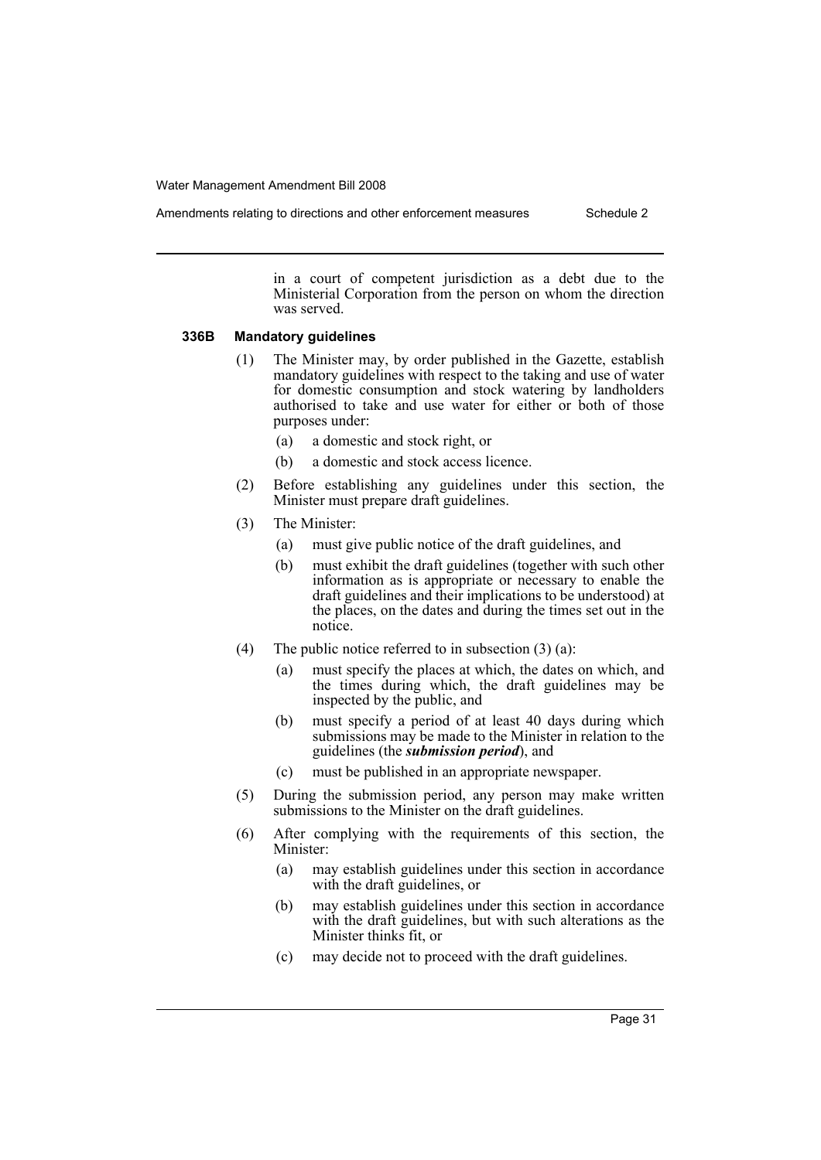Amendments relating to directions and other enforcement measures Schedule 2

in a court of competent jurisdiction as a debt due to the Ministerial Corporation from the person on whom the direction was served.

#### **336B Mandatory guidelines**

- (1) The Minister may, by order published in the Gazette, establish mandatory guidelines with respect to the taking and use of water for domestic consumption and stock watering by landholders authorised to take and use water for either or both of those purposes under:
	- (a) a domestic and stock right, or
	- (b) a domestic and stock access licence.
- (2) Before establishing any guidelines under this section, the Minister must prepare draft guidelines.
- (3) The Minister:
	- (a) must give public notice of the draft guidelines, and
	- (b) must exhibit the draft guidelines (together with such other information as is appropriate or necessary to enable the draft guidelines and their implications to be understood) at the places, on the dates and during the times set out in the notice.
- (4) The public notice referred to in subsection  $(3)$  (a):
	- (a) must specify the places at which, the dates on which, and the times during which, the draft guidelines may be inspected by the public, and
	- (b) must specify a period of at least 40 days during which submissions may be made to the Minister in relation to the guidelines (the *submission period*), and
	- (c) must be published in an appropriate newspaper.
- (5) During the submission period, any person may make written submissions to the Minister on the draft guidelines.
- (6) After complying with the requirements of this section, the Minister:
	- (a) may establish guidelines under this section in accordance with the draft guidelines, or
	- (b) may establish guidelines under this section in accordance with the draft guidelines, but with such alterations as the Minister thinks fit, or
	- (c) may decide not to proceed with the draft guidelines.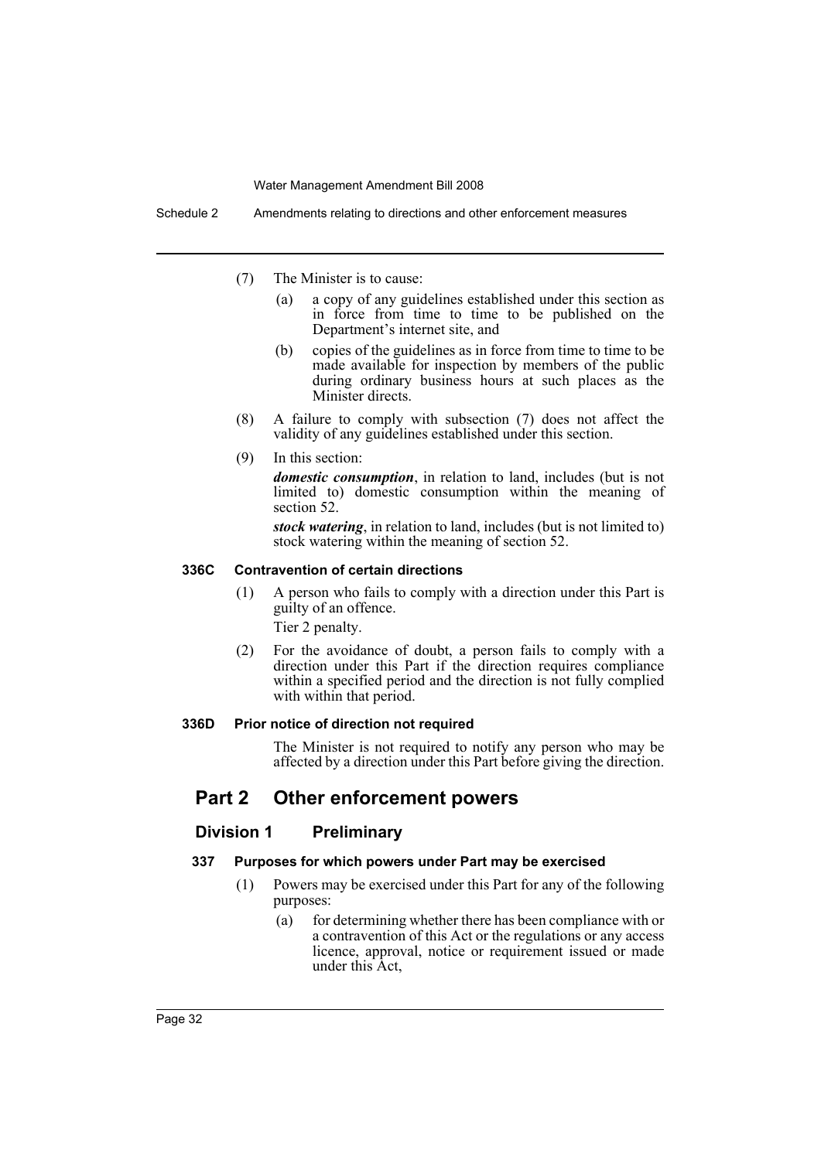Schedule 2 Amendments relating to directions and other enforcement measures

- (7) The Minister is to cause:
	- (a) a copy of any guidelines established under this section as in force from time to time to be published on the Department's internet site, and
	- (b) copies of the guidelines as in force from time to time to be made available for inspection by members of the public during ordinary business hours at such places as the Minister directs.
- (8) A failure to comply with subsection (7) does not affect the validity of any guidelines established under this section.
- (9) In this section:

*domestic consumption*, in relation to land, includes (but is not limited to) domestic consumption within the meaning of section 52.

*stock watering*, in relation to land, includes (but is not limited to) stock watering within the meaning of section 52.

#### **336C Contravention of certain directions**

(1) A person who fails to comply with a direction under this Part is guilty of an offence.

Tier 2 penalty.

(2) For the avoidance of doubt, a person fails to comply with a direction under this Part if the direction requires compliance within a specified period and the direction is not fully complied with within that period.

#### **336D Prior notice of direction not required**

The Minister is not required to notify any person who may be affected by a direction under this Part before giving the direction.

## **Part 2 Other enforcement powers**

#### **Division 1 Preliminary**

#### **337 Purposes for which powers under Part may be exercised**

- (1) Powers may be exercised under this Part for any of the following purposes:
	- (a) for determining whether there has been compliance with or a contravention of this Act or the regulations or any access licence, approval, notice or requirement issued or made under this Act,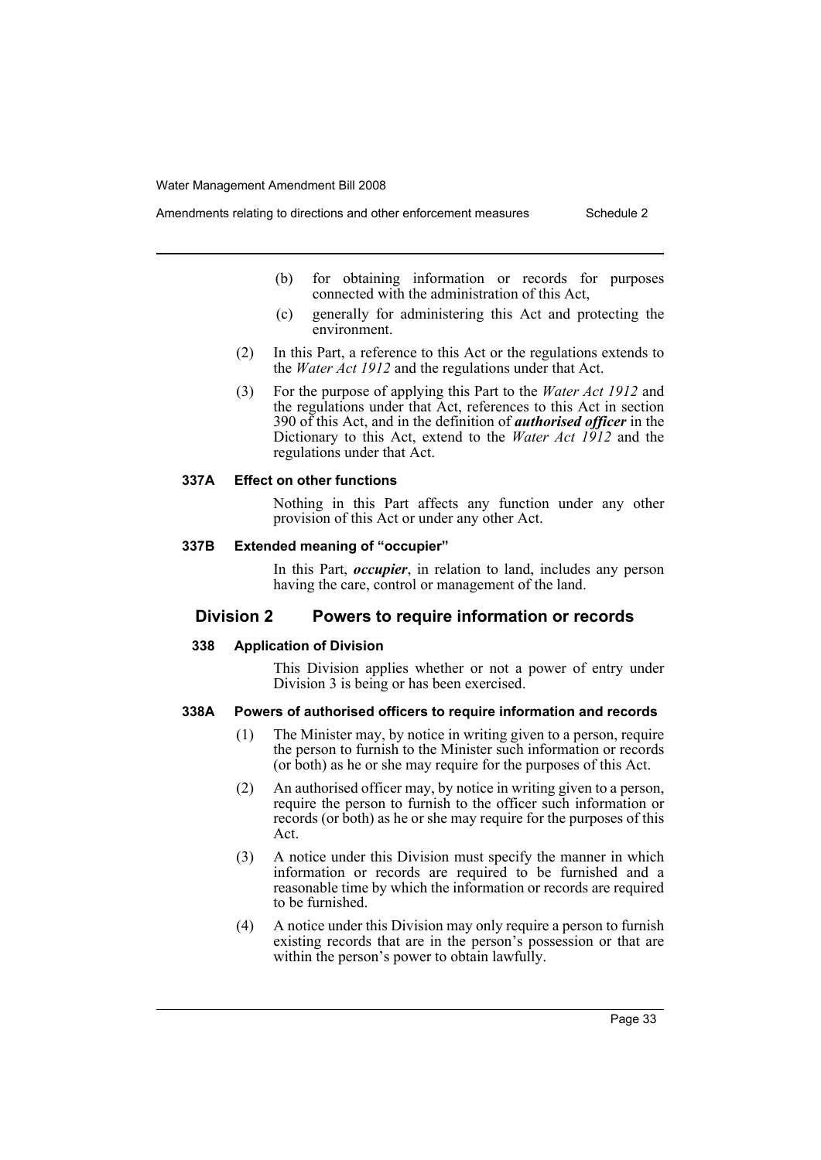- (b) for obtaining information or records for purposes connected with the administration of this Act,
	- (c) generally for administering this Act and protecting the environment.
- (2) In this Part, a reference to this Act or the regulations extends to the *Water Act 1912* and the regulations under that Act.
- (3) For the purpose of applying this Part to the *Water Act 1912* and the regulations under that Act, references to this Act in section 390 of this Act, and in the definition of *authorised officer* in the Dictionary to this Act, extend to the *Water Act 1912* and the regulations under that Act.

#### **337A Effect on other functions**

Nothing in this Part affects any function under any other provision of this Act or under any other Act.

#### **337B Extended meaning of "occupier"**

In this Part, *occupier*, in relation to land, includes any person having the care, control or management of the land.

### **Division 2 Powers to require information or records**

#### **338 Application of Division**

This Division applies whether or not a power of entry under Division 3 is being or has been exercised.

### **338A Powers of authorised officers to require information and records**

- (1) The Minister may, by notice in writing given to a person, require the person to furnish to the Minister such information or records (or both) as he or she may require for the purposes of this Act.
- (2) An authorised officer may, by notice in writing given to a person, require the person to furnish to the officer such information or records (or both) as he or she may require for the purposes of this Act.
- (3) A notice under this Division must specify the manner in which information or records are required to be furnished and a reasonable time by which the information or records are required to be furnished.
- (4) A notice under this Division may only require a person to furnish existing records that are in the person's possession or that are within the person's power to obtain lawfully.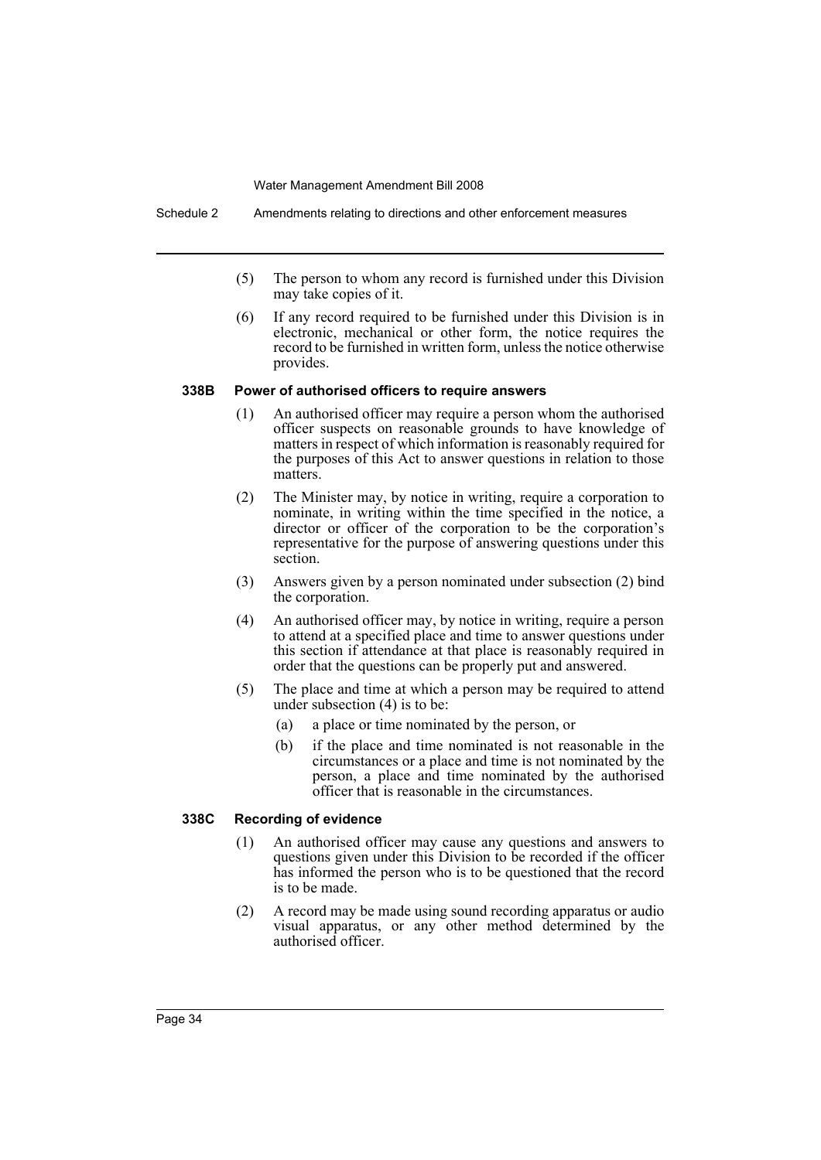Schedule 2 Amendments relating to directions and other enforcement measures

- (5) The person to whom any record is furnished under this Division may take copies of it.
- (6) If any record required to be furnished under this Division is in electronic, mechanical or other form, the notice requires the record to be furnished in written form, unless the notice otherwise provides.

#### **338B Power of authorised officers to require answers**

- (1) An authorised officer may require a person whom the authorised officer suspects on reasonable grounds to have knowledge of matters in respect of which information is reasonably required for the purposes of this Act to answer questions in relation to those matters.
- (2) The Minister may, by notice in writing, require a corporation to nominate, in writing within the time specified in the notice, a director or officer of the corporation to be the corporation's representative for the purpose of answering questions under this section.
- (3) Answers given by a person nominated under subsection (2) bind the corporation.
- (4) An authorised officer may, by notice in writing, require a person to attend at a specified place and time to answer questions under this section if attendance at that place is reasonably required in order that the questions can be properly put and answered.
- (5) The place and time at which a person may be required to attend under subsection (4) is to be:
	- (a) a place or time nominated by the person, or
	- (b) if the place and time nominated is not reasonable in the circumstances or a place and time is not nominated by the person, a place and time nominated by the authorised officer that is reasonable in the circumstances.

#### **338C Recording of evidence**

- (1) An authorised officer may cause any questions and answers to questions given under this Division to be recorded if the officer has informed the person who is to be questioned that the record is to be made.
- (2) A record may be made using sound recording apparatus or audio visual apparatus, or any other method determined by the authorised officer.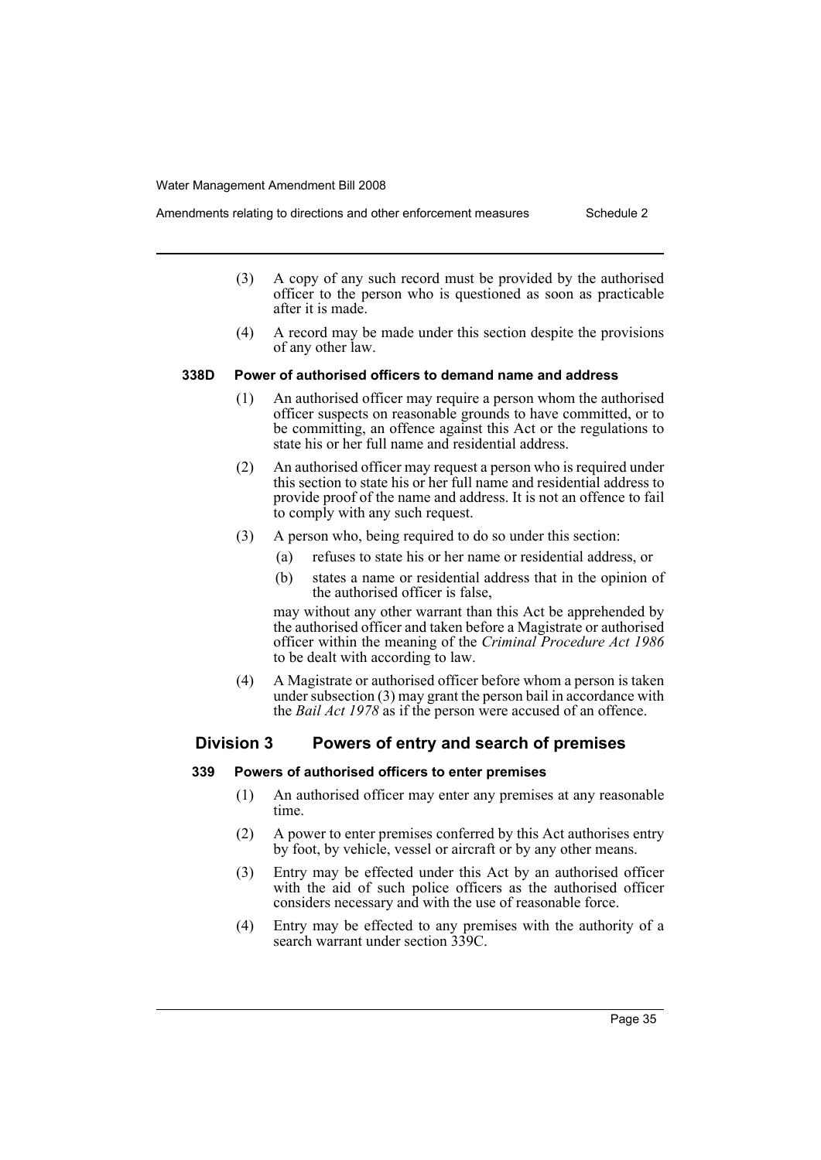after it is made.

- (3) A copy of any such record must be provided by the authorised officer to the person who is questioned as soon as practicable
	- (4) A record may be made under this section despite the provisions of any other law.

#### **338D Power of authorised officers to demand name and address**

- (1) An authorised officer may require a person whom the authorised officer suspects on reasonable grounds to have committed, or to be committing, an offence against this Act or the regulations to state his or her full name and residential address.
- (2) An authorised officer may request a person who is required under this section to state his or her full name and residential address to provide proof of the name and address. It is not an offence to fail to comply with any such request.
- (3) A person who, being required to do so under this section:
	- (a) refuses to state his or her name or residential address, or
	- (b) states a name or residential address that in the opinion of the authorised officer is false,

may without any other warrant than this Act be apprehended by the authorised officer and taken before a Magistrate or authorised officer within the meaning of the *Criminal Procedure Act 1986* to be dealt with according to law.

(4) A Magistrate or authorised officer before whom a person is taken under subsection (3) may grant the person bail in accordance with the *Bail Act 1978* as if the person were accused of an offence.

### **Division 3 Powers of entry and search of premises**

#### **339 Powers of authorised officers to enter premises**

- (1) An authorised officer may enter any premises at any reasonable time.
- (2) A power to enter premises conferred by this Act authorises entry by foot, by vehicle, vessel or aircraft or by any other means.
- (3) Entry may be effected under this Act by an authorised officer with the aid of such police officers as the authorised officer considers necessary and with the use of reasonable force.
- (4) Entry may be effected to any premises with the authority of a search warrant under section 339C.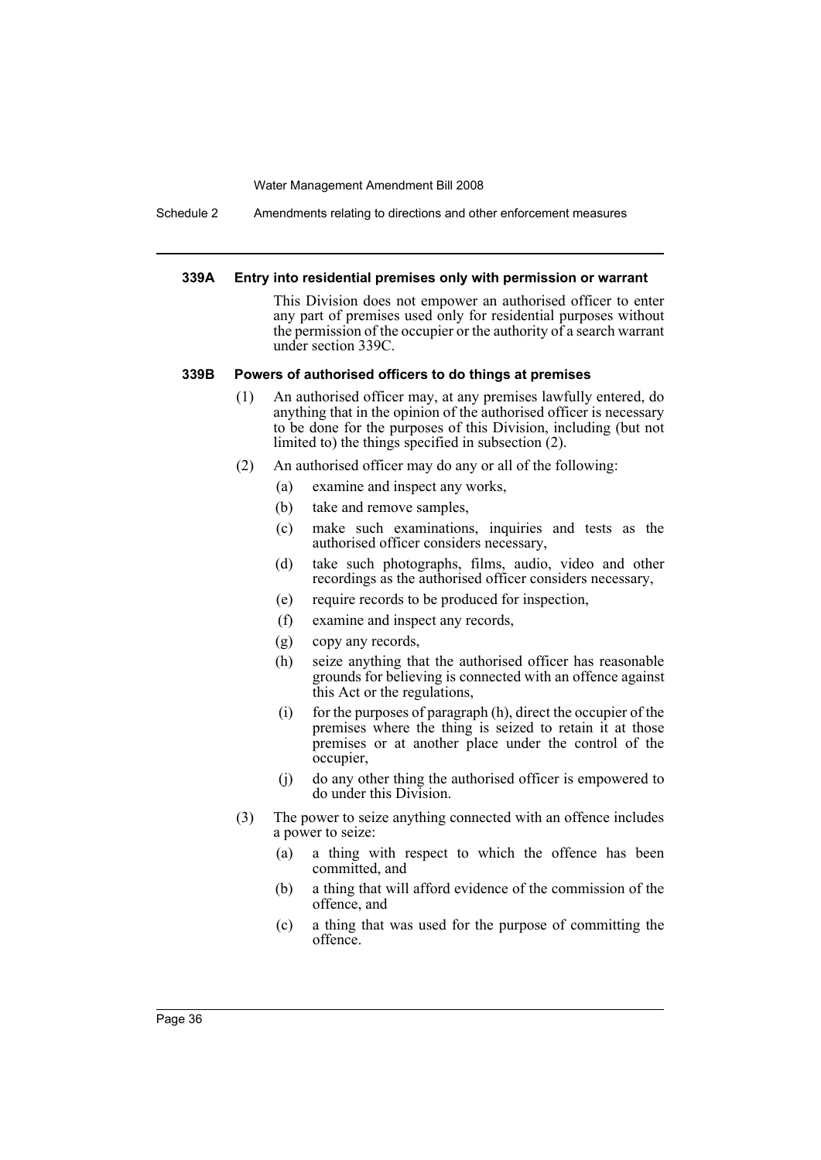Schedule 2 Amendments relating to directions and other enforcement measures

#### **339A Entry into residential premises only with permission or warrant**

This Division does not empower an authorised officer to enter any part of premises used only for residential purposes without the permission of the occupier or the authority of a search warrant under section 339C.

#### **339B Powers of authorised officers to do things at premises**

- (1) An authorised officer may, at any premises lawfully entered, do anything that in the opinion of the authorised officer is necessary to be done for the purposes of this Division, including (but not limited to) the things specified in subsection (2).
- (2) An authorised officer may do any or all of the following:
	- (a) examine and inspect any works,
	- (b) take and remove samples,
	- (c) make such examinations, inquiries and tests as the authorised officer considers necessary,
	- (d) take such photographs, films, audio, video and other recordings as the authorised officer considers necessary,
	- (e) require records to be produced for inspection,
	- (f) examine and inspect any records,
	- (g) copy any records,
	- (h) seize anything that the authorised officer has reasonable grounds for believing is connected with an offence against this Act or the regulations,
	- (i) for the purposes of paragraph (h), direct the occupier of the premises where the thing is seized to retain it at those premises or at another place under the control of the occupier,
	- (j) do any other thing the authorised officer is empowered to do under this Division.
- (3) The power to seize anything connected with an offence includes a power to seize:
	- (a) a thing with respect to which the offence has been committed, and
	- (b) a thing that will afford evidence of the commission of the offence, and
	- (c) a thing that was used for the purpose of committing the offence.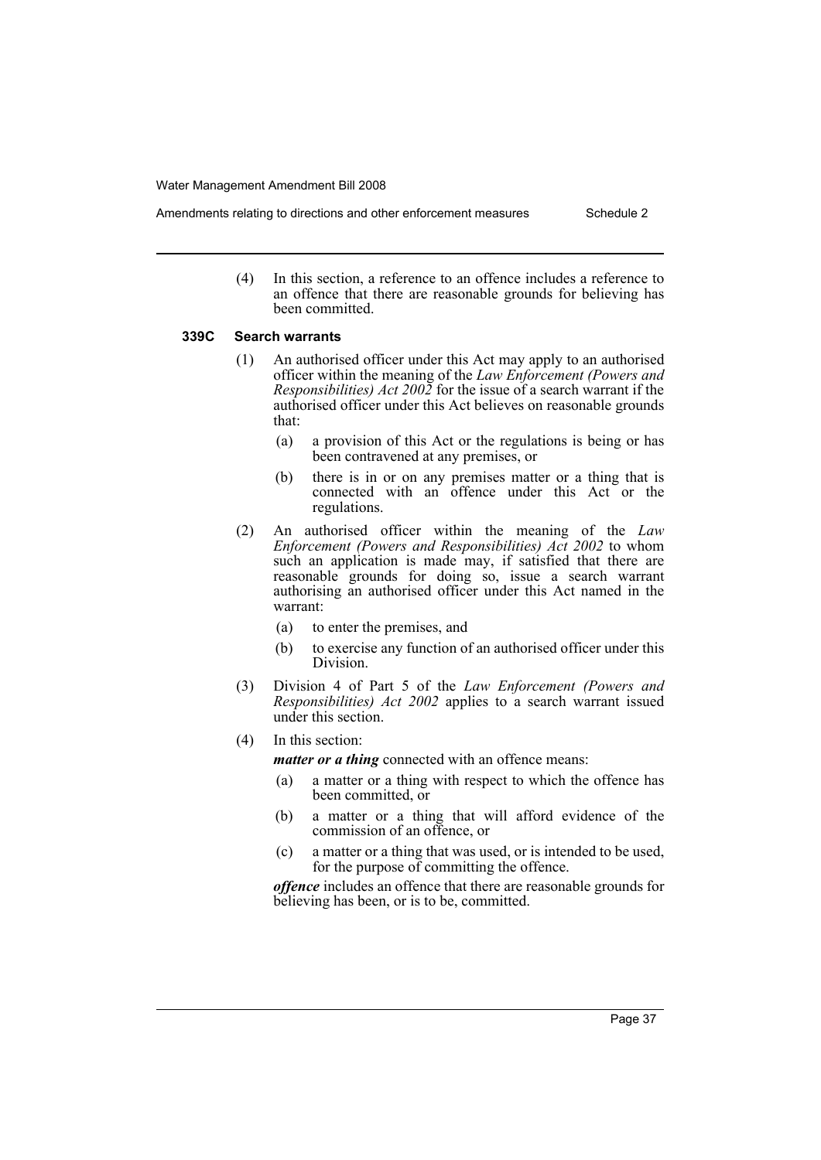- Amendments relating to directions and other enforcement measures Schedule 2
	- (4) In this section, a reference to an offence includes a reference to an offence that there are reasonable grounds for believing has been committed.

#### **339C Search warrants**

- (1) An authorised officer under this Act may apply to an authorised officer within the meaning of the *Law Enforcement (Powers and Responsibilities) Act 2002* for the issue of a search warrant if the authorised officer under this Act believes on reasonable grounds that:
	- (a) a provision of this Act or the regulations is being or has been contravened at any premises, or
	- (b) there is in or on any premises matter or a thing that is connected with an offence under this Act or the regulations.
- (2) An authorised officer within the meaning of the *Law Enforcement (Powers and Responsibilities) Act 2002* to whom such an application is made may, if satisfied that there are reasonable grounds for doing so, issue a search warrant authorising an authorised officer under this Act named in the warrant:
	- (a) to enter the premises, and
	- (b) to exercise any function of an authorised officer under this Division.
- (3) Division 4 of Part 5 of the *Law Enforcement (Powers and Responsibilities) Act 2002* applies to a search warrant issued under this section.
- (4) In this section:

*matter or a thing* connected with an offence means:

- (a) a matter or a thing with respect to which the offence has been committed, or
- (b) a matter or a thing that will afford evidence of the commission of an offence, or
- (c) a matter or a thing that was used, or is intended to be used, for the purpose of committing the offence.

*offence* includes an offence that there are reasonable grounds for believing has been, or is to be, committed.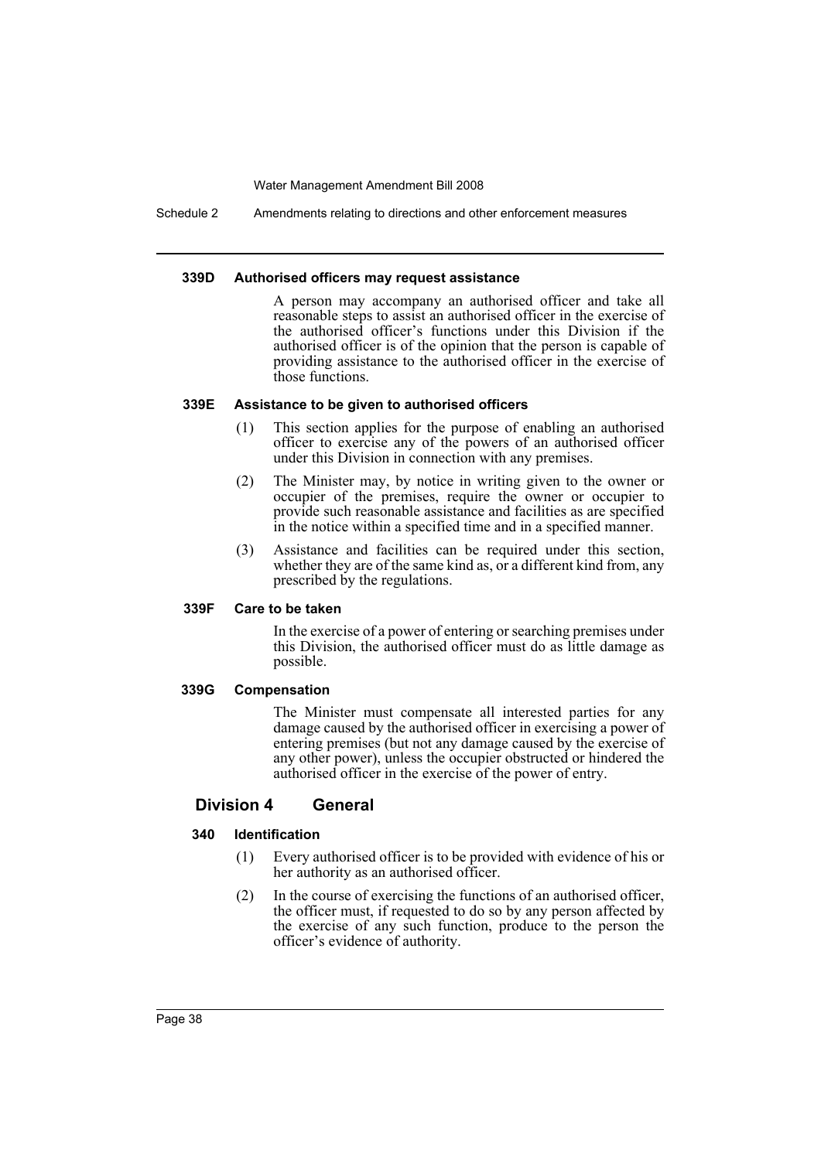Schedule 2 Amendments relating to directions and other enforcement measures

#### **339D Authorised officers may request assistance**

A person may accompany an authorised officer and take all reasonable steps to assist an authorised officer in the exercise of the authorised officer's functions under this Division if the authorised officer is of the opinion that the person is capable of providing assistance to the authorised officer in the exercise of those functions.

#### **339E Assistance to be given to authorised officers**

- (1) This section applies for the purpose of enabling an authorised officer to exercise any of the powers of an authorised officer under this Division in connection with any premises.
- (2) The Minister may, by notice in writing given to the owner or occupier of the premises, require the owner or occupier to provide such reasonable assistance and facilities as are specified in the notice within a specified time and in a specified manner.
- (3) Assistance and facilities can be required under this section, whether they are of the same kind as, or a different kind from, any prescribed by the regulations.

### **339F Care to be taken**

In the exercise of a power of entering or searching premises under this Division, the authorised officer must do as little damage as possible.

### **339G Compensation**

The Minister must compensate all interested parties for any damage caused by the authorised officer in exercising a power of entering premises (but not any damage caused by the exercise of any other power), unless the occupier obstructed or hindered the authorised officer in the exercise of the power of entry.

### **Division 4 General**

#### **340 Identification**

- (1) Every authorised officer is to be provided with evidence of his or her authority as an authorised officer.
- (2) In the course of exercising the functions of an authorised officer, the officer must, if requested to do so by any person affected by the exercise of any such function, produce to the person the officer's evidence of authority.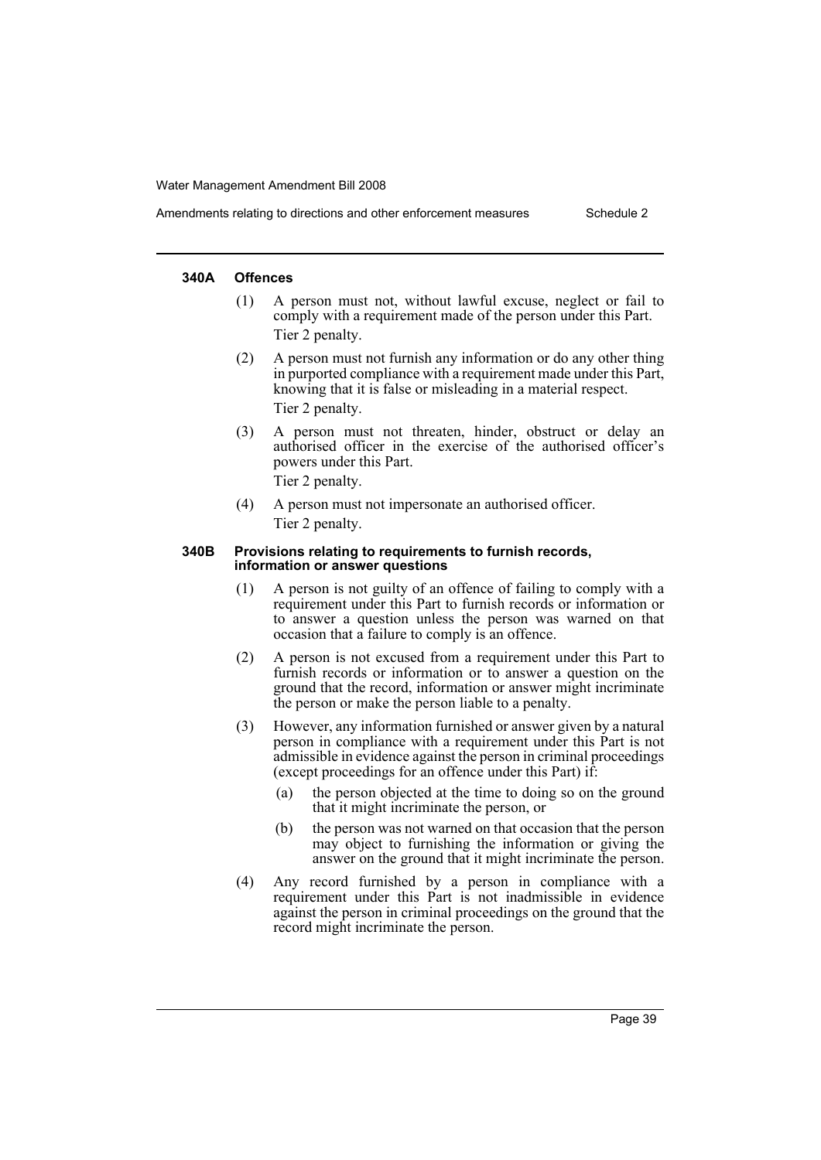#### **340A Offences**

- (1) A person must not, without lawful excuse, neglect or fail to comply with a requirement made of the person under this Part. Tier 2 penalty.
- (2) A person must not furnish any information or do any other thing in purported compliance with a requirement made under this Part, knowing that it is false or misleading in a material respect. Tier 2 penalty.
- (3) A person must not threaten, hinder, obstruct or delay an authorised officer in the exercise of the authorised officer's powers under this Part.
	- Tier 2 penalty.
- (4) A person must not impersonate an authorised officer. Tier 2 penalty.

#### **340B Provisions relating to requirements to furnish records, information or answer questions**

- (1) A person is not guilty of an offence of failing to comply with a requirement under this Part to furnish records or information or to answer a question unless the person was warned on that occasion that a failure to comply is an offence.
- (2) A person is not excused from a requirement under this Part to furnish records or information or to answer a question on the ground that the record, information or answer might incriminate the person or make the person liable to a penalty.
- (3) However, any information furnished or answer given by a natural person in compliance with a requirement under this Part is not admissible in evidence against the person in criminal proceedings (except proceedings for an offence under this Part) if:
	- (a) the person objected at the time to doing so on the ground that it might incriminate the person, or
	- (b) the person was not warned on that occasion that the person may object to furnishing the information or giving the answer on the ground that it might incriminate the person.
- (4) Any record furnished by a person in compliance with a requirement under this Part is not inadmissible in evidence against the person in criminal proceedings on the ground that the record might incriminate the person.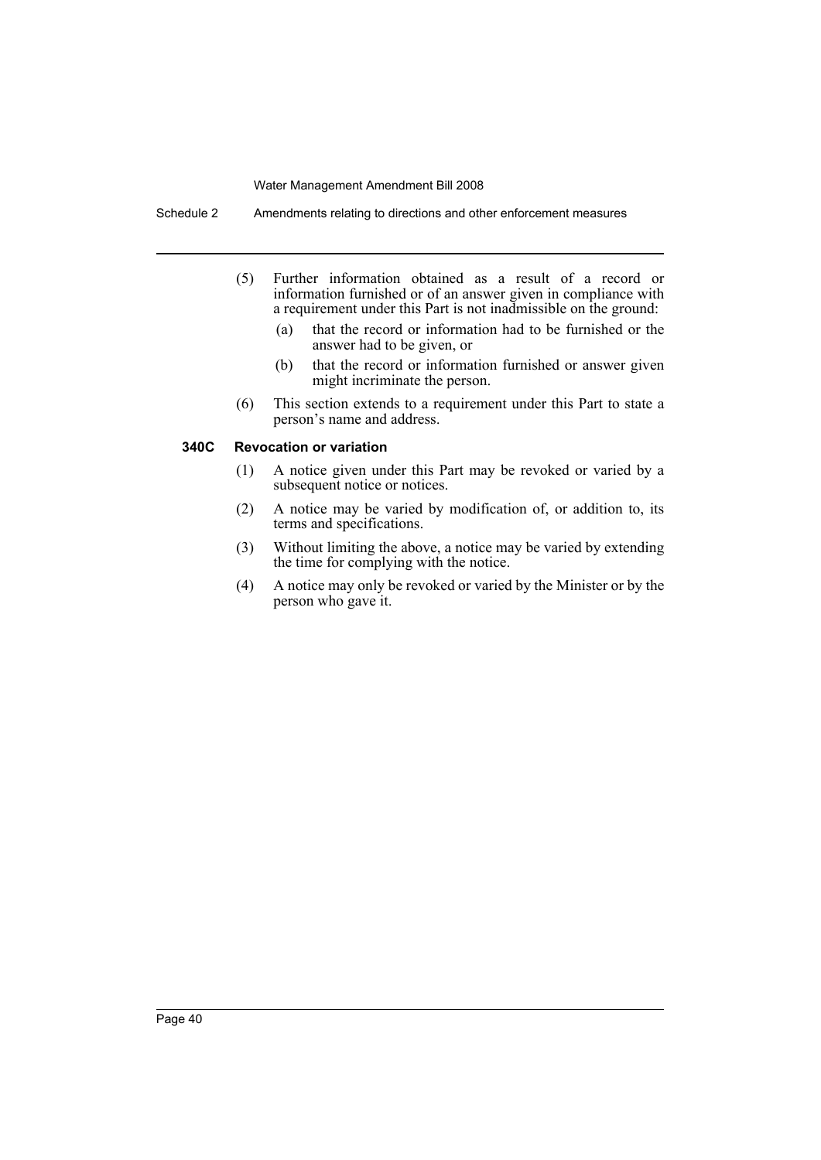Schedule 2 Amendments relating to directions and other enforcement measures

- (5) Further information obtained as a result of a record or information furnished or of an answer given in compliance with a requirement under this Part is not inadmissible on the ground:
	- (a) that the record or information had to be furnished or the answer had to be given, or
	- (b) that the record or information furnished or answer given might incriminate the person.
- (6) This section extends to a requirement under this Part to state a person's name and address.

### **340C Revocation or variation**

- (1) A notice given under this Part may be revoked or varied by a subsequent notice or notices.
- (2) A notice may be varied by modification of, or addition to, its terms and specifications.
- (3) Without limiting the above, a notice may be varied by extending the time for complying with the notice.
- (4) A notice may only be revoked or varied by the Minister or by the person who gave it.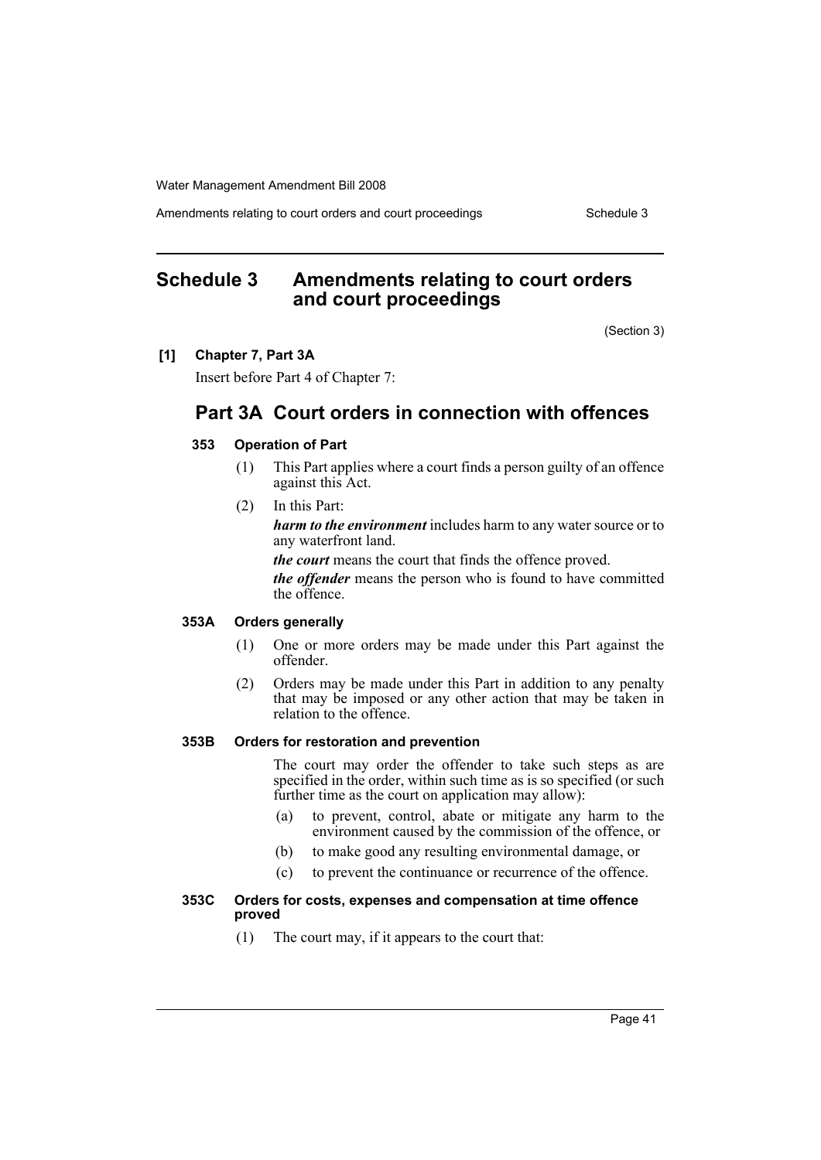Amendments relating to court orders and court proceedings Schedule 3

# <span id="page-41-0"></span>**Schedule 3 Amendments relating to court orders and court proceedings**

(Section 3)

#### **[1] Chapter 7, Part 3A**

Insert before Part 4 of Chapter 7:

# **Part 3A Court orders in connection with offences**

### **353 Operation of Part**

- (1) This Part applies where a court finds a person guilty of an offence against this Act.
- (2) In this Part:

*harm to the environment* includes harm to any water source or to any waterfront land.

*the court* means the court that finds the offence proved.

*the offender* means the person who is found to have committed the offence.

#### **353A Orders generally**

- (1) One or more orders may be made under this Part against the offender.
- (2) Orders may be made under this Part in addition to any penalty that may be imposed or any other action that may be taken in relation to the offence.

### **353B Orders for restoration and prevention**

The court may order the offender to take such steps as are specified in the order, within such time as is so specified (or such further time as the court on application may allow):

- (a) to prevent, control, abate or mitigate any harm to the environment caused by the commission of the offence, or
- (b) to make good any resulting environmental damage, or
- (c) to prevent the continuance or recurrence of the offence.

### **353C Orders for costs, expenses and compensation at time offence proved**

(1) The court may, if it appears to the court that: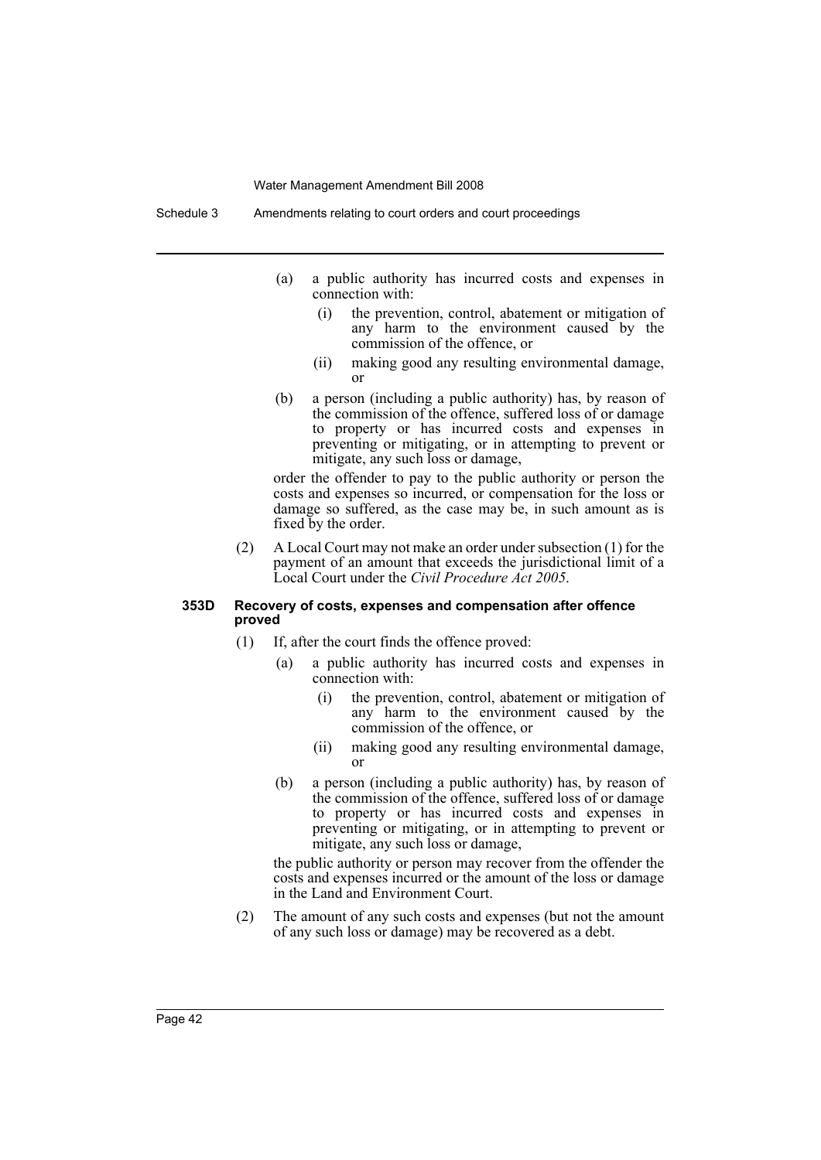Schedule 3 Amendments relating to court orders and court proceedings

- (a) a public authority has incurred costs and expenses in connection with:
	- (i) the prevention, control, abatement or mitigation of any harm to the environment caused by the commission of the offence, or
	- (ii) making good any resulting environmental damage, or
- (b) a person (including a public authority) has, by reason of the commission of the offence, suffered loss of or damage to property or has incurred costs and expenses in preventing or mitigating, or in attempting to prevent or mitigate, any such loss or damage,

order the offender to pay to the public authority or person the costs and expenses so incurred, or compensation for the loss or damage so suffered, as the case may be, in such amount as is fixed by the order.

(2) A Local Court may not make an order under subsection (1) for the payment of an amount that exceeds the jurisdictional limit of a Local Court under the *Civil Procedure Act 2005*.

#### **353D Recovery of costs, expenses and compensation after offence proved**

- (1) If, after the court finds the offence proved:
	- (a) a public authority has incurred costs and expenses in connection with:
		- (i) the prevention, control, abatement or mitigation of any harm to the environment caused by the commission of the offence, or
		- (ii) making good any resulting environmental damage, or
	- (b) a person (including a public authority) has, by reason of the commission of the offence, suffered loss of or damage to property or has incurred costs and expenses in preventing or mitigating, or in attempting to prevent or mitigate, any such loss or damage,

the public authority or person may recover from the offender the costs and expenses incurred or the amount of the loss or damage in the Land and Environment Court.

(2) The amount of any such costs and expenses (but not the amount of any such loss or damage) may be recovered as a debt.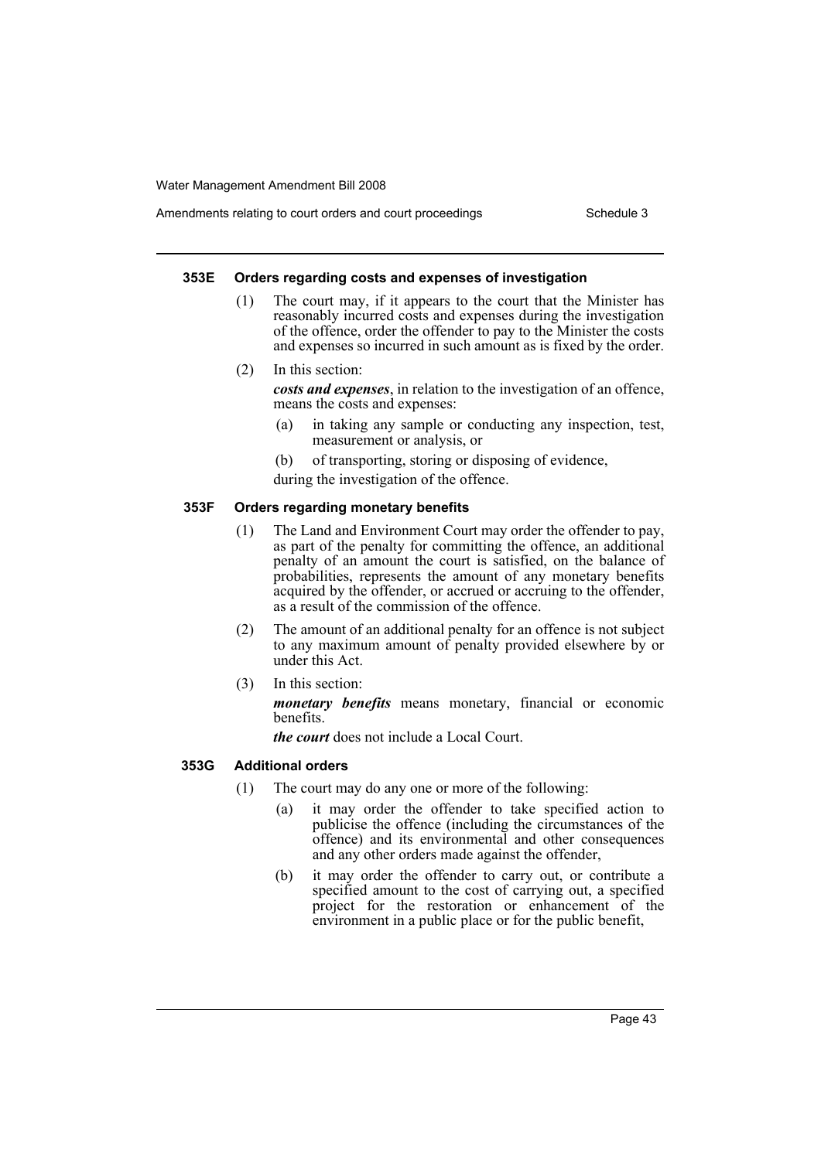### Amendments relating to court orders and court proceedings Schedule 3

#### **353E Orders regarding costs and expenses of investigation**

- (1) The court may, if it appears to the court that the Minister has reasonably incurred costs and expenses during the investigation of the offence, order the offender to pay to the Minister the costs and expenses so incurred in such amount as is fixed by the order.
- (2) In this section:

*costs and expenses*, in relation to the investigation of an offence, means the costs and expenses:

- (a) in taking any sample or conducting any inspection, test, measurement or analysis, or
- (b) of transporting, storing or disposing of evidence,
- during the investigation of the offence.

#### **353F Orders regarding monetary benefits**

- (1) The Land and Environment Court may order the offender to pay, as part of the penalty for committing the offence, an additional penalty of an amount the court is satisfied, on the balance of probabilities, represents the amount of any monetary benefits acquired by the offender, or accrued or accruing to the offender, as a result of the commission of the offence.
- (2) The amount of an additional penalty for an offence is not subject to any maximum amount of penalty provided elsewhere by or under this Act.
- (3) In this section:

*monetary benefits* means monetary, financial or economic benefits.

*the court* does not include a Local Court.

#### **353G Additional orders**

- (1) The court may do any one or more of the following:
	- (a) it may order the offender to take specified action to publicise the offence (including the circumstances of the offence) and its environmental and other consequences and any other orders made against the offender,
	- (b) it may order the offender to carry out, or contribute a specified amount to the cost of carrying out, a specified project for the restoration or enhancement of the environment in a public place or for the public benefit,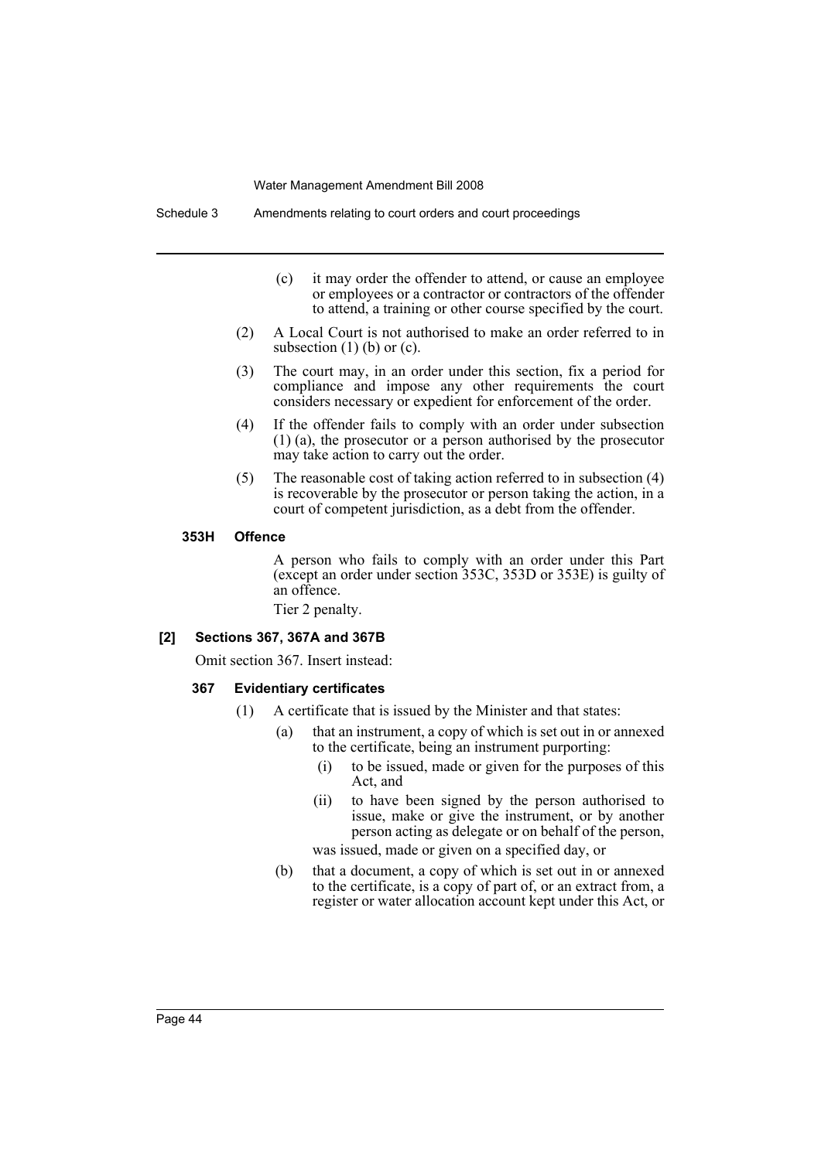Schedule 3 Amendments relating to court orders and court proceedings

- (c) it may order the offender to attend, or cause an employee or employees or a contractor or contractors of the offender to attend, a training or other course specified by the court.
- (2) A Local Court is not authorised to make an order referred to in subsection  $(1)$  (b) or  $(c)$ .
- (3) The court may, in an order under this section, fix a period for compliance and impose any other requirements the court considers necessary or expedient for enforcement of the order.
- (4) If the offender fails to comply with an order under subsection (1) (a), the prosecutor or a person authorised by the prosecutor may take action to carry out the order.
- (5) The reasonable cost of taking action referred to in subsection (4) is recoverable by the prosecutor or person taking the action, in a court of competent jurisdiction, as a debt from the offender.

#### **353H Offence**

A person who fails to comply with an order under this Part (except an order under section 353C, 353D or 353E) is guilty of an offence.

Tier 2 penalty.

#### **[2] Sections 367, 367A and 367B**

Omit section 367. Insert instead:

#### **367 Evidentiary certificates**

- (1) A certificate that is issued by the Minister and that states:
	- (a) that an instrument, a copy of which is set out in or annexed to the certificate, being an instrument purporting:
		- (i) to be issued, made or given for the purposes of this Act, and
		- (ii) to have been signed by the person authorised to issue, make or give the instrument, or by another person acting as delegate or on behalf of the person,

was issued, made or given on a specified day, or

(b) that a document, a copy of which is set out in or annexed to the certificate, is a copy of part of, or an extract from, a register or water allocation account kept under this Act, or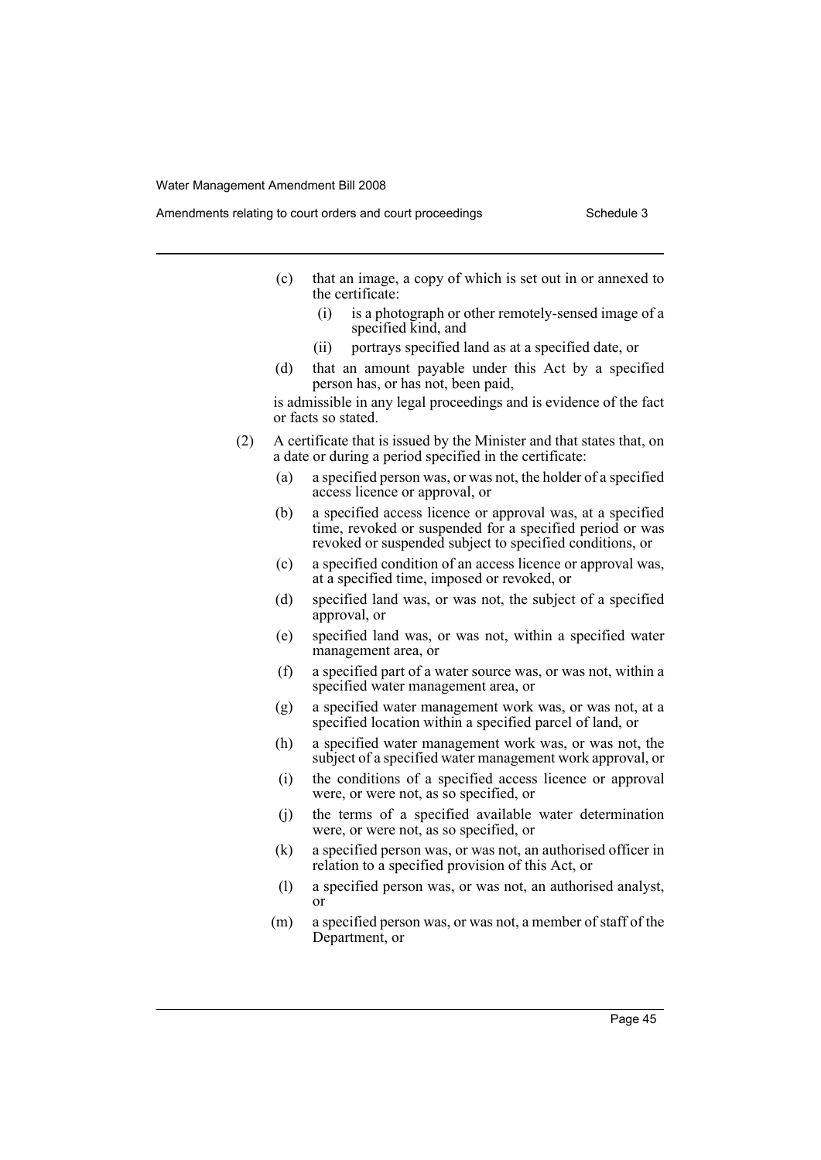- Amendments relating to court orders and court proceedings Schedule 3
	- (c) that an image, a copy of which is set out in or annexed to the certificate:
		- (i) is a photograph or other remotely-sensed image of a specified kind, and
		- (ii) portrays specified land as at a specified date, or
	- (d) that an amount payable under this Act by a specified person has, or has not, been paid,

is admissible in any legal proceedings and is evidence of the fact or facts so stated.

- (2) A certificate that is issued by the Minister and that states that, on a date or during a period specified in the certificate:
	- (a) a specified person was, or was not, the holder of a specified access licence or approval, or
	- (b) a specified access licence or approval was, at a specified time, revoked or suspended for a specified period or was revoked or suspended subject to specified conditions, or
	- (c) a specified condition of an access licence or approval was, at a specified time, imposed or revoked, or
	- (d) specified land was, or was not, the subject of a specified approval, or
	- (e) specified land was, or was not, within a specified water management area, or
	- (f) a specified part of a water source was, or was not, within a specified water management area, or
	- (g) a specified water management work was, or was not, at a specified location within a specified parcel of land, or
	- (h) a specified water management work was, or was not, the subject of a specified water management work approval, or
	- (i) the conditions of a specified access licence or approval were, or were not, as so specified, or
	- (j) the terms of a specified available water determination were, or were not, as so specified, or
	- (k) a specified person was, or was not, an authorised officer in relation to a specified provision of this Act, or
	- (l) a specified person was, or was not, an authorised analyst, or
	- (m) a specified person was, or was not, a member of staff of the Department, or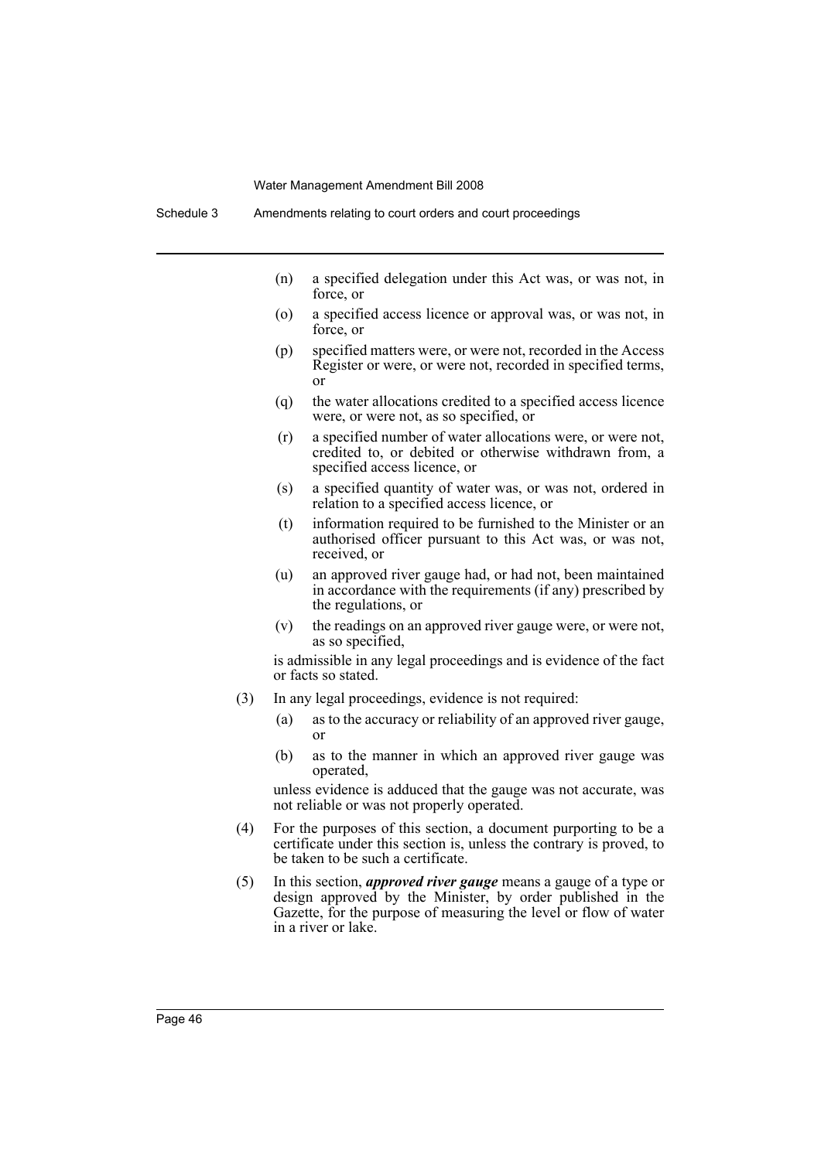- (n) a specified delegation under this Act was, or was not, in force, or
- (o) a specified access licence or approval was, or was not, in force, or
- (p) specified matters were, or were not, recorded in the Access Register or were, or were not, recorded in specified terms, or
- (q) the water allocations credited to a specified access licence were, or were not, as so specified, or
- (r) a specified number of water allocations were, or were not, credited to, or debited or otherwise withdrawn from, a specified access licence, or
- (s) a specified quantity of water was, or was not, ordered in relation to a specified access licence, or
- (t) information required to be furnished to the Minister or an authorised officer pursuant to this Act was, or was not, received, or
- (u) an approved river gauge had, or had not, been maintained in accordance with the requirements (if any) prescribed by the regulations, or
- (v) the readings on an approved river gauge were, or were not, as so specified,

is admissible in any legal proceedings and is evidence of the fact or facts so stated.

- (3) In any legal proceedings, evidence is not required:
	- (a) as to the accuracy or reliability of an approved river gauge, or
	- (b) as to the manner in which an approved river gauge was operated,

unless evidence is adduced that the gauge was not accurate, was not reliable or was not properly operated.

- (4) For the purposes of this section, a document purporting to be a certificate under this section is, unless the contrary is proved, to be taken to be such a certificate.
- (5) In this section, *approved river gauge* means a gauge of a type or design approved by the Minister, by order published in the Gazette, for the purpose of measuring the level or flow of water in a river or lake.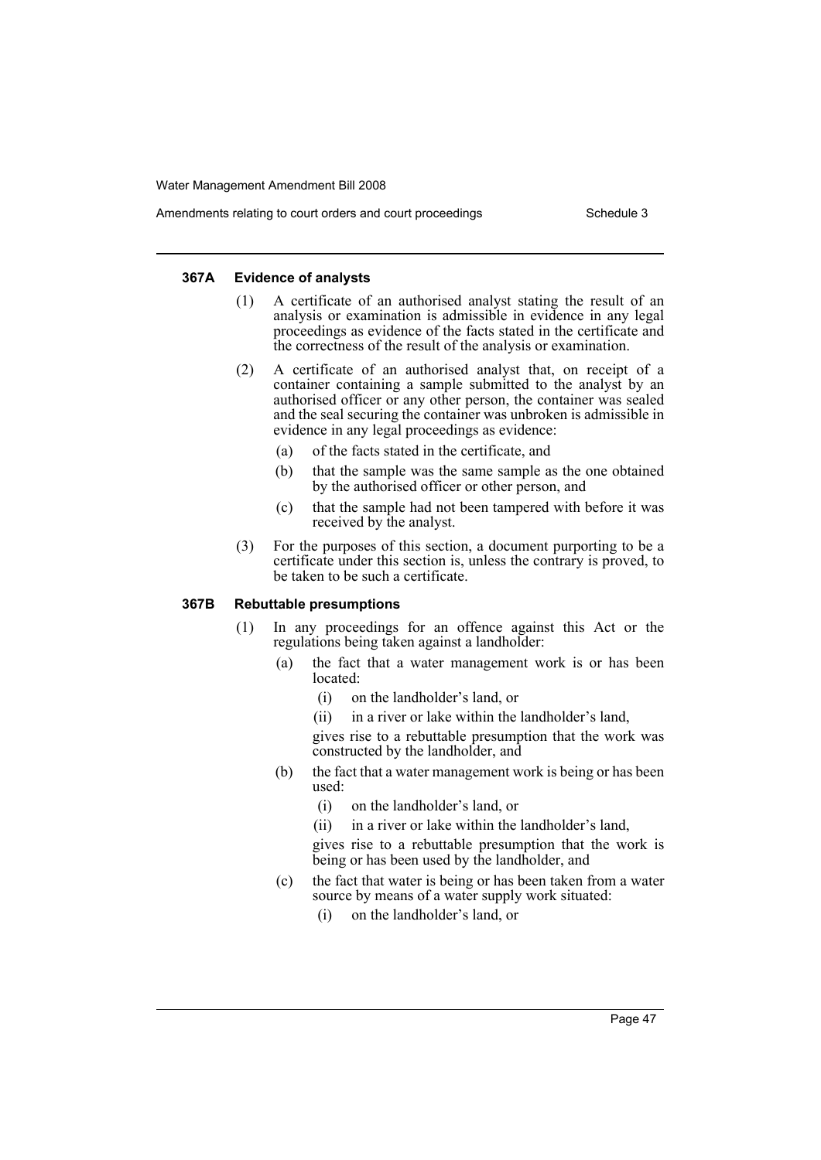### Amendments relating to court orders and court proceedings Schedule 3

#### **367A Evidence of analysts**

- (1) A certificate of an authorised analyst stating the result of an analysis or examination is admissible in evidence in any legal proceedings as evidence of the facts stated in the certificate and the correctness of the result of the analysis or examination.
- (2) A certificate of an authorised analyst that, on receipt of a container containing a sample submitted to the analyst by an authorised officer or any other person, the container was sealed and the seal securing the container was unbroken is admissible in evidence in any legal proceedings as evidence:
	- (a) of the facts stated in the certificate, and
	- (b) that the sample was the same sample as the one obtained by the authorised officer or other person, and
	- (c) that the sample had not been tampered with before it was received by the analyst.
- (3) For the purposes of this section, a document purporting to be a certificate under this section is, unless the contrary is proved, to be taken to be such a certificate.

#### **367B Rebuttable presumptions**

- (1) In any proceedings for an offence against this Act or the regulations being taken against a landholder:
	- (a) the fact that a water management work is or has been located:
		- (i) on the landholder's land, or
		- (ii) in a river or lake within the landholder's land,

gives rise to a rebuttable presumption that the work was constructed by the landholder, and

- (b) the fact that a water management work is being or has been used:
	- (i) on the landholder's land, or
	- (ii) in a river or lake within the landholder's land,

gives rise to a rebuttable presumption that the work is being or has been used by the landholder, and

- (c) the fact that water is being or has been taken from a water source by means of a water supply work situated:
	- (i) on the landholder's land, or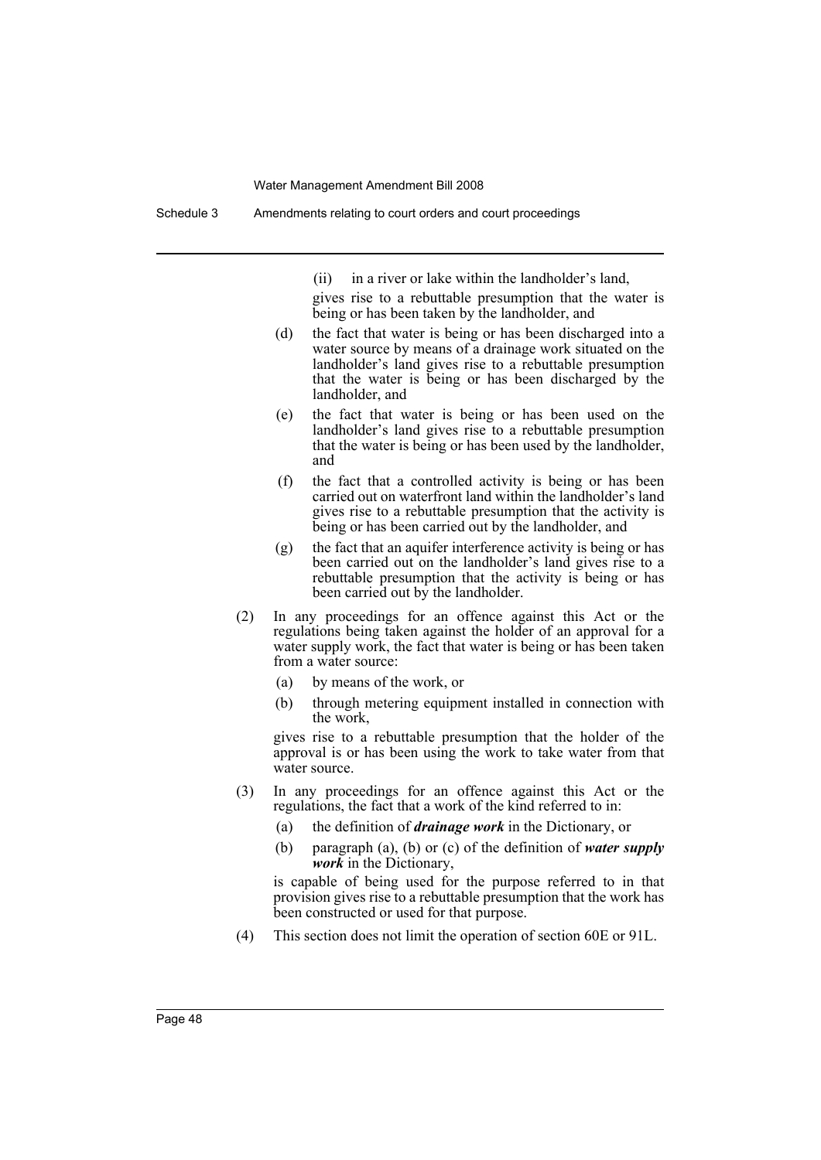(ii) in a river or lake within the landholder's land,

gives rise to a rebuttable presumption that the water is being or has been taken by the landholder, and

- (d) the fact that water is being or has been discharged into a water source by means of a drainage work situated on the landholder's land gives rise to a rebuttable presumption that the water is being or has been discharged by the landholder, and
- (e) the fact that water is being or has been used on the landholder's land gives rise to a rebuttable presumption that the water is being or has been used by the landholder, and
- (f) the fact that a controlled activity is being or has been carried out on waterfront land within the landholder's land gives rise to a rebuttable presumption that the activity is being or has been carried out by the landholder, and
- (g) the fact that an aquifer interference activity is being or has been carried out on the landholder's land gives rise to a rebuttable presumption that the activity is being or has been carried out by the landholder.
- (2) In any proceedings for an offence against this Act or the regulations being taken against the holder of an approval for a water supply work, the fact that water is being or has been taken from a water source:
	- (a) by means of the work, or
	- (b) through metering equipment installed in connection with the work,

gives rise to a rebuttable presumption that the holder of the approval is or has been using the work to take water from that water source.

- (3) In any proceedings for an offence against this Act or the regulations, the fact that a work of the kind referred to in:
	- (a) the definition of *drainage work* in the Dictionary, or
	- (b) paragraph (a), (b) or (c) of the definition of *water supply work* in the Dictionary,

is capable of being used for the purpose referred to in that provision gives rise to a rebuttable presumption that the work has been constructed or used for that purpose.

(4) This section does not limit the operation of section 60E or 91L.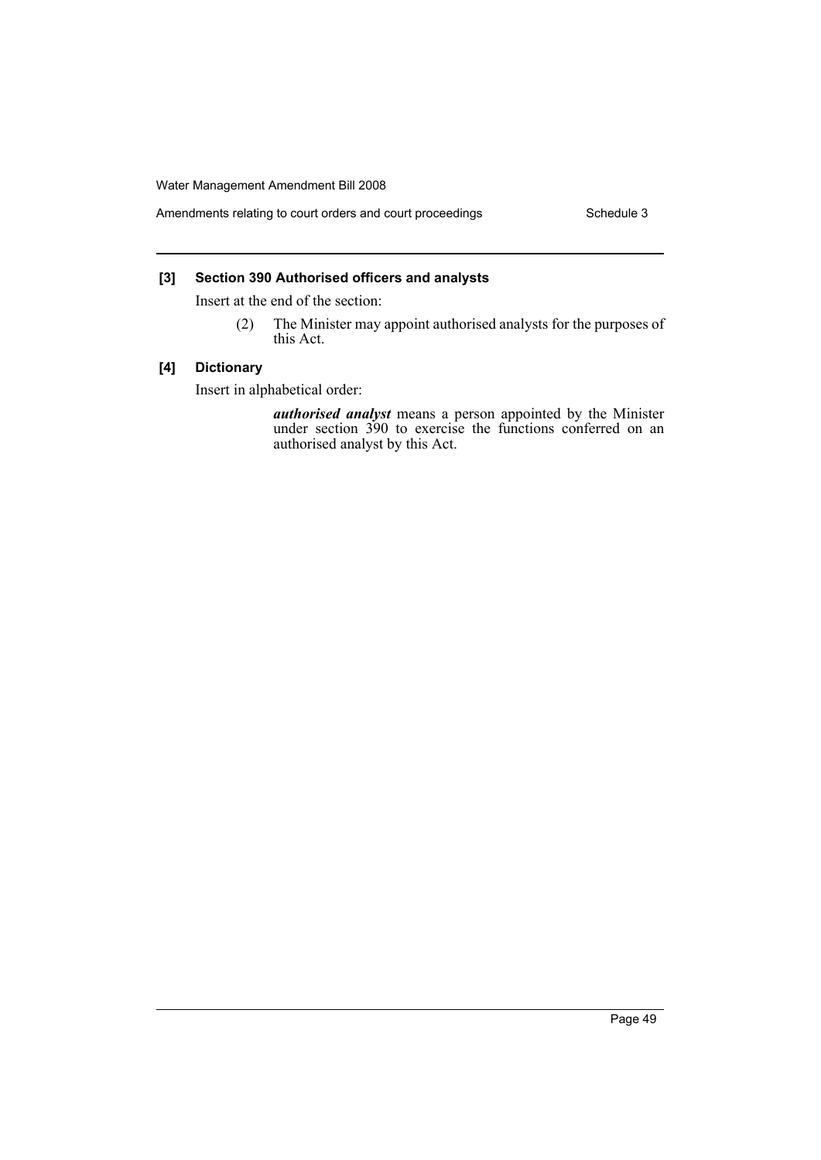### **[3] Section 390 Authorised officers and analysts**

Insert at the end of the section:

(2) The Minister may appoint authorised analysts for the purposes of this Act.

#### **[4] Dictionary**

Insert in alphabetical order:

*authorised analyst* means a person appointed by the Minister under section 390 to exercise the functions conferred on an authorised analyst by this Act.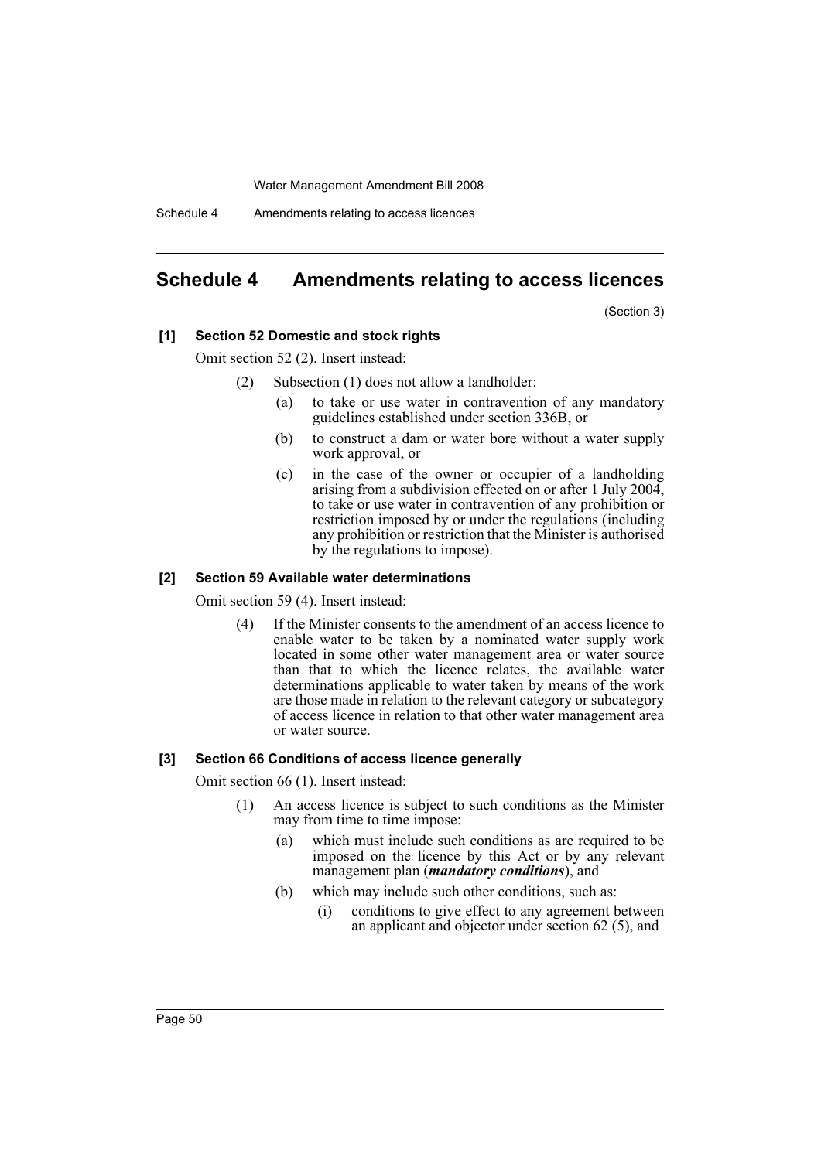Schedule 4 Amendments relating to access licences

## <span id="page-50-0"></span>**Schedule 4 Amendments relating to access licences**

(Section 3)

#### **[1] Section 52 Domestic and stock rights**

Omit section 52 (2). Insert instead:

- (2) Subsection (1) does not allow a landholder:
	- (a) to take or use water in contravention of any mandatory guidelines established under section 336B, or
	- (b) to construct a dam or water bore without a water supply work approval, or
	- (c) in the case of the owner or occupier of a landholding arising from a subdivision effected on or after 1 July 2004, to take or use water in contravention of any prohibition or restriction imposed by or under the regulations (including any prohibition or restriction that the Minister is authorised by the regulations to impose).

#### **[2] Section 59 Available water determinations**

Omit section 59 (4). Insert instead:

(4) If the Minister consents to the amendment of an access licence to enable water to be taken by a nominated water supply work located in some other water management area or water source than that to which the licence relates, the available water determinations applicable to water taken by means of the work are those made in relation to the relevant category or subcategory of access licence in relation to that other water management area or water source.

#### **[3] Section 66 Conditions of access licence generally**

Omit section 66 (1). Insert instead:

- (1) An access licence is subject to such conditions as the Minister may from time to time impose:
	- (a) which must include such conditions as are required to be imposed on the licence by this Act or by any relevant management plan (*mandatory conditions*), and
	- (b) which may include such other conditions, such as:
		- (i) conditions to give effect to any agreement between an applicant and objector under section 62 (5), and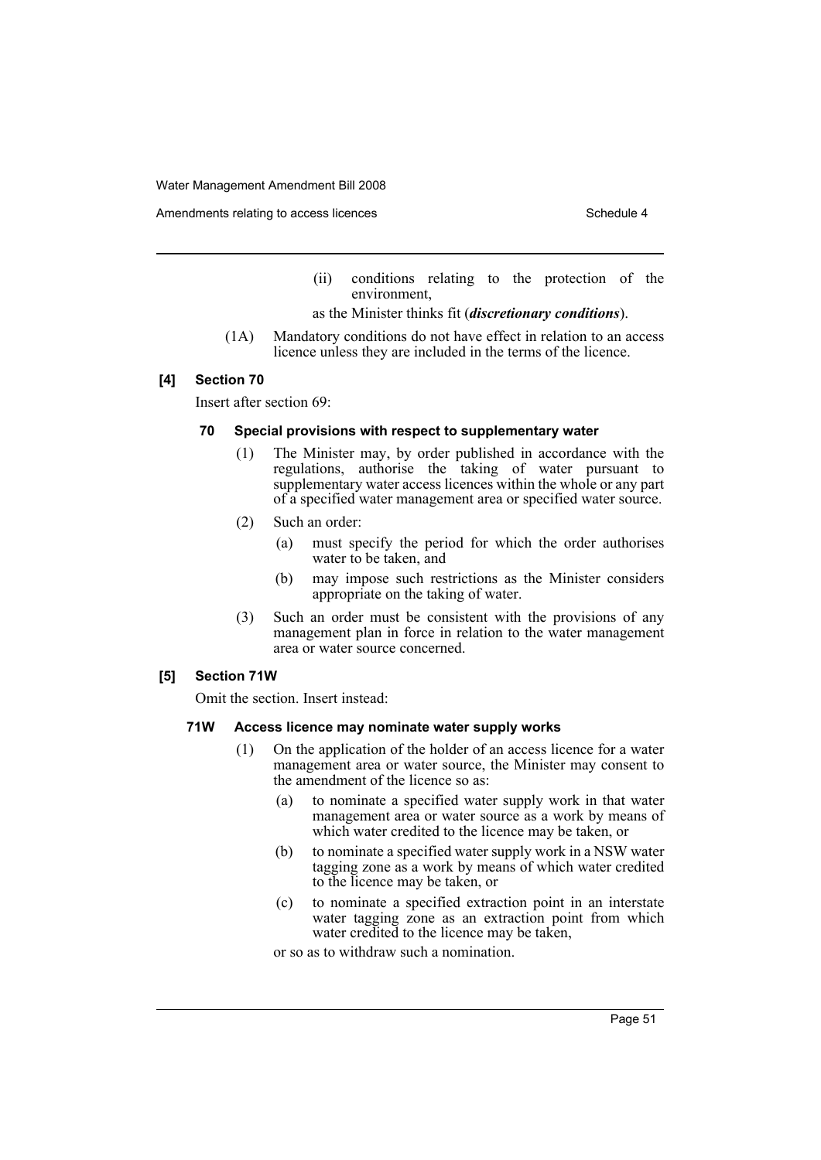Amendments relating to access licences Schedule 4

- (ii) conditions relating to the protection of the environment,
- as the Minister thinks fit (*discretionary conditions*).
- (1A) Mandatory conditions do not have effect in relation to an access licence unless they are included in the terms of the licence.

#### **[4] Section 70**

Insert after section 69:

### **70 Special provisions with respect to supplementary water**

- (1) The Minister may, by order published in accordance with the regulations, authorise the taking of water pursuant to supplementary water access licences within the whole or any part of a specified water management area or specified water source.
- (2) Such an order:
	- (a) must specify the period for which the order authorises water to be taken, and
	- (b) may impose such restrictions as the Minister considers appropriate on the taking of water.
- (3) Such an order must be consistent with the provisions of any management plan in force in relation to the water management area or water source concerned.

### **[5] Section 71W**

Omit the section. Insert instead:

#### **71W Access licence may nominate water supply works**

- (1) On the application of the holder of an access licence for a water management area or water source, the Minister may consent to the amendment of the licence so as:
	- (a) to nominate a specified water supply work in that water management area or water source as a work by means of which water credited to the licence may be taken, or
	- (b) to nominate a specified water supply work in a NSW water tagging zone as a work by means of which water credited to the licence may be taken, or
	- (c) to nominate a specified extraction point in an interstate water tagging zone as an extraction point from which water credited to the licence may be taken,

or so as to withdraw such a nomination.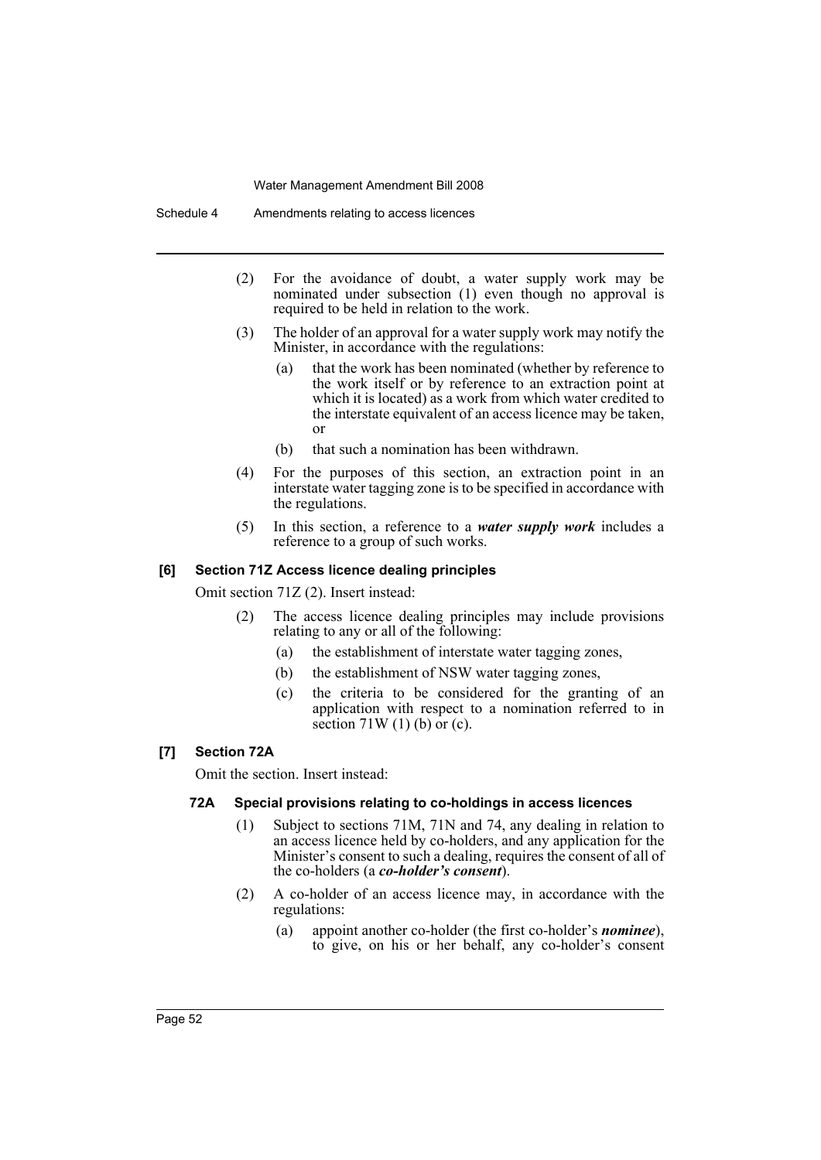- (2) For the avoidance of doubt, a water supply work may be nominated under subsection (1) even though no approval is required to be held in relation to the work.
- (3) The holder of an approval for a water supply work may notify the Minister, in accordance with the regulations:
	- (a) that the work has been nominated (whether by reference to the work itself or by reference to an extraction point at which it is located) as a work from which water credited to the interstate equivalent of an access licence may be taken, or
	- (b) that such a nomination has been withdrawn.
- (4) For the purposes of this section, an extraction point in an interstate water tagging zone is to be specified in accordance with the regulations.
- (5) In this section, a reference to a *water supply work* includes a reference to a group of such works.

#### **[6] Section 71Z Access licence dealing principles**

Omit section 71Z (2). Insert instead:

- (2) The access licence dealing principles may include provisions relating to any or all of the following:
	- (a) the establishment of interstate water tagging zones,
	- (b) the establishment of NSW water tagging zones,
	- (c) the criteria to be considered for the granting of an application with respect to a nomination referred to in section  $71W(1)$  (b) or (c).

### **[7] Section 72A**

Omit the section. Insert instead:

#### **72A Special provisions relating to co-holdings in access licences**

- (1) Subject to sections 71M, 71N and 74, any dealing in relation to an access licence held by co-holders, and any application for the Minister's consent to such a dealing, requires the consent of all of the co-holders (a *co-holder's consent*).
- (2) A co-holder of an access licence may, in accordance with the regulations:
	- (a) appoint another co-holder (the first co-holder's *nominee*), to give, on his or her behalf, any co-holder's consent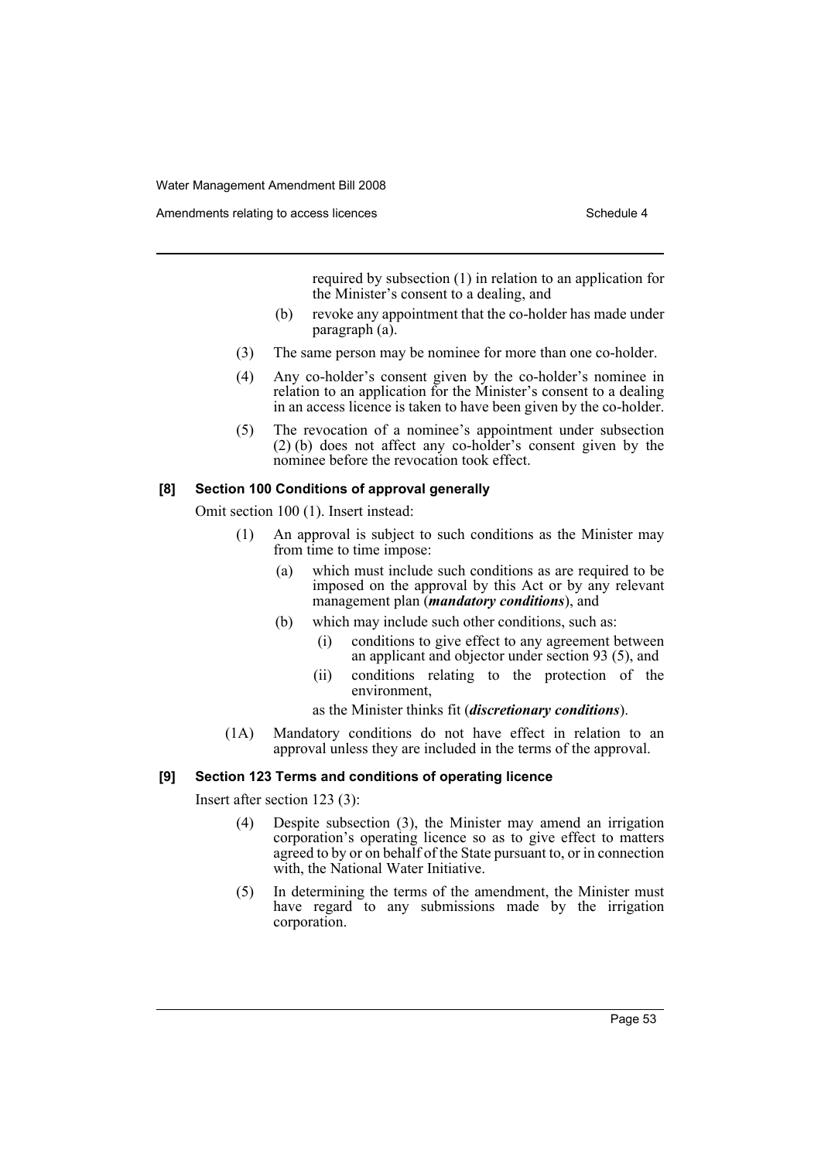Amendments relating to access licences Schedule 4

required by subsection (1) in relation to an application for the Minister's consent to a dealing, and

- (b) revoke any appointment that the co-holder has made under paragraph (a).
- (3) The same person may be nominee for more than one co-holder.
- (4) Any co-holder's consent given by the co-holder's nominee in relation to an application for the Minister's consent to a dealing in an access licence is taken to have been given by the co-holder.
- (5) The revocation of a nominee's appointment under subsection (2) (b) does not affect any co-holder's consent given by the nominee before the revocation took effect.

### **[8] Section 100 Conditions of approval generally**

Omit section 100 (1). Insert instead:

- (1) An approval is subject to such conditions as the Minister may from time to time impose:
	- (a) which must include such conditions as are required to be imposed on the approval by this Act or by any relevant management plan (*mandatory conditions*), and
	- (b) which may include such other conditions, such as:
		- (i) conditions to give effect to any agreement between an applicant and objector under section 93 (5), and
		- (ii) conditions relating to the protection of the environment,

as the Minister thinks fit (*discretionary conditions*).

(1A) Mandatory conditions do not have effect in relation to an approval unless they are included in the terms of the approval.

#### **[9] Section 123 Terms and conditions of operating licence**

Insert after section 123 (3):

- (4) Despite subsection (3), the Minister may amend an irrigation corporation's operating licence so as to give effect to matters agreed to by or on behalf of the State pursuant to, or in connection with, the National Water Initiative.
- (5) In determining the terms of the amendment, the Minister must have regard to any submissions made by the irrigation corporation.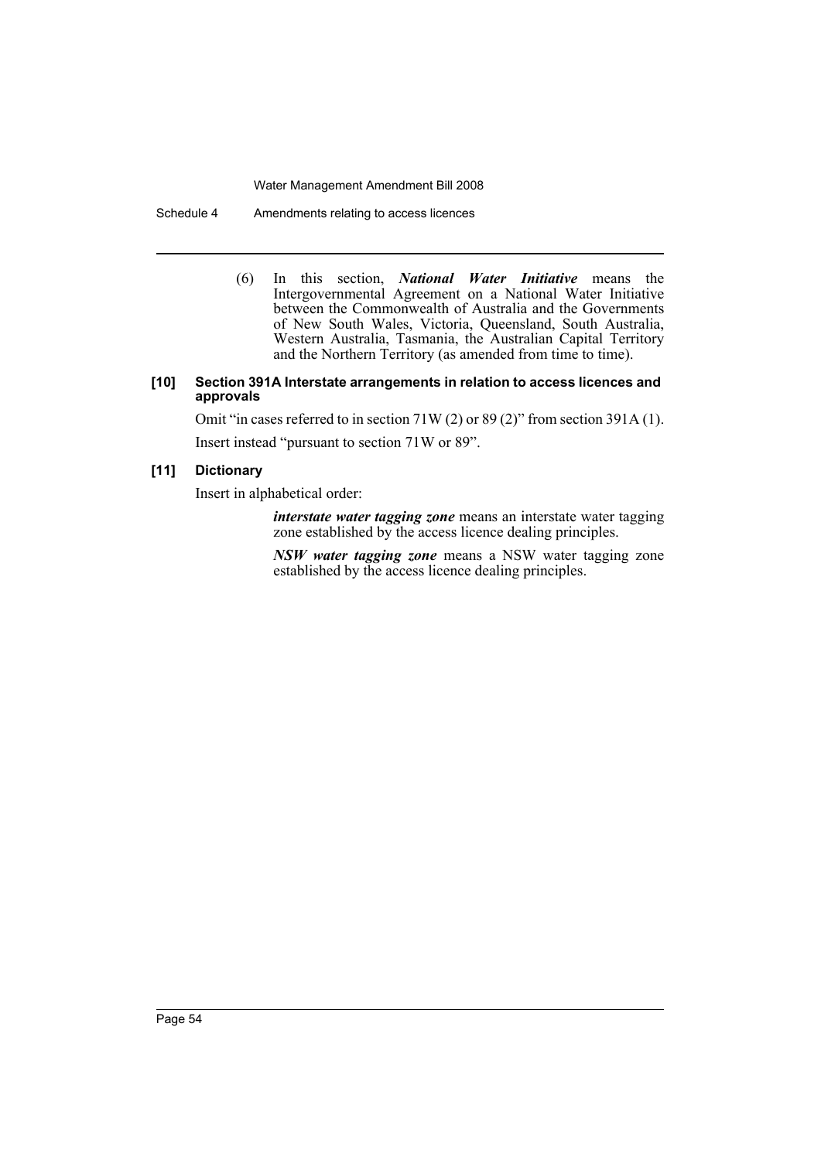Schedule 4 Amendments relating to access licences

(6) In this section, *National Water Initiative* means the Intergovernmental Agreement on a National Water Initiative between the Commonwealth of Australia and the Governments of New South Wales, Victoria, Queensland, South Australia, Western Australia, Tasmania, the Australian Capital Territory and the Northern Territory (as amended from time to time).

#### **[10] Section 391A Interstate arrangements in relation to access licences and approvals**

Omit "in cases referred to in section 71W (2) or 89 (2)" from section 391A (1). Insert instead "pursuant to section 71W or 89".

### **[11] Dictionary**

Insert in alphabetical order:

*interstate water tagging zone* means an interstate water tagging zone established by the access licence dealing principles.

*NSW water tagging zone* means a NSW water tagging zone established by the access licence dealing principles.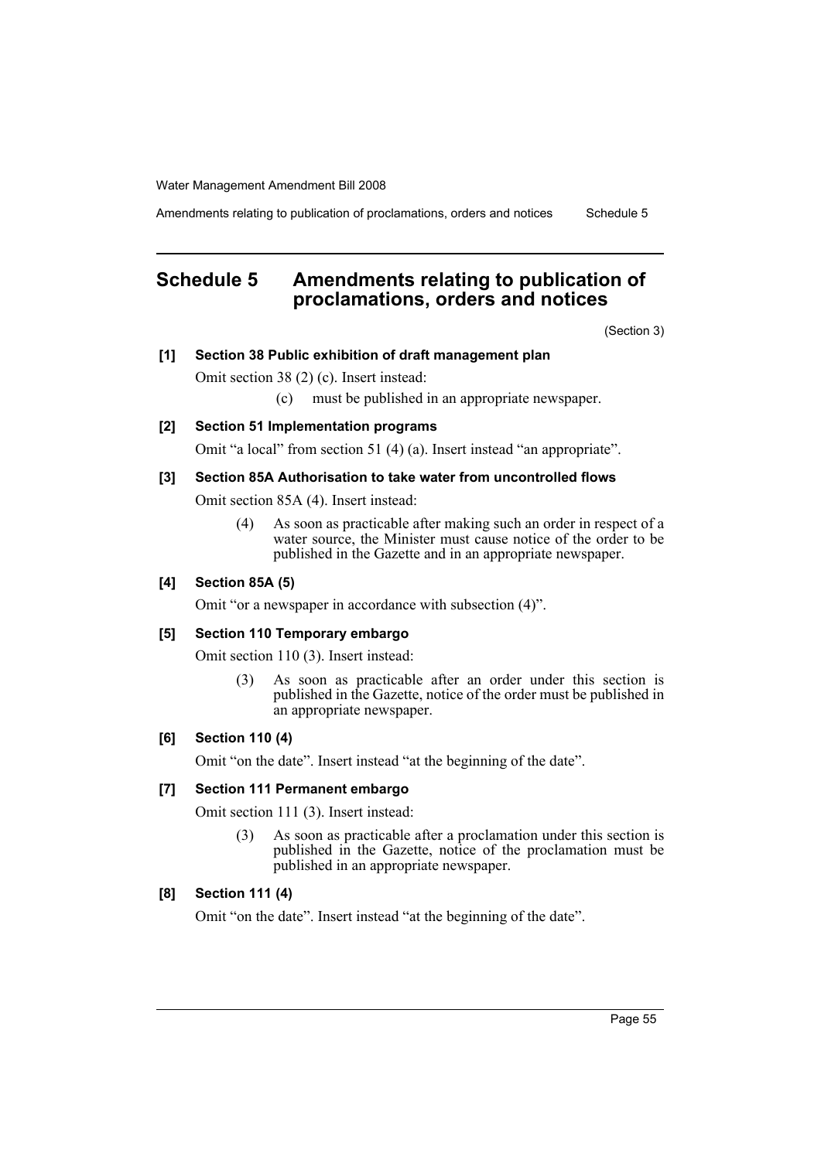Amendments relating to publication of proclamations, orders and notices Schedule 5

# <span id="page-55-0"></span>**Schedule 5 Amendments relating to publication of proclamations, orders and notices**

(Section 3)

### **[1] Section 38 Public exhibition of draft management plan**

Omit section 38 (2) (c). Insert instead:

(c) must be published in an appropriate newspaper.

### **[2] Section 51 Implementation programs**

Omit "a local" from section 51 (4) (a). Insert instead "an appropriate".

### **[3] Section 85A Authorisation to take water from uncontrolled flows**

Omit section 85A (4). Insert instead:

(4) As soon as practicable after making such an order in respect of a water source, the Minister must cause notice of the order to be published in the Gazette and in an appropriate newspaper.

### **[4] Section 85A (5)**

Omit "or a newspaper in accordance with subsection (4)".

### **[5] Section 110 Temporary embargo**

Omit section 110 (3). Insert instead:

(3) As soon as practicable after an order under this section is published in the Gazette, notice of the order must be published in an appropriate newspaper.

#### **[6] Section 110 (4)**

Omit "on the date". Insert instead "at the beginning of the date".

#### **[7] Section 111 Permanent embargo**

Omit section 111 (3). Insert instead:

(3) As soon as practicable after a proclamation under this section is published in the Gazette, notice of the proclamation must be published in an appropriate newspaper.

### **[8] Section 111 (4)**

Omit "on the date". Insert instead "at the beginning of the date".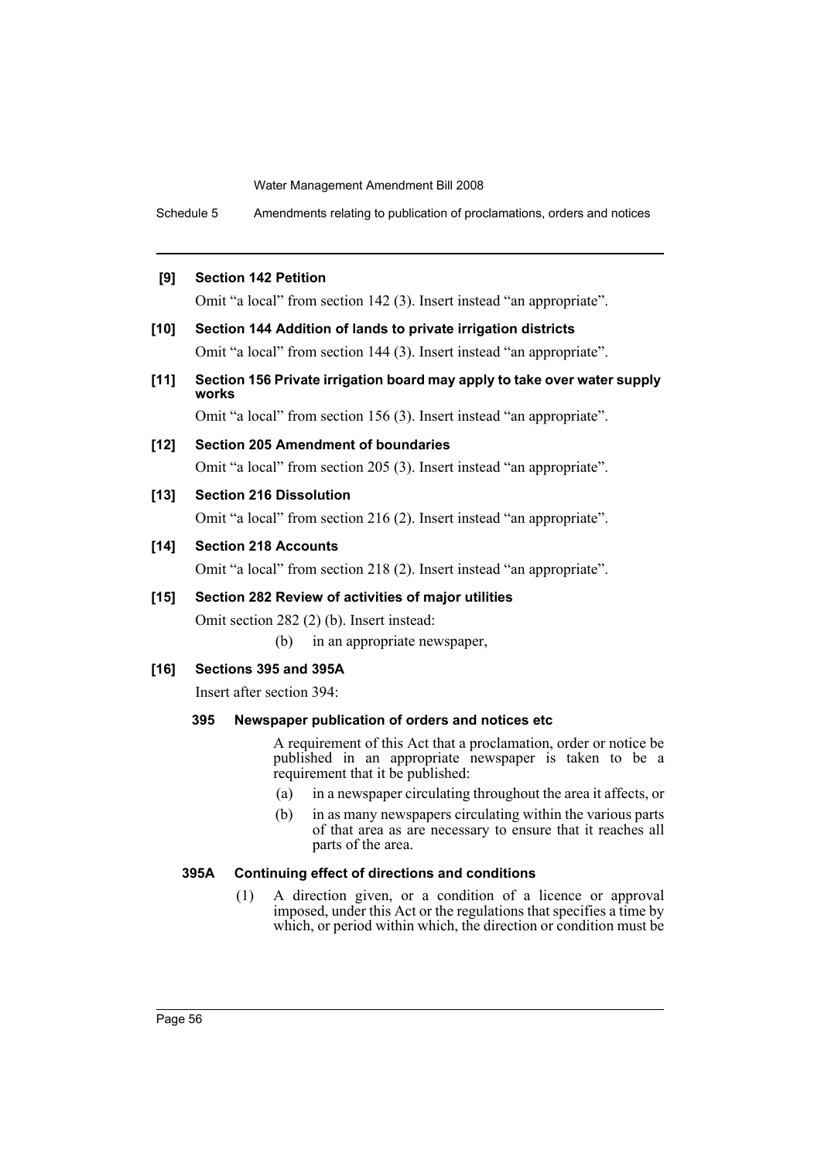Schedule 5 Amendments relating to publication of proclamations, orders and notices

#### **[9] Section 142 Petition**

Omit "a local" from section 142 (3). Insert instead "an appropriate".

- **[10] Section 144 Addition of lands to private irrigation districts** Omit "a local" from section 144 (3). Insert instead "an appropriate".
- **[11] Section 156 Private irrigation board may apply to take over water supply works**

Omit "a local" from section 156 (3). Insert instead "an appropriate".

#### **[12] Section 205 Amendment of boundaries**

Omit "a local" from section 205 (3). Insert instead "an appropriate".

### **[13] Section 216 Dissolution**

Omit "a local" from section 216 (2). Insert instead "an appropriate".

#### **[14] Section 218 Accounts**

Omit "a local" from section 218 (2). Insert instead "an appropriate".

### **[15] Section 282 Review of activities of major utilities**

Omit section 282 (2) (b). Insert instead:

(b) in an appropriate newspaper,

#### **[16] Sections 395 and 395A**

Insert after section 394:

### **395 Newspaper publication of orders and notices etc**

A requirement of this Act that a proclamation, order or notice be published in an appropriate newspaper is taken to be a requirement that it be published:

- (a) in a newspaper circulating throughout the area it affects, or
- (b) in as many newspapers circulating within the various parts of that area as are necessary to ensure that it reaches all parts of the area.

#### **395A Continuing effect of directions and conditions**

(1) A direction given, or a condition of a licence or approval imposed, under this Act or the regulations that specifies a time by which, or period within which, the direction or condition must be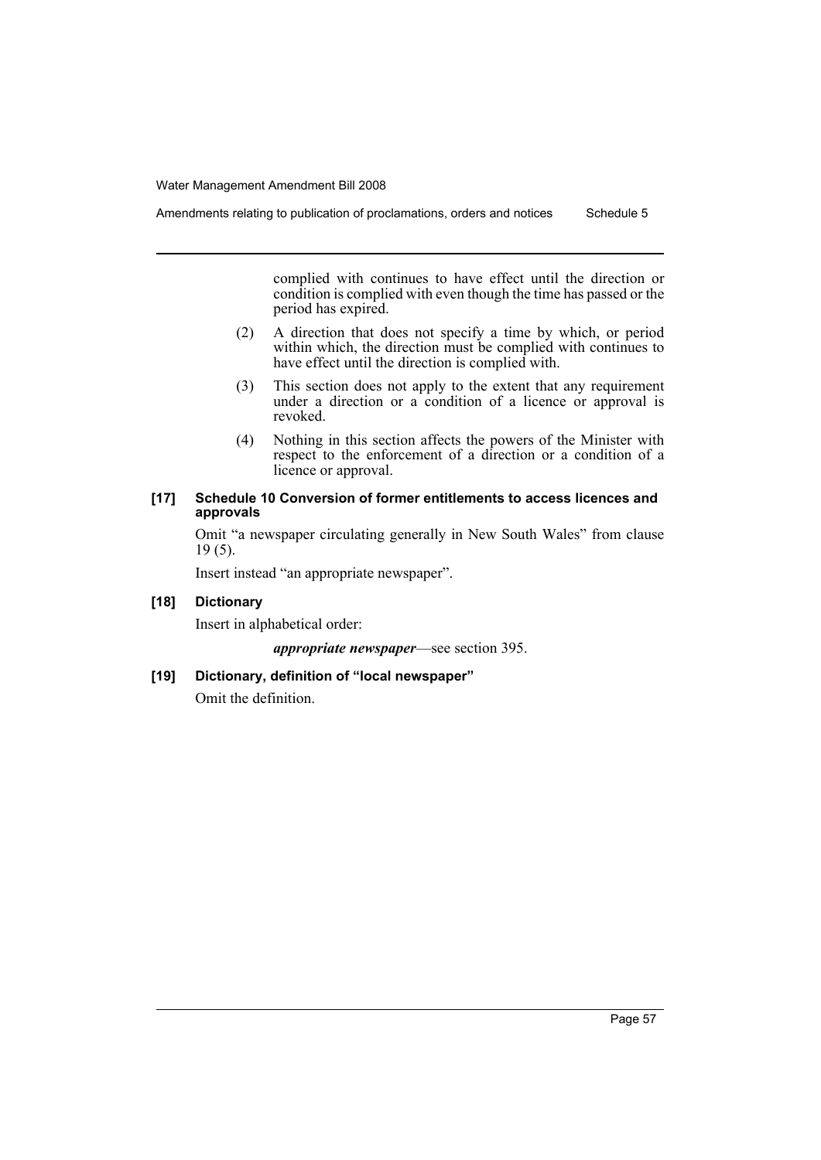complied with continues to have effect until the direction or condition is complied with even though the time has passed or the period has expired.

- (2) A direction that does not specify a time by which, or period within which, the direction must be complied with continues to have effect until the direction is complied with.
- (3) This section does not apply to the extent that any requirement under a direction or a condition of a licence or approval is revoked.
- (4) Nothing in this section affects the powers of the Minister with respect to the enforcement of a direction or a condition of a licence or approval.

### **[17] Schedule 10 Conversion of former entitlements to access licences and approvals**

Omit "a newspaper circulating generally in New South Wales" from clause 19 (5).

Insert instead "an appropriate newspaper".

### **[18] Dictionary**

Insert in alphabetical order:

*appropriate newspaper*—see section 395.

### **[19] Dictionary, definition of "local newspaper"**

Omit the definition.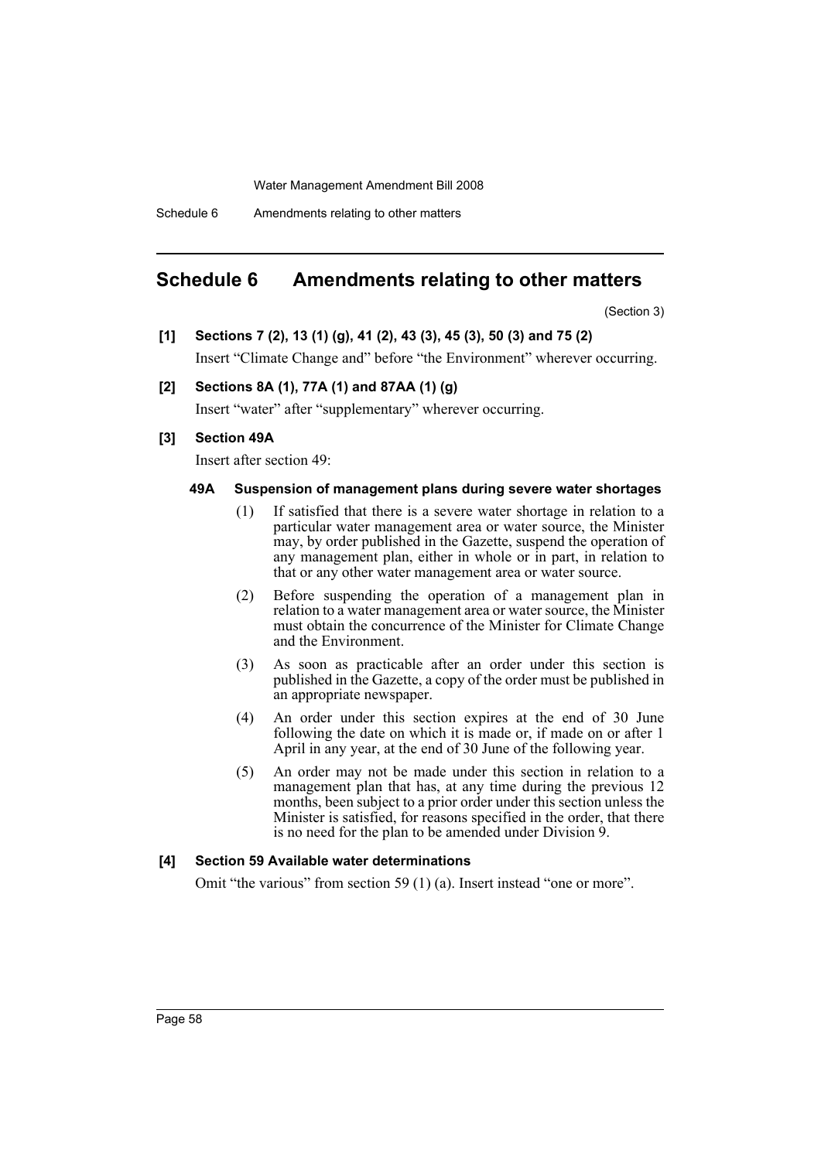Schedule 6 Amendments relating to other matters

## <span id="page-58-0"></span>**Schedule 6 Amendments relating to other matters**

(Section 3)

**[1] Sections 7 (2), 13 (1) (g), 41 (2), 43 (3), 45 (3), 50 (3) and 75 (2)**

Insert "Climate Change and" before "the Environment" wherever occurring.

### **[2] Sections 8A (1), 77A (1) and 87AA (1) (g)**

Insert "water" after "supplementary" wherever occurring.

### **[3] Section 49A**

Insert after section 49:

#### **49A Suspension of management plans during severe water shortages**

- (1) If satisfied that there is a severe water shortage in relation to a particular water management area or water source, the Minister may, by order published in the Gazette, suspend the operation of any management plan, either in whole or in part, in relation to that or any other water management area or water source.
- (2) Before suspending the operation of a management plan in relation to a water management area or water source, the Minister must obtain the concurrence of the Minister for Climate Change and the Environment.
- (3) As soon as practicable after an order under this section is published in the Gazette, a copy of the order must be published in an appropriate newspaper.
- (4) An order under this section expires at the end of 30 June following the date on which it is made or, if made on or after 1 April in any year, at the end of 30 June of the following year.
- (5) An order may not be made under this section in relation to a management plan that has, at any time during the previous 12 months, been subject to a prior order under this section unless the Minister is satisfied, for reasons specified in the order, that there is no need for the plan to be amended under Division 9.

#### **[4] Section 59 Available water determinations**

Omit "the various" from section 59 (1) (a). Insert instead "one or more".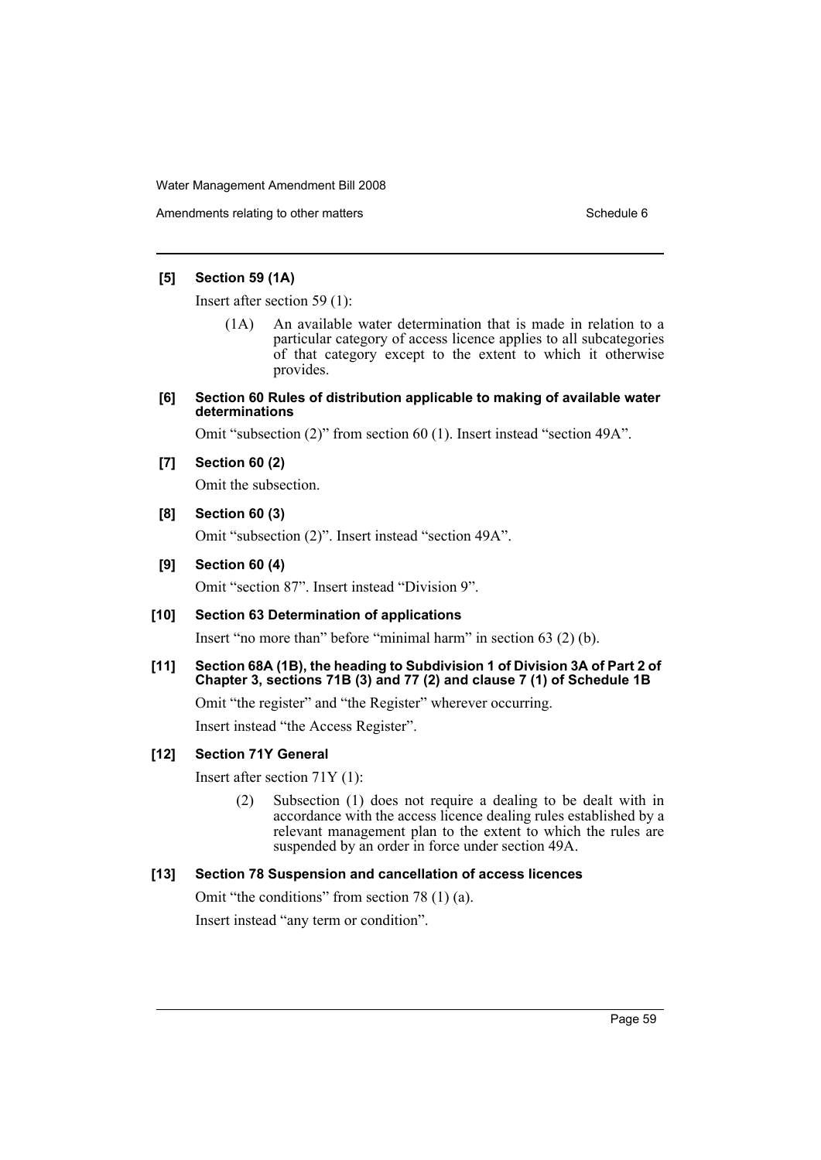Amendments relating to other matters **Schedule 6** Schedule 6

### **[5] Section 59 (1A)**

Insert after section 59 (1):

- (1A) An available water determination that is made in relation to a particular category of access licence applies to all subcategories of that category except to the extent to which it otherwise provides.
- **[6] Section 60 Rules of distribution applicable to making of available water determinations**

Omit "subsection (2)" from section 60 (1). Insert instead "section 49A".

**[7] Section 60 (2)**

Omit the subsection.

### **[8] Section 60 (3)**

Omit "subsection (2)". Insert instead "section 49A".

### **[9] Section 60 (4)**

Omit "section 87". Insert instead "Division 9".

### **[10] Section 63 Determination of applications**

Insert "no more than" before "minimal harm" in section 63 (2) (b).

**[11] Section 68A (1B), the heading to Subdivision 1 of Division 3A of Part 2 of Chapter 3, sections 71B (3) and 77 (2) and clause 7 (1) of Schedule 1B**

Omit "the register" and "the Register" wherever occurring.

Insert instead "the Access Register".

### **[12] Section 71Y General**

Insert after section 71Y (1):

(2) Subsection (1) does not require a dealing to be dealt with in accordance with the access licence dealing rules established by a relevant management plan to the extent to which the rules are suspended by an order in force under section 49A.

### **[13] Section 78 Suspension and cancellation of access licences**

Omit "the conditions" from section 78 (1) (a).

Insert instead "any term or condition".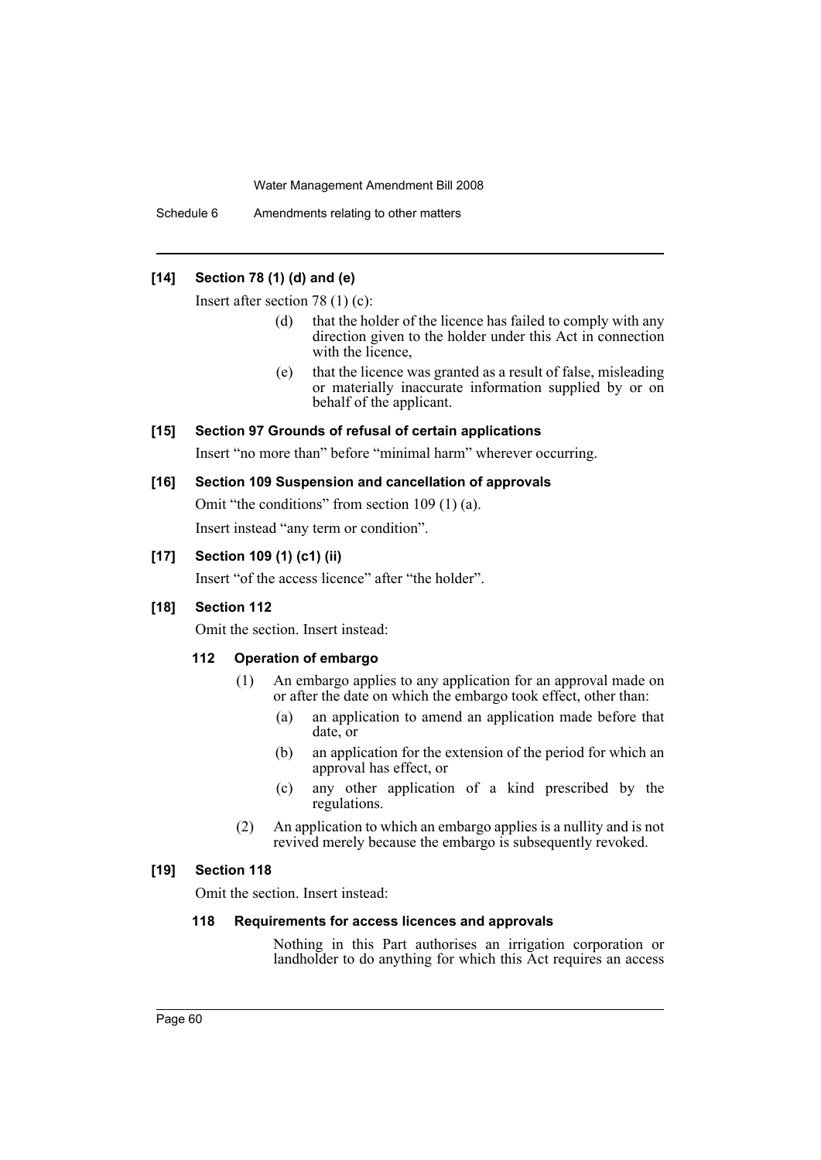Schedule 6 Amendments relating to other matters

### **[14] Section 78 (1) (d) and (e)**

Insert after section 78 (1) (c):

- (d) that the holder of the licence has failed to comply with any direction given to the holder under this Act in connection with the licence,
- (e) that the licence was granted as a result of false, misleading or materially inaccurate information supplied by or on behalf of the applicant.

### **[15] Section 97 Grounds of refusal of certain applications**

Insert "no more than" before "minimal harm" wherever occurring.

### **[16] Section 109 Suspension and cancellation of approvals**

Omit "the conditions" from section 109 (1) (a).

Insert instead "any term or condition".

### **[17] Section 109 (1) (c1) (ii)**

Insert "of the access licence" after "the holder".

#### **[18] Section 112**

Omit the section. Insert instead:

### **112 Operation of embargo**

- (1) An embargo applies to any application for an approval made on or after the date on which the embargo took effect, other than:
	- (a) an application to amend an application made before that date, or
	- (b) an application for the extension of the period for which an approval has effect, or
	- (c) any other application of a kind prescribed by the regulations.
- (2) An application to which an embargo applies is a nullity and is not revived merely because the embargo is subsequently revoked.

### **[19] Section 118**

Omit the section. Insert instead:

### **118 Requirements for access licences and approvals**

Nothing in this Part authorises an irrigation corporation or landholder to do anything for which this Act requires an access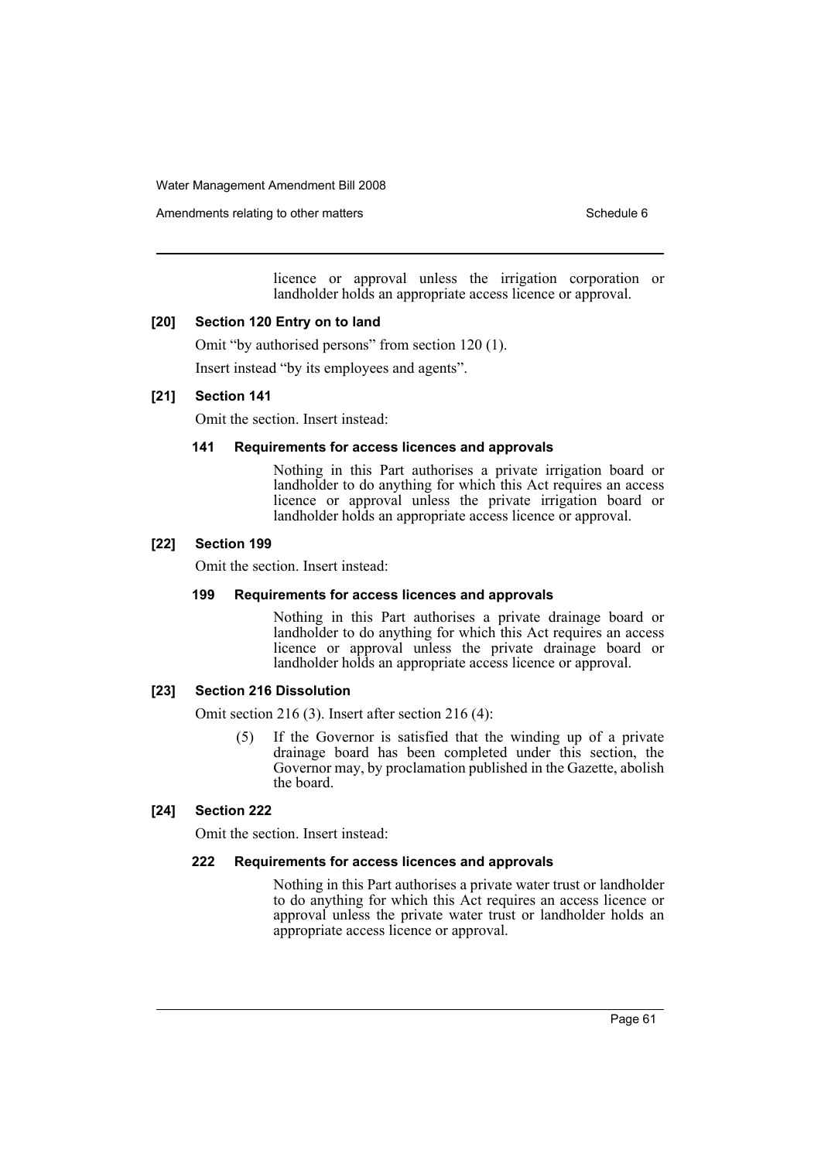Amendments relating to other matters **Schedule 6** Schedule 6

licence or approval unless the irrigation corporation or landholder holds an appropriate access licence or approval.

### **[20] Section 120 Entry on to land**

Omit "by authorised persons" from section 120 (1). Insert instead "by its employees and agents".

### **[21] Section 141**

Omit the section. Insert instead:

### **141 Requirements for access licences and approvals**

Nothing in this Part authorises a private irrigation board or landholder to do anything for which this Act requires an access licence or approval unless the private irrigation board or landholder holds an appropriate access licence or approval.

### **[22] Section 199**

Omit the section. Insert instead:

#### **199 Requirements for access licences and approvals**

Nothing in this Part authorises a private drainage board or landholder to do anything for which this Act requires an access licence or approval unless the private drainage board or landholder holds an appropriate access licence or approval.

### **[23] Section 216 Dissolution**

Omit section 216 (3). Insert after section 216 (4):

(5) If the Governor is satisfied that the winding up of a private drainage board has been completed under this section, the Governor may, by proclamation published in the Gazette, abolish the board.

### **[24] Section 222**

Omit the section. Insert instead:

#### **222 Requirements for access licences and approvals**

Nothing in this Part authorises a private water trust or landholder to do anything for which this Act requires an access licence or approval unless the private water trust or landholder holds an appropriate access licence or approval.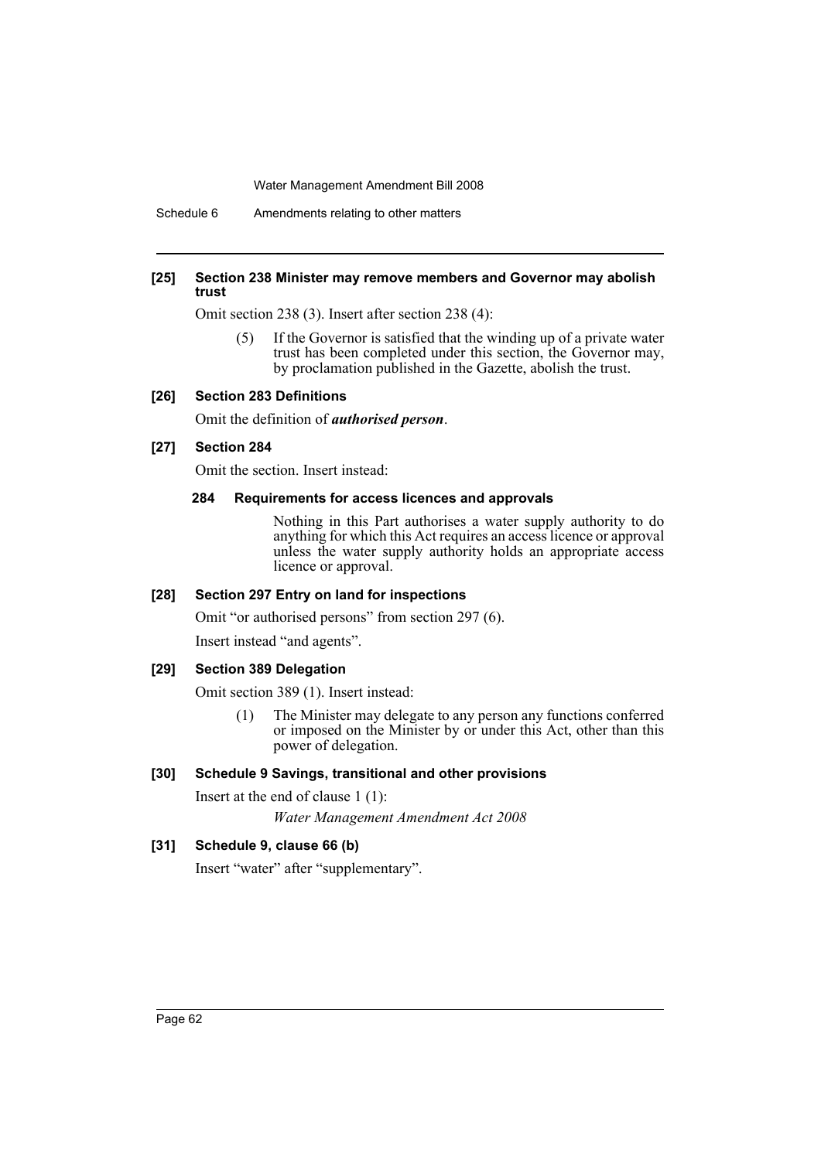Schedule 6 Amendments relating to other matters

#### **[25] Section 238 Minister may remove members and Governor may abolish trust**

Omit section 238 (3). Insert after section 238 (4):

(5) If the Governor is satisfied that the winding up of a private water trust has been completed under this section, the Governor may, by proclamation published in the Gazette, abolish the trust.

### **[26] Section 283 Definitions**

Omit the definition of *authorised person*.

### **[27] Section 284**

Omit the section. Insert instead:

#### **284 Requirements for access licences and approvals**

Nothing in this Part authorises a water supply authority to do anything for which this Act requires an access licence or approval unless the water supply authority holds an appropriate access licence or approval.

### **[28] Section 297 Entry on land for inspections**

Omit "or authorised persons" from section 297 (6). Insert instead "and agents".

#### **[29] Section 389 Delegation**

Omit section 389 (1). Insert instead:

(1) The Minister may delegate to any person any functions conferred or imposed on the Minister by or under this Act, other than this power of delegation.

### **[30] Schedule 9 Savings, transitional and other provisions**

Insert at the end of clause 1 (1): *Water Management Amendment Act 2008*

#### **[31] Schedule 9, clause 66 (b)**

Insert "water" after "supplementary".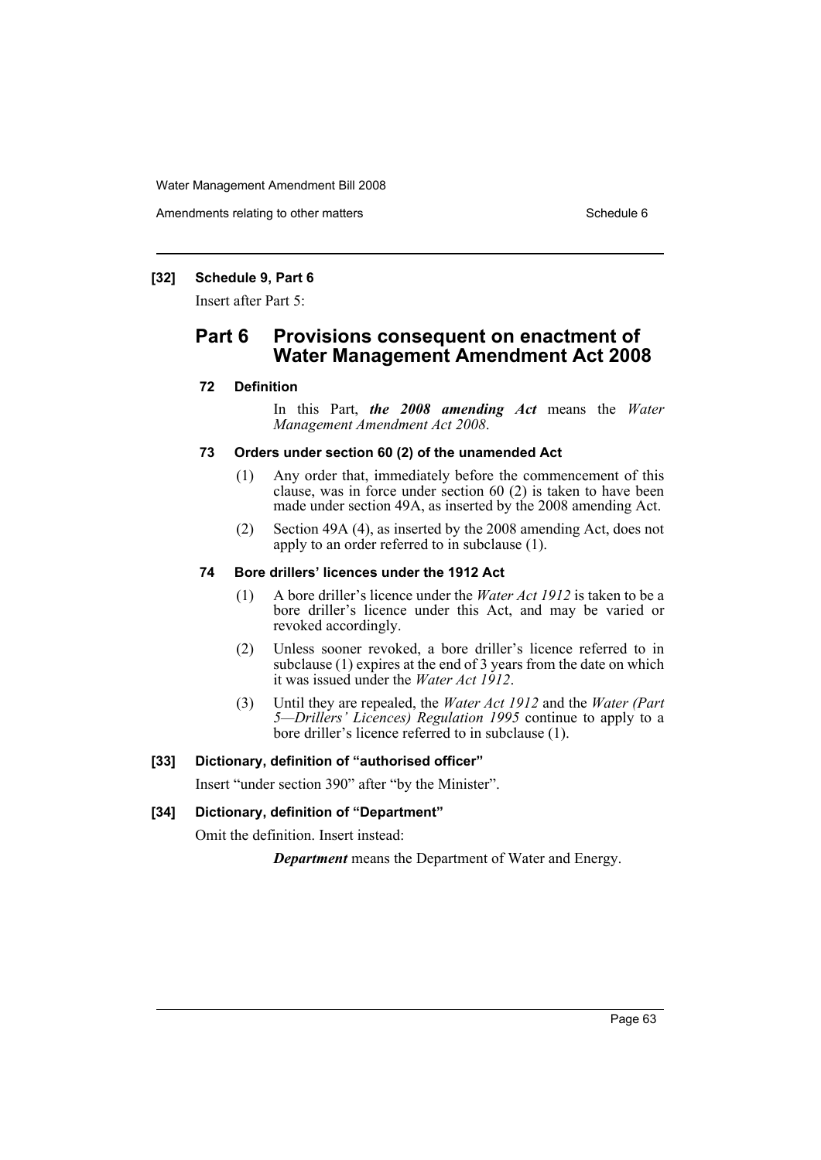Amendments relating to other matters Schedule 6 and the schedule 6 schedule 6 and the schedule 6

### **[32] Schedule 9, Part 6**

Insert after Part 5:

# **Part 6 Provisions consequent on enactment of Water Management Amendment Act 2008**

### **72 Definition**

In this Part, *the 2008 amending Act* means the *Water Management Amendment Act 2008*.

#### **73 Orders under section 60 (2) of the unamended Act**

- (1) Any order that, immediately before the commencement of this clause, was in force under section 60 (2) is taken to have been made under section 49A, as inserted by the 2008 amending Act.
- (2) Section 49A (4), as inserted by the 2008 amending Act, does not apply to an order referred to in subclause (1).

#### **74 Bore drillers' licences under the 1912 Act**

- (1) A bore driller's licence under the *Water Act 1912* is taken to be a bore driller's licence under this Act, and may be varied or revoked accordingly.
- (2) Unless sooner revoked, a bore driller's licence referred to in subclause (1) expires at the end of 3 years from the date on which it was issued under the *Water Act 1912*.
- (3) Until they are repealed, the *Water Act 1912* and the *Water (Part 5—Drillers' Licences) Regulation 1995* continue to apply to a bore driller's licence referred to in subclause (1).

#### **[33] Dictionary, definition of "authorised officer"**

Insert "under section 390" after "by the Minister".

### **[34] Dictionary, definition of "Department"**

Omit the definition. Insert instead:

*Department* means the Department of Water and Energy.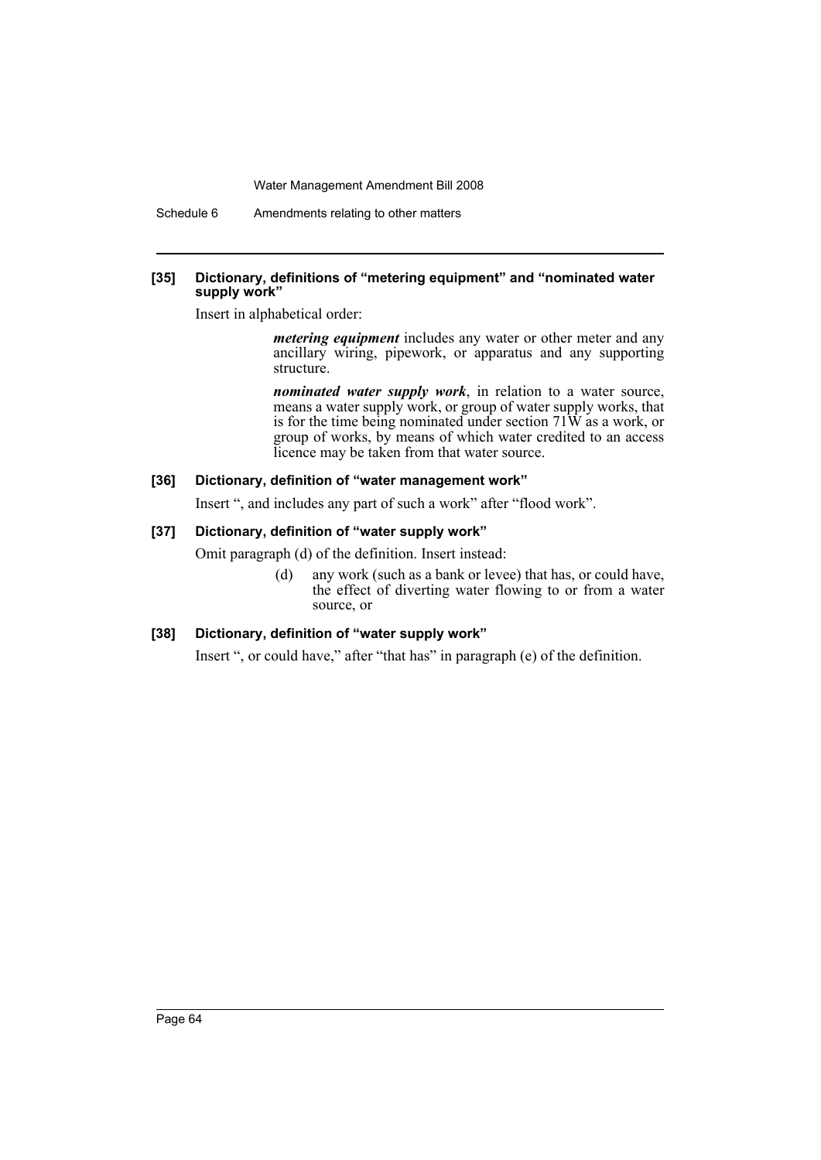Schedule 6 Amendments relating to other matters

#### **[35] Dictionary, definitions of "metering equipment" and "nominated water supply work"**

Insert in alphabetical order:

*metering equipment* includes any water or other meter and any ancillary wiring, pipework, or apparatus and any supporting structure.

*nominated water supply work*, in relation to a water source, means a water supply work, or group of water supply works, that is for the time being nominated under section 71W as a work, or group of works, by means of which water credited to an access licence may be taken from that water source.

### **[36] Dictionary, definition of "water management work"**

Insert ", and includes any part of such a work" after "flood work".

### **[37] Dictionary, definition of "water supply work"**

Omit paragraph (d) of the definition. Insert instead:

(d) any work (such as a bank or levee) that has, or could have, the effect of diverting water flowing to or from a water source, or

#### **[38] Dictionary, definition of "water supply work"**

Insert ", or could have," after "that has" in paragraph (e) of the definition.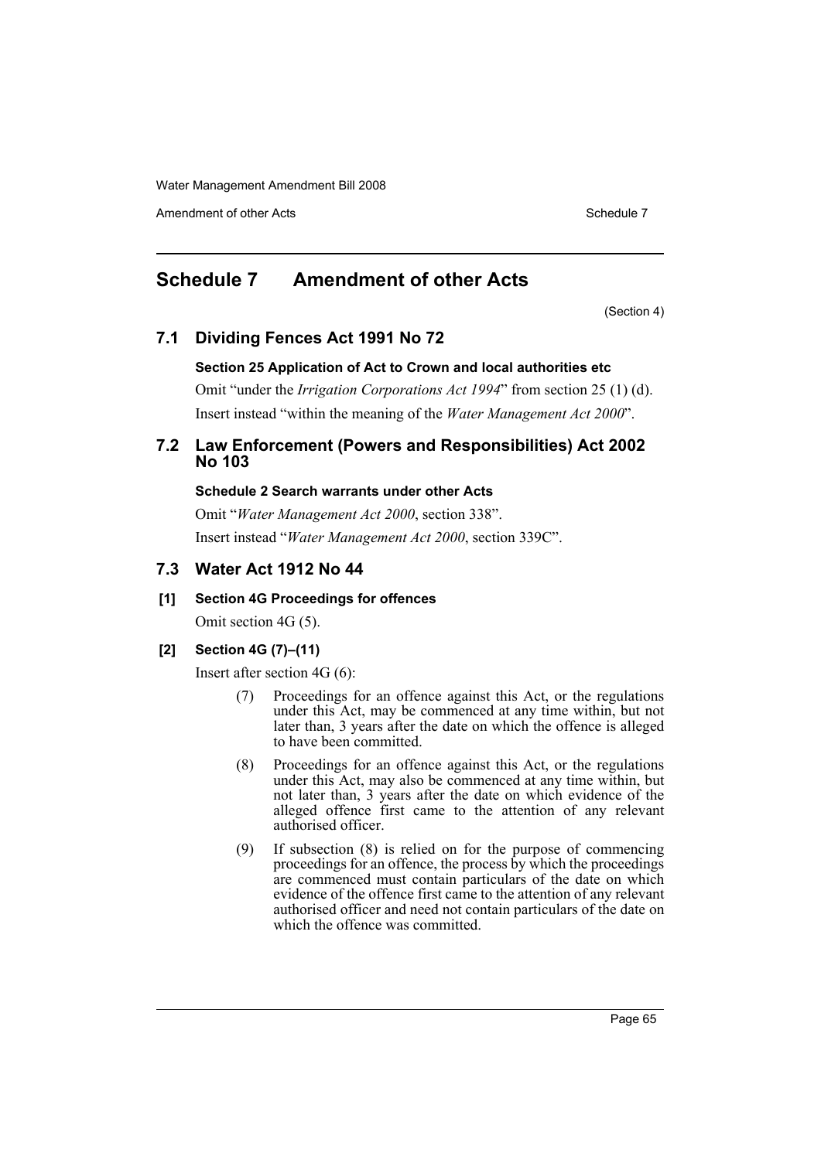Amendment of other Acts **Schedule 7** and the Acts Schedule 7

# <span id="page-65-0"></span>**Schedule 7 Amendment of other Acts**

(Section 4)

### **7.1 Dividing Fences Act 1991 No 72**

#### **Section 25 Application of Act to Crown and local authorities etc**

Omit "under the *Irrigation Corporations Act 1994*" from section 25 (1) (d). Insert instead "within the meaning of the *Water Management Act 2000*".

### **7.2 Law Enforcement (Powers and Responsibilities) Act 2002 No 103**

#### **Schedule 2 Search warrants under other Acts**

Omit "*Water Management Act 2000*, section 338". Insert instead "*Water Management Act 2000*, section 339C".

### **7.3 Water Act 1912 No 44**

### **[1] Section 4G Proceedings for offences**

Omit section 4G (5).

### **[2] Section 4G (7)–(11)**

Insert after section 4G (6):

- (7) Proceedings for an offence against this Act, or the regulations under this Act, may be commenced at any time within, but not later than, 3 years after the date on which the offence is alleged to have been committed.
- (8) Proceedings for an offence against this Act, or the regulations under this Act, may also be commenced at any time within, but not later than, 3 years after the date on which evidence of the alleged offence first came to the attention of any relevant authorised officer.
- (9) If subsection (8) is relied on for the purpose of commencing proceedings for an offence, the process by which the proceedings are commenced must contain particulars of the date on which evidence of the offence first came to the attention of any relevant authorised officer and need not contain particulars of the date on which the offence was committed.